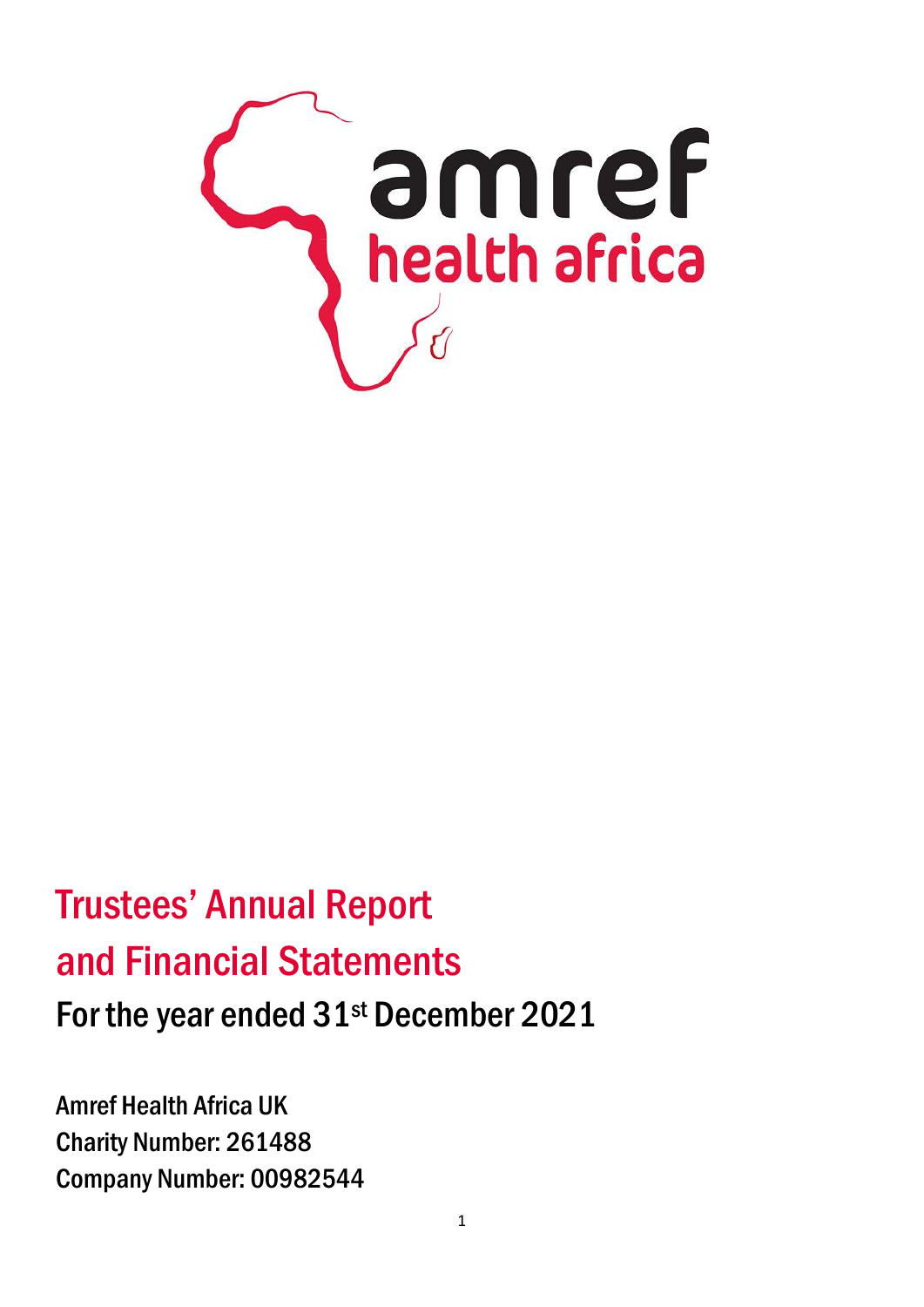

# Trustees' Annual Report and Financial Statements For the year ended 31<sup>st</sup> December 2021

Amref Health Africa UK Charity Number: 261488 Company Number: 00982544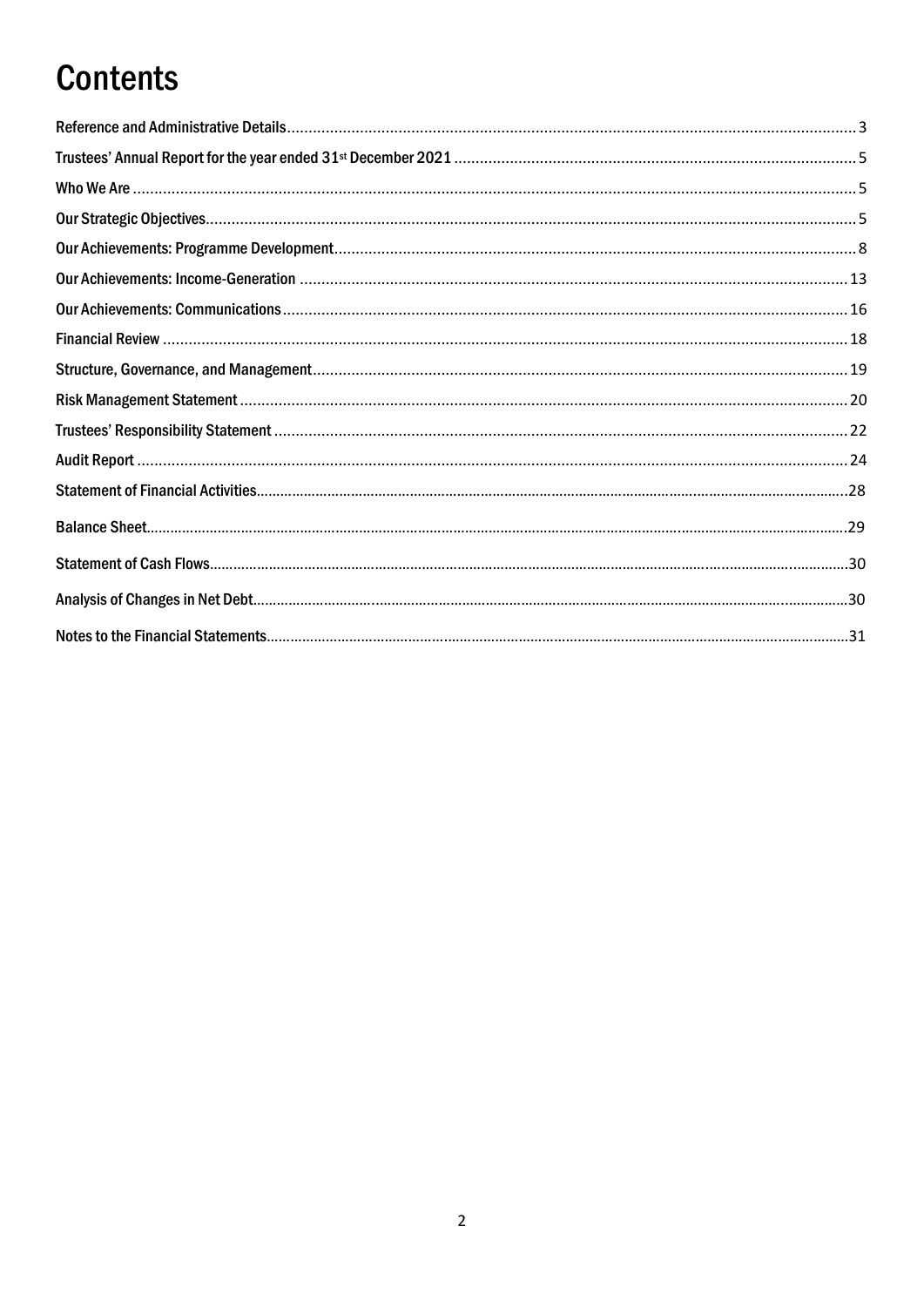# **Contents**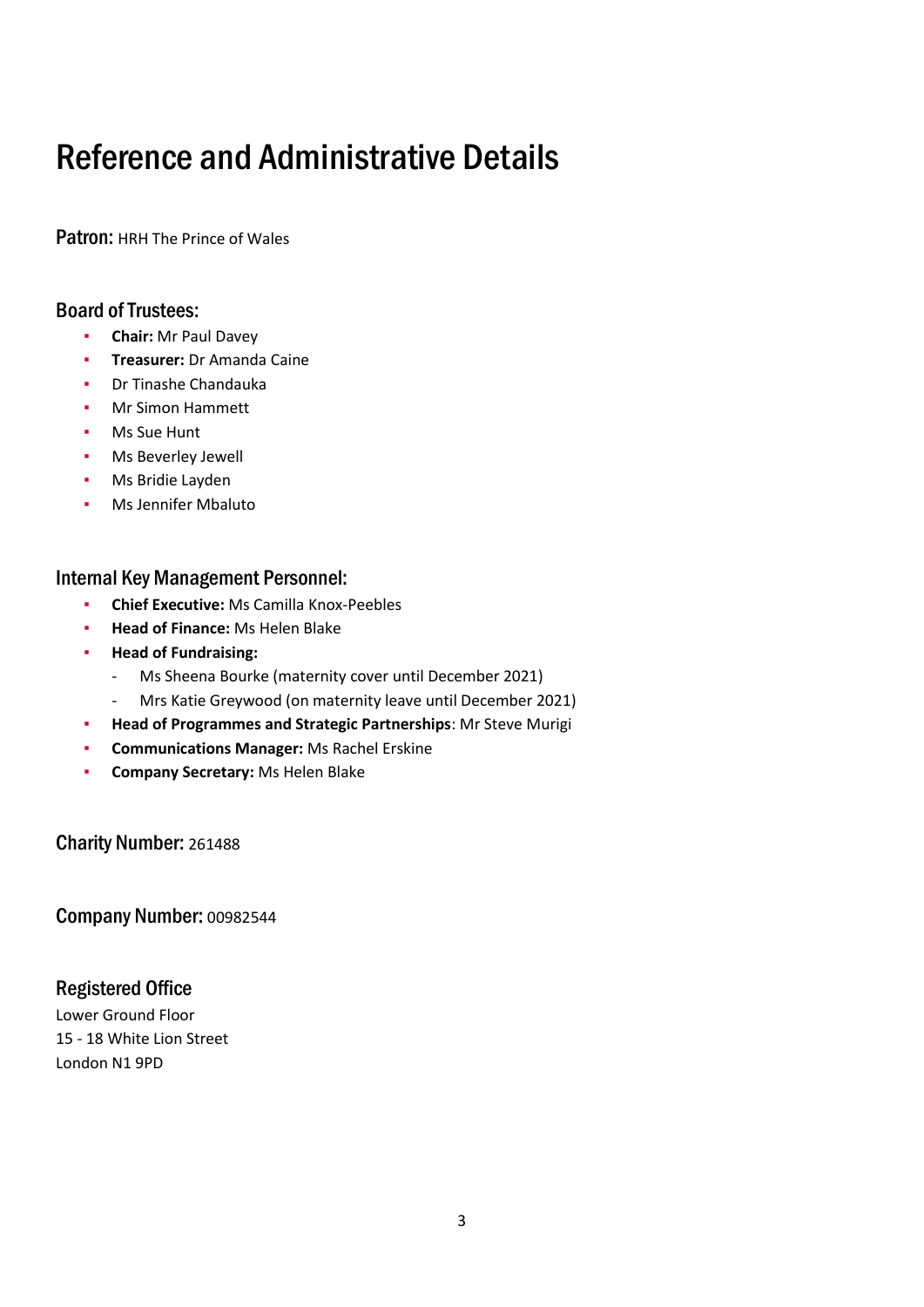# <span id="page-2-0"></span>Reference and Administrative Details

Patron: HRH The Prince of Wales

### Board of Trustees:

- **Chair: Mr Paul Davey**
- **Treasurer:** Dr Amanda Caine
- Dr Tinashe Chandauka
- **Mr Simon Hammett**
- **Ms Sue Hunt**
- Ms Beverley Jewell
- Ms Bridie Layden
- Ms Jennifer Mbaluto

### Internal Key Management Personnel:

- **Chief Executive:** Ms Camilla Knox-Peebles
- **Head of Finance: Ms Helen Blake**
- **Head of Fundraising:**
	- Ms Sheena Bourke (maternity cover until December 2021)
	- Mrs Katie Greywood (on maternity leave until December 2021)
- **Head of Programmes and Strategic Partnerships**: Mr Steve Murigi
- **Communications Manager: Ms Rachel Erskine**
- **Company Secretary:** Ms Helen Blake

Charity Number: 261488

Company Number: 00982544

### Registered Office

Lower Ground Floor 15 - 18 White Lion Street London N1 9PD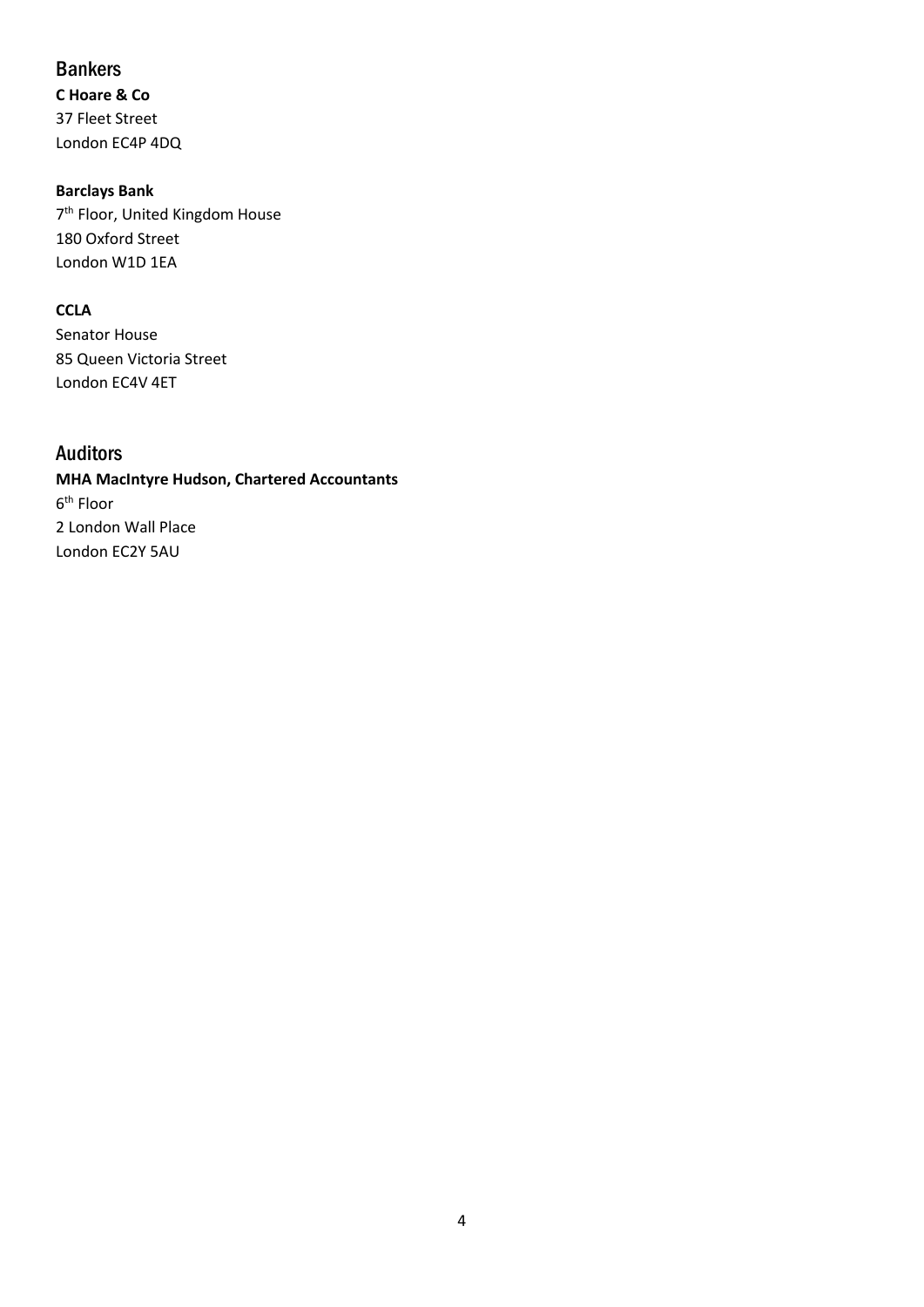### **Bankers**

**C Hoare & Co** 37 Fleet Street London EC4P 4DQ

### **Barclays Bank**

7<sup>th</sup> Floor, United Kingdom House 180 Oxford Street London W1D 1EA

### **CCLA**

Senator House 85 Queen Victoria Street London EC4V 4ET

### Auditors

### **MHA MacIntyre Hudson, Chartered Accountants** 6<sup>th</sup> Floor 2 London Wall Place London EC2Y 5AU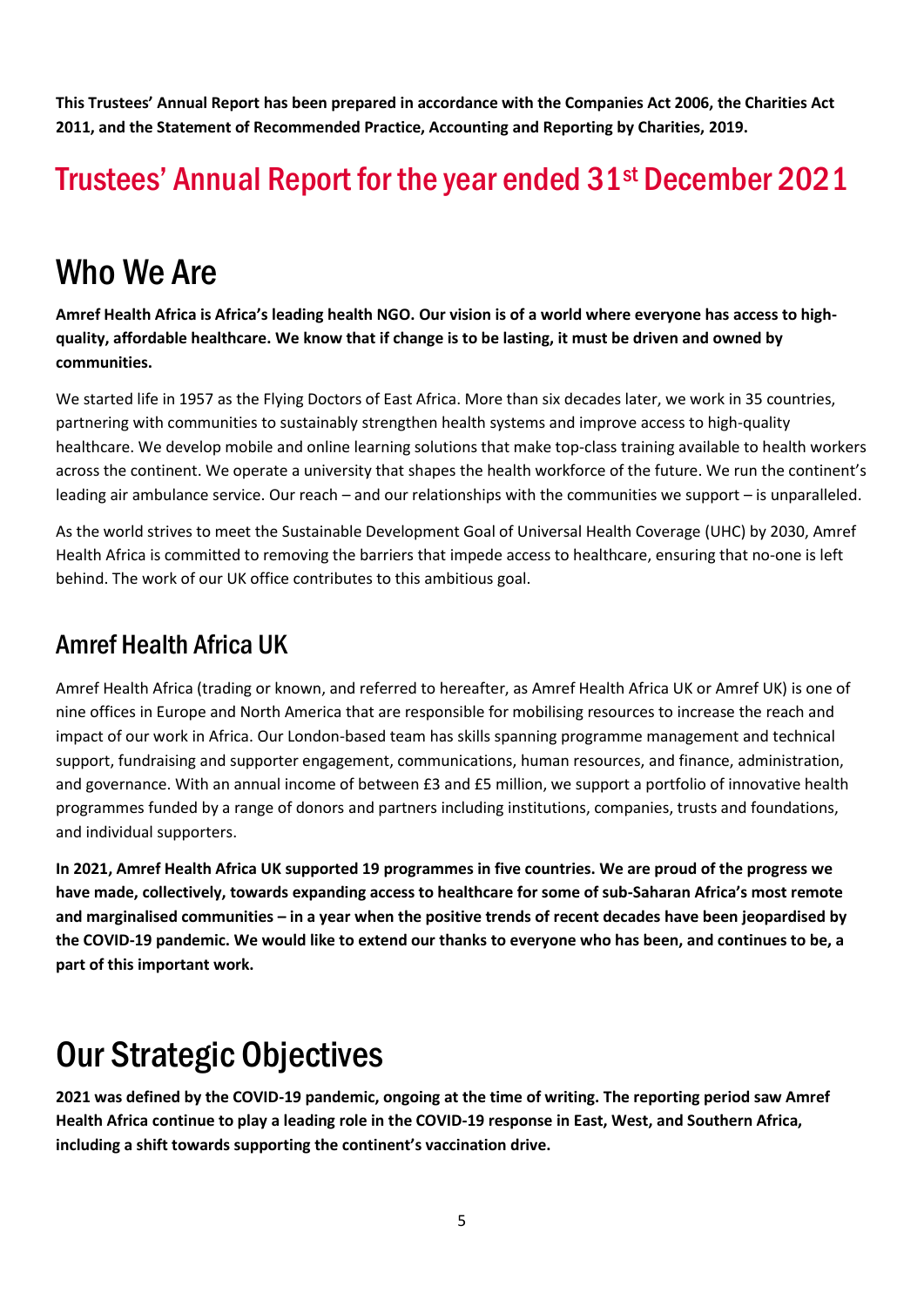**This Trustees' Annual Report has been prepared in accordance with the Companies Act 2006, the Charities Act 2011, and the Statement of Recommended Practice, Accounting and Reporting by Charities, 2019.**

# <span id="page-4-0"></span>Trustees' Annual Report for the year ended 31st December 2021

# <span id="page-4-1"></span>Who We Are

**Amref Health Africa is Africa's leading health NGO. Our vision is of a world where everyone has access to highquality, affordable healthcare. We know that if change is to be lasting, it must be driven and owned by communities.**

We started life in 1957 as the Flying Doctors of East Africa. More than six decades later, we work in 35 countries, partnering with communities to sustainably strengthen health systems and improve access to high-quality healthcare. We develop mobile and online learning solutions that make top-class training available to health workers across the continent. We operate a university that shapes the health workforce of the future. We run the continent's leading air ambulance service. Our reach – and our relationships with the communities we support – is unparalleled.

As the world strives to meet the Sustainable Development Goal of Universal Health Coverage (UHC) by 2030, Amref Health Africa is committed to removing the barriers that impede access to healthcare, ensuring that no-one is left behind. The work of our UK office contributes to this ambitious goal.

## Amref Health Africa UK

Amref Health Africa (trading or known, and referred to hereafter, as Amref Health Africa UK or Amref UK) is one of nine offices in Europe and North America that are responsible for mobilising resources to increase the reach and impact of our work in Africa. Our London-based team has skills spanning programme management and technical support, fundraising and supporter engagement, communications, human resources, and finance, administration, and governance. With an annual income of between £3 and £5 million, we support a portfolio of innovative health programmes funded by a range of donors and partners including institutions, companies, trusts and foundations, and individual supporters.

**In 2021, Amref Health Africa UK supported 19 programmes in five countries. We are proud of the progress we have made, collectively, towards expanding access to healthcare for some of sub-Saharan Africa's most remote and marginalised communities – in a year when the positive trends of recent decades have been jeopardised by the COVID-19 pandemic. We would like to extend our thanks to everyone who has been, and continues to be, a part of this important work.**

# <span id="page-4-2"></span>Our Strategic Objectives

**2021 was defined by the COVID-19 pandemic, ongoing at the time of writing. The reporting period saw Amref Health Africa continue to play a leading role in the COVID-19 response in East, West, and Southern Africa, including a shift towards supporting the continent's vaccination drive.**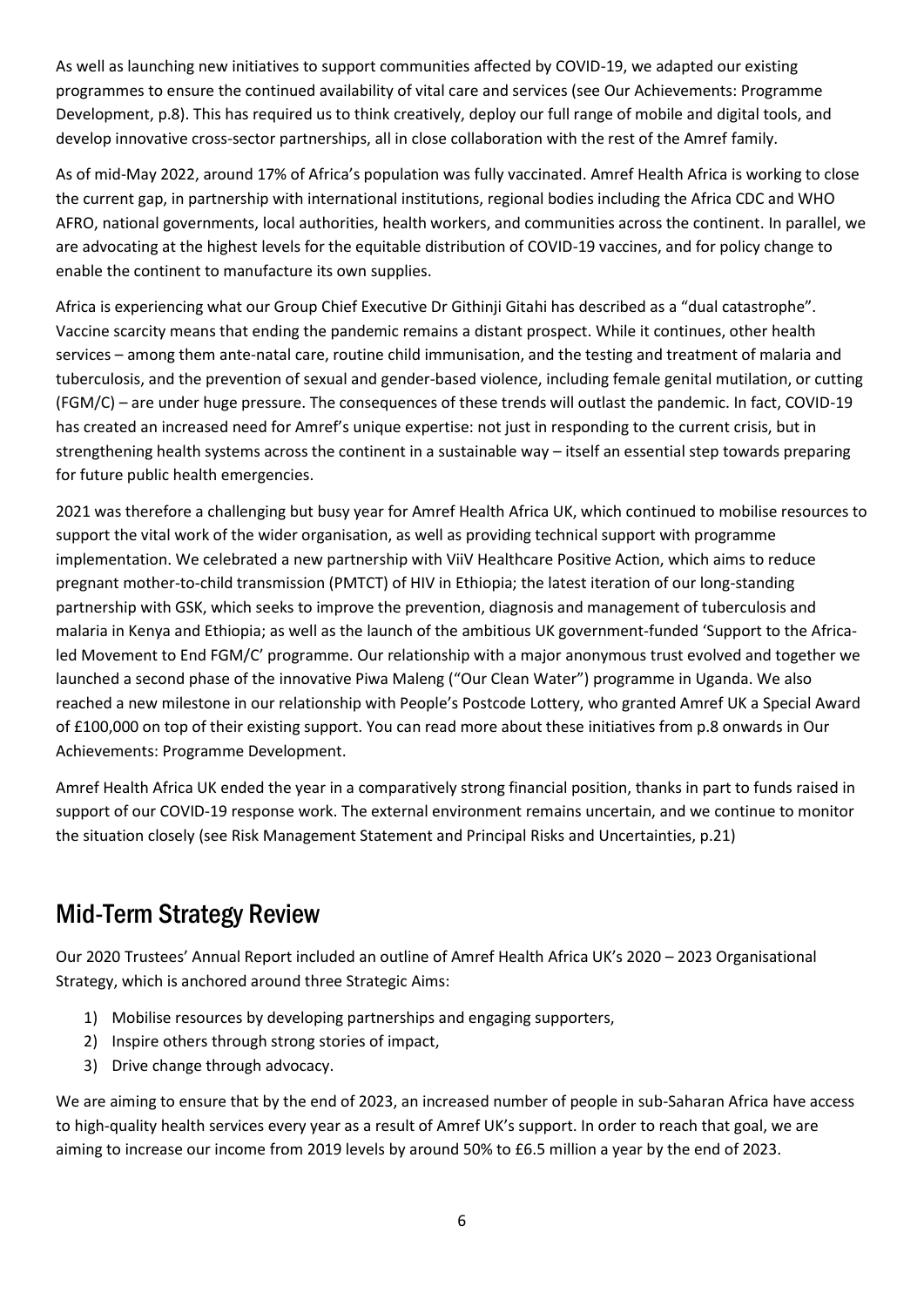As well as launching new initiatives to support communities affected by COVID-19, we adapted our existing programmes to ensure the continued availability of vital care and services (see Our Achievements: Programme Development, p.8). This has required us to think creatively, deploy our full range of mobile and digital tools, and develop innovative cross-sector partnerships, all in close collaboration with the rest of the Amref family.

As of mid-May 2022, around 17% of Africa's population was fully vaccinated. Amref Health Africa is working to close the current gap, in partnership with international institutions, regional bodies including the Africa CDC and WHO AFRO, national governments, local authorities, health workers, and communities across the continent. In parallel, we are advocating at the highest levels for the equitable distribution of COVID-19 vaccines, and for policy change to enable the continent to manufacture its own supplies.

Africa is experiencing what our Group Chief Executive Dr Githinji Gitahi has described as a "dual catastrophe". Vaccine scarcity means that ending the pandemic remains a distant prospect. While it continues, other health services – among them ante-natal care, routine child immunisation, and the testing and treatment of malaria and tuberculosis, and the prevention of sexual and gender-based violence, including female genital mutilation, or cutting (FGM/C) – are under huge pressure. The consequences of these trends will outlast the pandemic. In fact, COVID-19 has created an increased need for Amref's unique expertise: not just in responding to the current crisis, but in strengthening health systems across the continent in a sustainable way – itself an essential step towards preparing for future public health emergencies.

2021 was therefore a challenging but busy year for Amref Health Africa UK, which continued to mobilise resources to support the vital work of the wider organisation, as well as providing technical support with programme implementation. We celebrated a new partnership with ViiV Healthcare Positive Action, which aims to reduce pregnant mother-to-child transmission (PMTCT) of HIV in Ethiopia; the latest iteration of our long-standing partnership with GSK, which seeks to improve the prevention, diagnosis and management of tuberculosis and malaria in Kenya and Ethiopia; as well as the launch of the ambitious UK government-funded 'Support to the Africaled Movement to End FGM/C' programme. Our relationship with a major anonymous trust evolved and together we launched a second phase of the innovative Piwa Maleng ("Our Clean Water") programme in Uganda. We also reached a new milestone in our relationship with People's Postcode Lottery, who granted Amref UK a Special Award of £100,000 on top of their existing support. You can read more about these initiatives from p.8 onwards in Our Achievements: Programme Development.

Amref Health Africa UK ended the year in a comparatively strong financial position, thanks in part to funds raised in support of our COVID-19 response work. The external environment remains uncertain, and we continue to monitor the situation closely (see Risk Management Statement and Principal Risks and Uncertainties, p.21)

### Mid-Term Strategy Review

Our 2020 Trustees' Annual Report included an outline of Amref Health Africa UK's 2020 – 2023 Organisational Strategy, which is anchored around three Strategic Aims:

- 1) Mobilise resources by developing partnerships and engaging supporters,
- 2) Inspire others through strong stories of impact,
- 3) Drive change through advocacy.

We are aiming to ensure that by the end of 2023, an increased number of people in sub-Saharan Africa have access to high-quality health services every year as a result of Amref UK's support. In order to reach that goal, we are aiming to increase our income from 2019 levels by around 50% to £6.5 million a year by the end of 2023.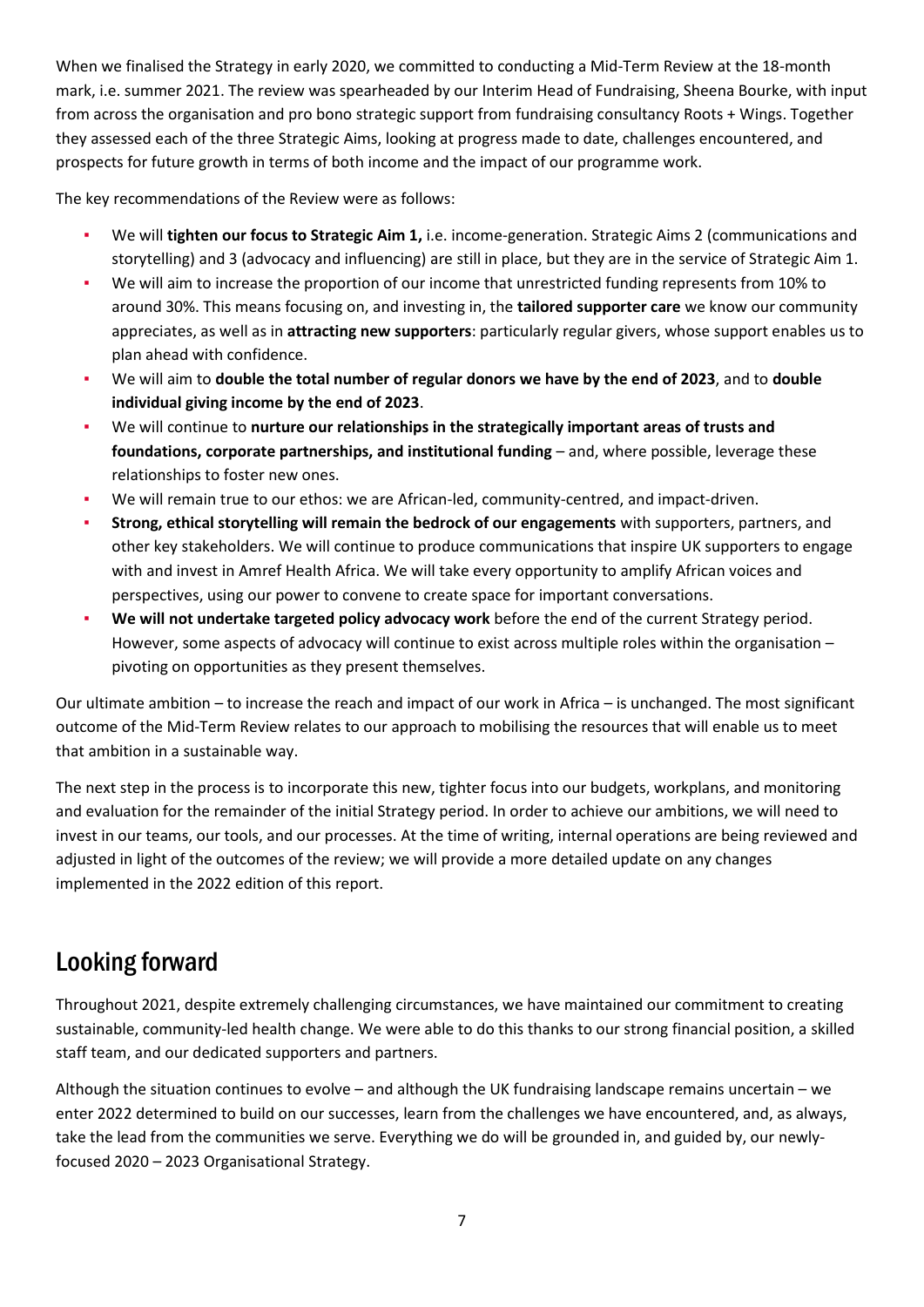When we finalised the Strategy in early 2020, we committed to conducting a Mid-Term Review at the 18-month mark, i.e. summer 2021. The review was spearheaded by our Interim Head of Fundraising, Sheena Bourke, with input from across the organisation and pro bono strategic support from fundraising consultancy Roots + Wings. Together they assessed each of the three Strategic Aims, looking at progress made to date, challenges encountered, and prospects for future growth in terms of both income and the impact of our programme work.

The key recommendations of the Review were as follows:

- We will **tighten our focus to Strategic Aim 1,** i.e. income-generation. Strategic Aims 2 (communications and storytelling) and 3 (advocacy and influencing) are still in place, but they are in the service of Strategic Aim 1.
- We will aim to increase the proportion of our income that unrestricted funding represents from 10% to around 30%. This means focusing on, and investing in, the **tailored supporter care** we know our community appreciates, as well as in **attracting new supporters**: particularly regular givers, whose support enables us to plan ahead with confidence.
- We will aim to **double the total number of regular donors we have by the end of 2023**, and to **double individual giving income by the end of 2023**.
- We will continue to nurture our relationships in the strategically important areas of trusts and foundations, corporate partnerships, and institutional funding - and, where possible, leverage these relationships to foster new ones.
- We will remain true to our ethos: we are African-led, community-centred, and impact-driven.
- **Strong, ethical storytelling will remain the bedrock of our engagements** with supporters, partners, and other key stakeholders. We will continue to produce communications that inspire UK supporters to engage with and invest in Amref Health Africa. We will take every opportunity to amplify African voices and perspectives, using our power to convene to create space for important conversations.
- We will not undertake targeted policy advocacy work before the end of the current Strategy period. However, some aspects of advocacy will continue to exist across multiple roles within the organisation – pivoting on opportunities as they present themselves.

Our ultimate ambition – to increase the reach and impact of our work in Africa – is unchanged. The most significant outcome of the Mid-Term Review relates to our approach to mobilising the resources that will enable us to meet that ambition in a sustainable way.

The next step in the process is to incorporate this new, tighter focus into our budgets, workplans, and monitoring and evaluation for the remainder of the initial Strategy period. In order to achieve our ambitions, we will need to invest in our teams, our tools, and our processes. At the time of writing, internal operations are being reviewed and adjusted in light of the outcomes of the review; we will provide a more detailed update on any changes implemented in the 2022 edition of this report.

## Looking forward

Throughout 2021, despite extremely challenging circumstances, we have maintained our commitment to creating sustainable, community-led health change. We were able to do this thanks to our strong financial position, a skilled staff team, and our dedicated supporters and partners.

Although the situation continues to evolve – and although the UK fundraising landscape remains uncertain – we enter 2022 determined to build on our successes, learn from the challenges we have encountered, and, as always, take the lead from the communities we serve. Everything we do will be grounded in, and guided by, our newlyfocused 2020 – 2023 Organisational Strategy.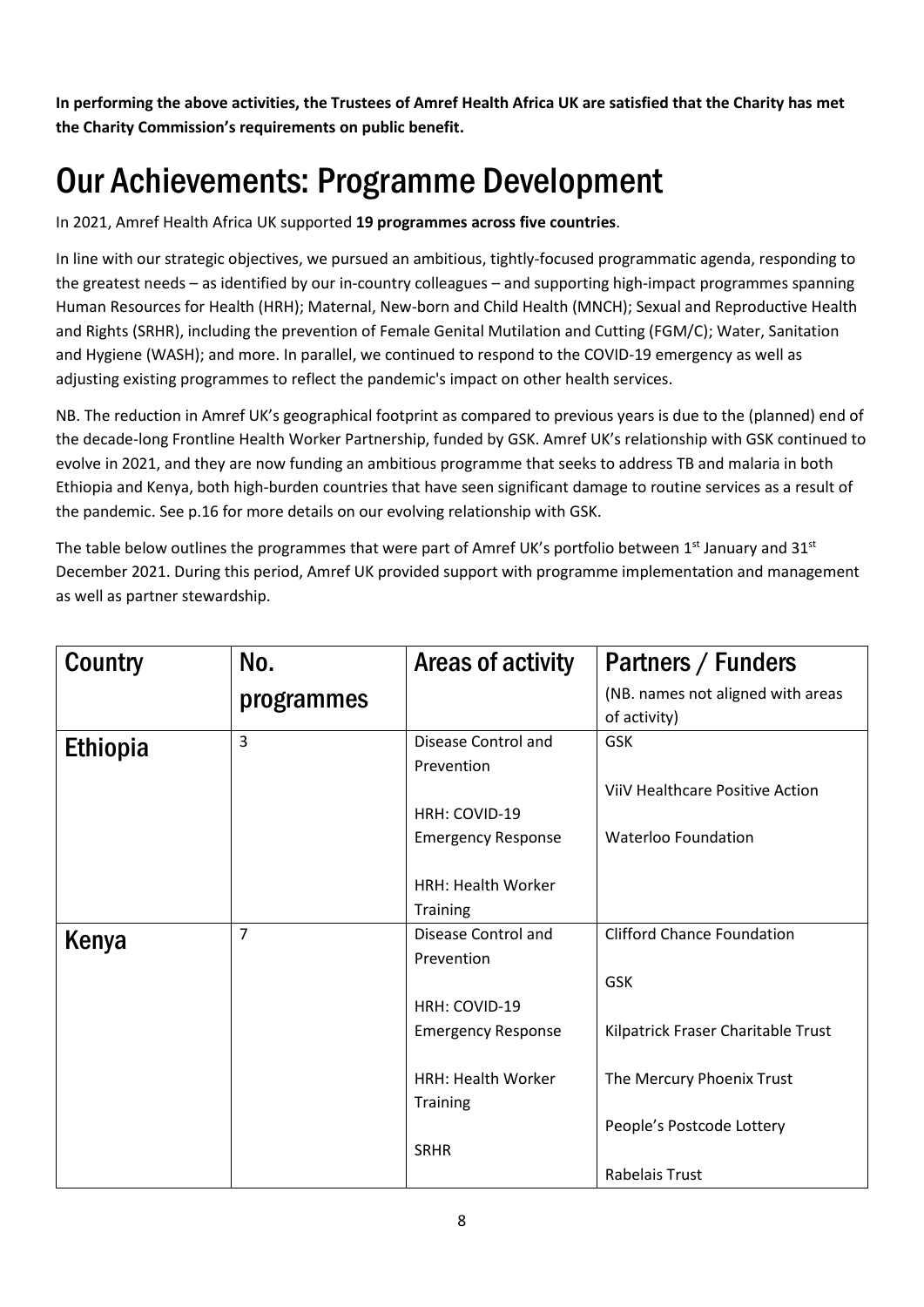**In performing the above activities, the Trustees of Amref Health Africa UK are satisfied that the Charity has met the Charity Commission's requirements on public benefit.**

# <span id="page-7-0"></span>Our Achievements: Programme Development

In 2021, Amref Health Africa UK supported **19 programmes across five countries**.

In line with our strategic objectives, we pursued an ambitious, tightly-focused programmatic agenda, responding to the greatest needs – as identified by our in-country colleagues – and supporting high-impact programmes spanning Human Resources for Health (HRH); Maternal, New-born and Child Health (MNCH); Sexual and Reproductive Health and Rights (SRHR), including the prevention of Female Genital Mutilation and Cutting (FGM/C); Water, Sanitation and Hygiene (WASH); and more. In parallel, we continued to respond to the COVID-19 emergency as well as adjusting existing programmes to reflect the pandemic's impact on other health services.

NB. The reduction in Amref UK's geographical footprint as compared to previous years is due to the (planned) end of the decade-long Frontline Health Worker Partnership, funded by GSK. Amref UK's relationship with GSK continued to evolve in 2021, and they are now funding an ambitious programme that seeks to address TB and malaria in both Ethiopia and Kenya, both high-burden countries that have seen significant damage to routine services as a result of the pandemic. See p.16 for more details on our evolving relationship with GSK.

The table below outlines the programmes that were part of Amref UK's portfolio between 1<sup>st</sup> January and 31<sup>st</sup> December 2021. During this period, Amref UK provided support with programme implementation and management as well as partner stewardship.

| Country         | No.            | Areas of activity         | Partners / Funders                     |
|-----------------|----------------|---------------------------|----------------------------------------|
|                 | programmes     |                           | (NB. names not aligned with areas      |
|                 |                |                           | of activity)                           |
| <b>Ethiopia</b> | 3              | Disease Control and       | GSK                                    |
|                 |                | Prevention                |                                        |
|                 |                |                           | <b>ViiV Healthcare Positive Action</b> |
|                 |                | HRH: COVID-19             |                                        |
|                 |                | <b>Emergency Response</b> | <b>Waterloo Foundation</b>             |
|                 |                |                           |                                        |
|                 |                | <b>HRH: Health Worker</b> |                                        |
|                 |                | Training                  |                                        |
| Kenya           | $\overline{7}$ | Disease Control and       | <b>Clifford Chance Foundation</b>      |
|                 |                | Prevention                |                                        |
|                 |                |                           | <b>GSK</b>                             |
|                 |                | HRH: COVID-19             |                                        |
|                 |                | <b>Emergency Response</b> | Kilpatrick Fraser Charitable Trust     |
|                 |                |                           |                                        |
|                 |                | <b>HRH: Health Worker</b> | The Mercury Phoenix Trust              |
|                 |                | Training                  |                                        |
|                 |                |                           | People's Postcode Lottery              |
|                 |                | <b>SRHR</b>               |                                        |
|                 |                |                           | <b>Rabelais Trust</b>                  |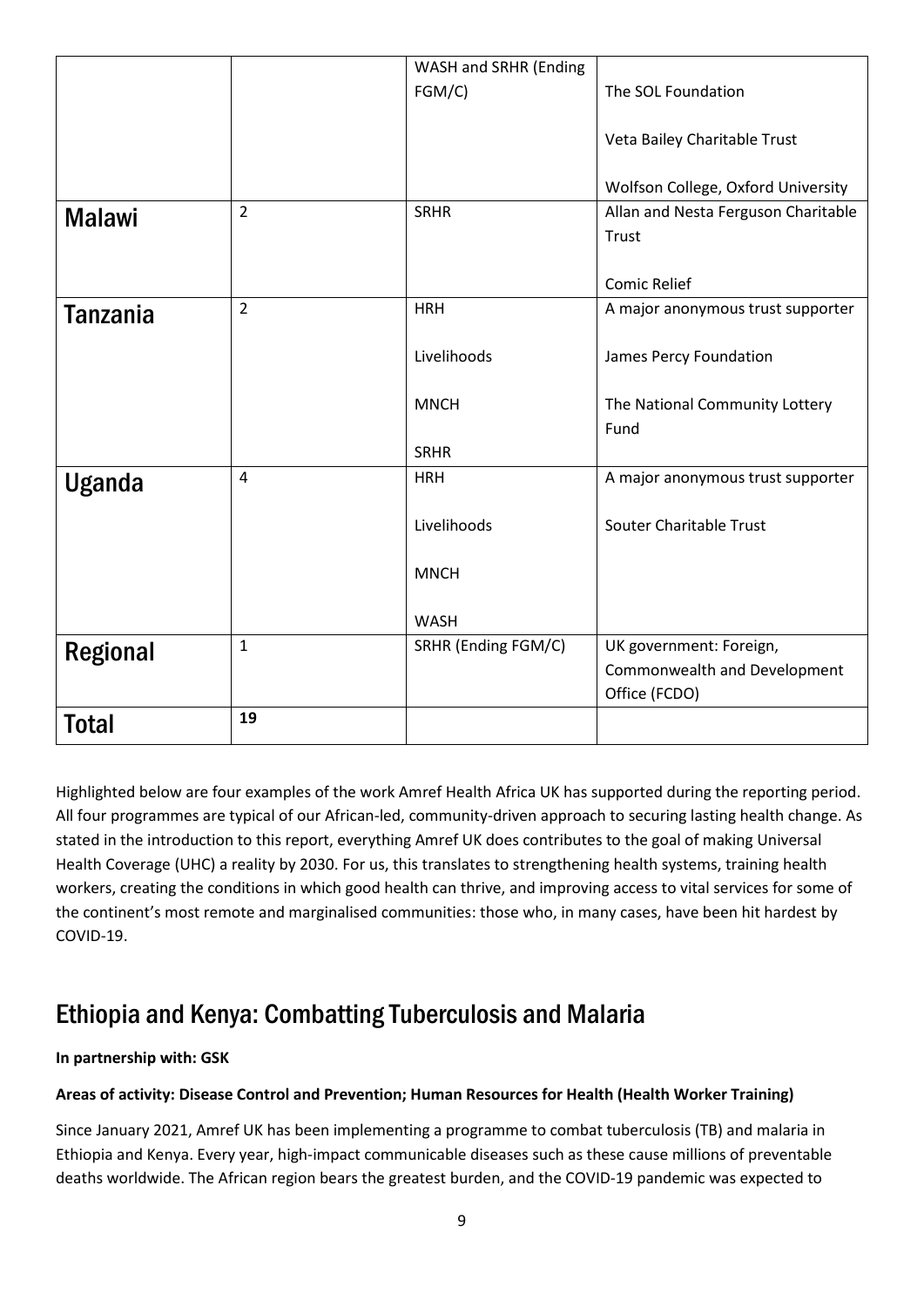|                 |                | WASH and SRHR (Ending |                                     |
|-----------------|----------------|-----------------------|-------------------------------------|
|                 |                | FGM/C)                | The SOL Foundation                  |
|                 |                |                       |                                     |
|                 |                |                       | Veta Bailey Charitable Trust        |
|                 |                |                       |                                     |
|                 |                |                       | Wolfson College, Oxford University  |
| <b>Malawi</b>   | $\overline{2}$ | <b>SRHR</b>           | Allan and Nesta Ferguson Charitable |
|                 |                |                       | Trust                               |
|                 |                |                       |                                     |
|                 |                |                       | <b>Comic Relief</b>                 |
| <b>Tanzania</b> | $\overline{2}$ | <b>HRH</b>            | A major anonymous trust supporter   |
|                 |                |                       |                                     |
|                 |                | Livelihoods           | James Percy Foundation              |
|                 |                |                       |                                     |
|                 |                | <b>MNCH</b>           | The National Community Lottery      |
|                 |                |                       | Fund                                |
|                 |                | <b>SRHR</b>           |                                     |
| <b>Uganda</b>   | $\overline{4}$ | <b>HRH</b>            | A major anonymous trust supporter   |
|                 |                |                       |                                     |
|                 |                | Livelihoods           | Souter Charitable Trust             |
|                 |                |                       |                                     |
|                 |                | <b>MNCH</b>           |                                     |
|                 |                |                       |                                     |
|                 | $\mathbf 1$    | <b>WASH</b>           |                                     |
| <b>Regional</b> |                | SRHR (Ending FGM/C)   | UK government: Foreign,             |
|                 |                |                       | Commonwealth and Development        |
|                 |                |                       | Office (FCDO)                       |
| <b>Total</b>    | 19             |                       |                                     |

Highlighted below are four examples of the work Amref Health Africa UK has supported during the reporting period. All four programmes are typical of our African-led, community-driven approach to securing lasting health change. As stated in the introduction to this report, everything Amref UK does contributes to the goal of making Universal Health Coverage (UHC) a reality by 2030. For us, this translates to strengthening health systems, training health workers, creating the conditions in which good health can thrive, and improving access to vital services for some of the continent's most remote and marginalised communities: those who, in many cases, have been hit hardest by COVID-19.

### Ethiopia and Kenya: Combatting Tuberculosis and Malaria

### **In partnership with: GSK**

### **Areas of activity: Disease Control and Prevention; Human Resources for Health (Health Worker Training)**

Since January 2021, Amref UK has been implementing a programme to combat tuberculosis (TB) and malaria in Ethiopia and Kenya. Every year, high-impact communicable diseases such as these cause millions of preventable deaths worldwide. The African region bears the greatest burden, and the COVID-19 pandemic was expected to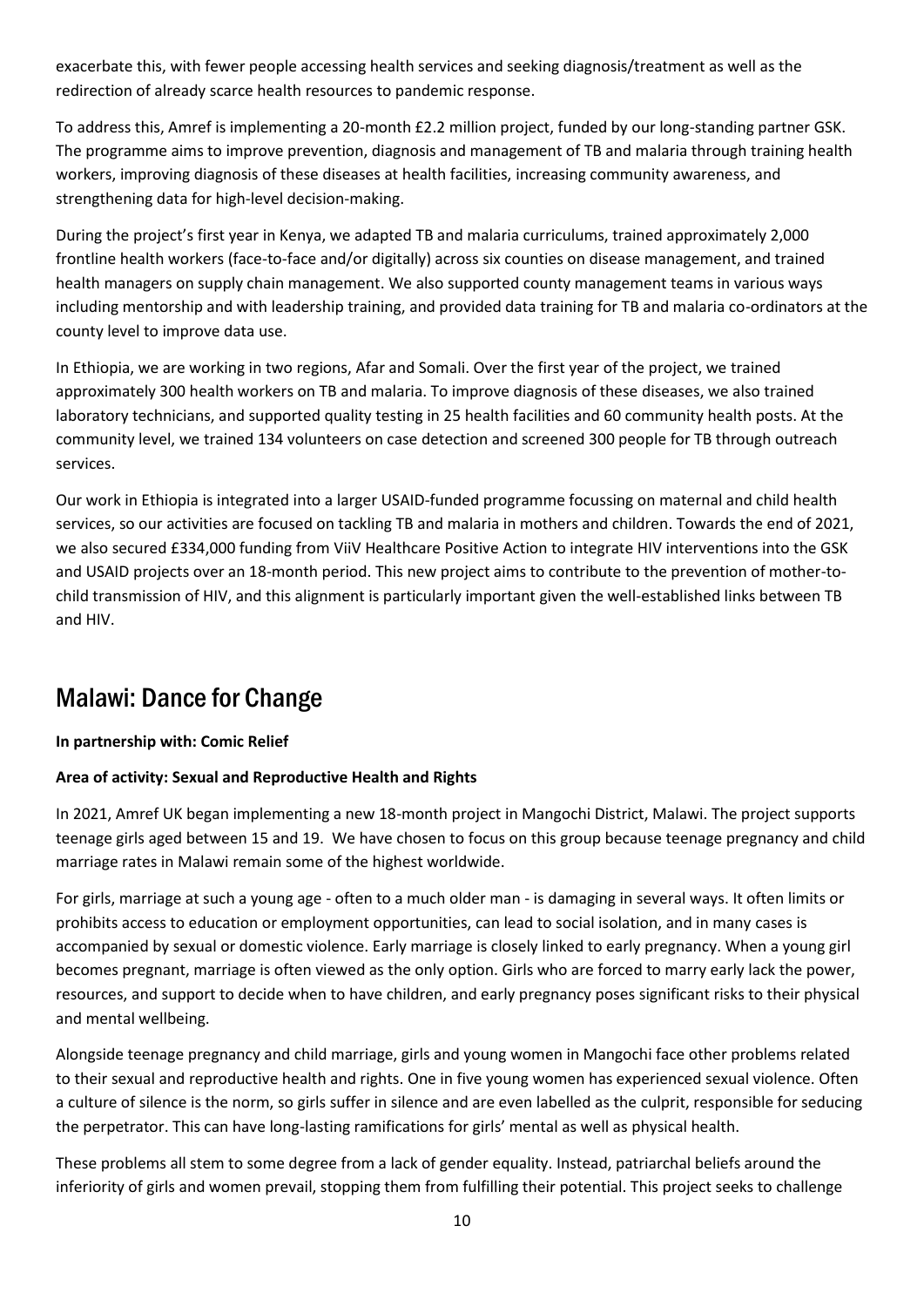exacerbate this, with fewer people accessing health services and seeking diagnosis/treatment as well as the redirection of already scarce health resources to pandemic response.

To address this, Amref is implementing a 20-month £2.2 million project, funded by our long-standing partner GSK. The programme aims to improve prevention, diagnosis and management of TB and malaria through training health workers, improving diagnosis of these diseases at health facilities, increasing community awareness, and strengthening data for high-level decision-making.

During the project's first year in Kenya, we adapted TB and malaria curriculums, trained approximately 2,000 frontline health workers (face-to-face and/or digitally) across six counties on disease management, and trained health managers on supply chain management. We also supported county management teams in various ways including mentorship and with leadership training, and provided data training for TB and malaria co-ordinators at the county level to improve data use.

In Ethiopia, we are working in two regions, Afar and Somali. Over the first year of the project, we trained approximately 300 health workers on TB and malaria. To improve diagnosis of these diseases, we also trained laboratory technicians, and supported quality testing in 25 health facilities and 60 community health posts. At the community level, we trained 134 volunteers on case detection and screened 300 people for TB through outreach services.

Our work in Ethiopia is integrated into a larger USAID-funded programme focussing on maternal and child health services, so our activities are focused on tackling TB and malaria in mothers and children. Towards the end of 2021, we also secured £334,000 funding from ViiV Healthcare Positive Action to integrate HIV interventions into the GSK and USAID projects over an 18-month period. This new project aims to contribute to the prevention of mother-tochild transmission of HIV, and this alignment is particularly important given the well-established links between TB and HIV.

## Malawi: Dance for Change

### **In partnership with: Comic Relief**

### **Area of activity: Sexual and Reproductive Health and Rights**

In 2021, Amref UK began implementing a new 18-month project in Mangochi District, Malawi. The project supports teenage girls aged between 15 and 19. We have chosen to focus on this group because teenage pregnancy and child marriage rates in Malawi remain some of the highest worldwide.

For girls, marriage at such a young age - often to a much older man - is damaging in several ways. It often limits or prohibits access to education or employment opportunities, can lead to social isolation, and in many cases is accompanied by sexual or domestic violence. Early marriage is closely linked to early pregnancy. When a young girl becomes pregnant, marriage is often viewed as the only option. Girls who are forced to marry early lack the power, resources, and support to decide when to have children, and early pregnancy poses significant risks to their physical and mental wellbeing.

Alongside teenage pregnancy and child marriage, girls and young women in Mangochi face other problems related to their sexual and reproductive health and rights. One in five young women has experienced sexual violence. Often a culture of silence is the norm, so girls suffer in silence and are even labelled as the culprit, responsible for seducing the perpetrator. This can have long-lasting ramifications for girls' mental as well as physical health.

These problems all stem to some degree from a lack of gender equality. Instead, patriarchal beliefs around the inferiority of girls and women prevail, stopping them from fulfilling their potential. This project seeks to challenge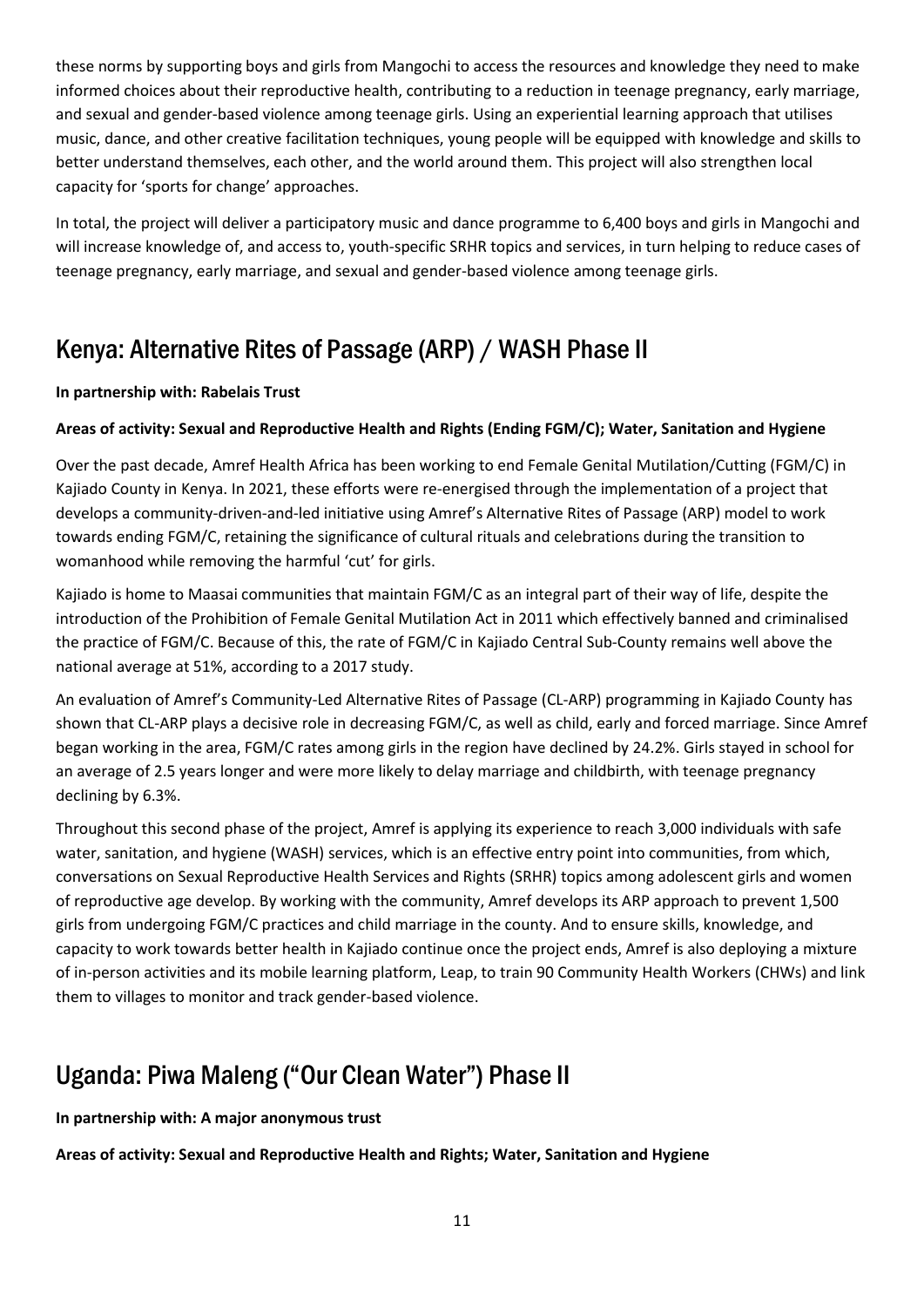these norms by supporting boys and girls from Mangochi to access the resources and knowledge they need to make informed choices about their reproductive health, contributing to a reduction in teenage pregnancy, early marriage, and sexual and gender-based violence among teenage girls. Using an experiential learning approach that utilises music, dance, and other creative facilitation techniques, young people will be equipped with knowledge and skills to better understand themselves, each other, and the world around them. This project will also strengthen local capacity for 'sports for change' approaches.

In total, the project will deliver a participatory music and dance programme to 6,400 boys and girls in Mangochi and will increase knowledge of, and access to, youth-specific SRHR topics and services, in turn helping to reduce cases of teenage pregnancy, early marriage, and sexual and gender-based violence among teenage girls.

# Kenya: Alternative Rites of Passage (ARP) / WASH Phase II

### **In partnership with: Rabelais Trust**

### **Areas of activity: Sexual and Reproductive Health and Rights (Ending FGM/C); Water, Sanitation and Hygiene**

Over the past decade, Amref Health Africa has been working to end Female Genital Mutilation/Cutting (FGM/C) in Kajiado County in Kenya. In 2021, these efforts were re-energised through the implementation of a project that develops a community-driven-and-led initiative using Amref's Alternative Rites of Passage (ARP) model to work towards ending FGM/C, retaining the significance of cultural rituals and celebrations during the transition to womanhood while removing the harmful 'cut' for girls.

Kajiado is home to Maasai communities that maintain FGM/C as an integral part of their way of life, despite the introduction of the Prohibition of Female Genital Mutilation Act in 2011 which effectively banned and criminalised the practice of FGM/C. Because of this, the rate of FGM/C in Kajiado Central Sub-County remains well above the national average at 51%, according to a 2017 study.

An evaluation of Amref's Community-Led Alternative Rites of Passage (CL-ARP) programming in Kajiado County has shown that CL-ARP plays a decisive role in decreasing FGM/C, as well as child, early and forced marriage. Since Amref began working in the area, FGM/C rates among girls in the region have declined by 24.2%. Girls stayed in school for an average of 2.5 years longer and were more likely to delay marriage and childbirth, with teenage pregnancy declining by 6.3%.

Throughout this second phase of the project, Amref is applying its experience to reach 3,000 individuals with safe water, sanitation, and hygiene (WASH) services, which is an effective entry point into communities, from which, conversations on Sexual Reproductive Health Services and Rights (SRHR) topics among adolescent girls and women of reproductive age develop. By working with the community, Amref develops its ARP approach to prevent 1,500 girls from undergoing FGM/C practices and child marriage in the county. And to ensure skills, knowledge, and capacity to work towards better health in Kajiado continue once the project ends, Amref is also deploying a mixture of in-person activities and its mobile learning platform, Leap, to train 90 Community Health Workers (CHWs) and link them to villages to monitor and track gender-based violence.

### Uganda: Piwa Maleng ("Our Clean Water") Phase II

**In partnership with: A major anonymous trust**

**Areas of activity: Sexual and Reproductive Health and Rights; Water, Sanitation and Hygiene**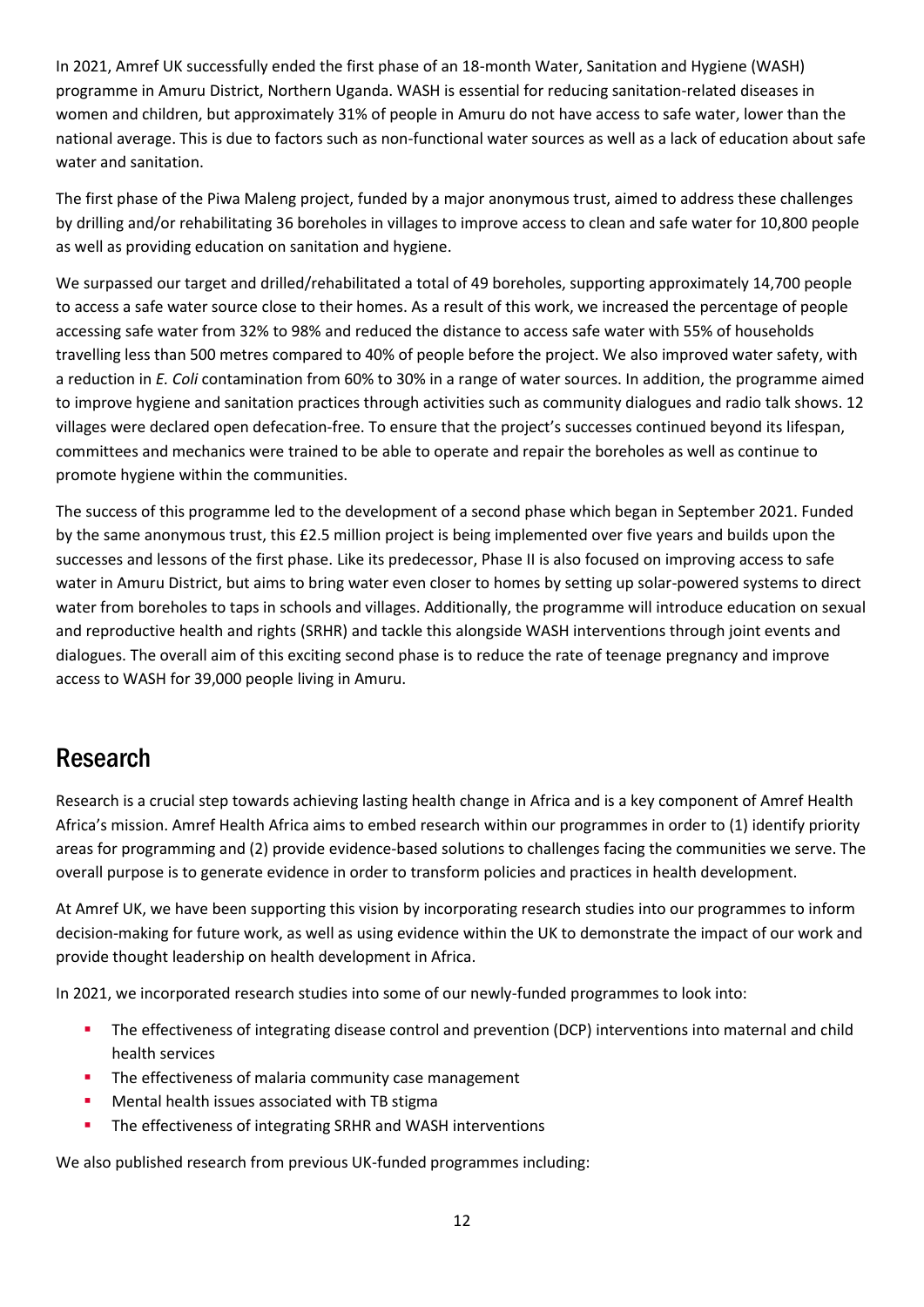In 2021, Amref UK successfully ended the first phase of an 18-month Water, Sanitation and Hygiene (WASH) programme in Amuru District, Northern Uganda. WASH is essential for reducing sanitation-related diseases in women and children, but approximately 31% of people in Amuru do not have access to safe water, lower than the national average. This is due to factors such as non-functional water sources as well as a lack of education about safe water and sanitation.

The first phase of the Piwa Maleng project, funded by a major anonymous trust, aimed to address these challenges by drilling and/or rehabilitating 36 boreholes in villages to improve access to clean and safe water for 10,800 people as well as providing education on sanitation and hygiene.

We surpassed our target and drilled/rehabilitated a total of 49 boreholes, supporting approximately 14,700 people to access a safe water source close to their homes. As a result of this work, we increased the percentage of people accessing safe water from 32% to 98% and reduced the distance to access safe water with 55% of households travelling less than 500 metres compared to 40% of people before the project. We also improved water safety, with a reduction in *E. Coli* contamination from 60% to 30% in a range of water sources. In addition, the programme aimed to improve hygiene and sanitation practices through activities such as community dialogues and radio talk shows. 12 villages were declared open defecation-free. To ensure that the project's successes continued beyond its lifespan, committees and mechanics were trained to be able to operate and repair the boreholes as well as continue to promote hygiene within the communities.

The success of this programme led to the development of a second phase which began in September 2021. Funded by the same anonymous trust, this £2.5 million project is being implemented over five years and builds upon the successes and lessons of the first phase. Like its predecessor, Phase II is also focused on improving access to safe water in Amuru District, but aims to bring water even closer to homes by setting up solar-powered systems to direct water from boreholes to taps in schools and villages. Additionally, the programme will introduce education on sexual and reproductive health and rights (SRHR) and tackle this alongside WASH interventions through joint events and dialogues. The overall aim of this exciting second phase is to reduce the rate of teenage pregnancy and improve access to WASH for 39,000 people living in Amuru.

### Research

Research is a crucial step towards achieving lasting health change in Africa and is a key component of Amref Health Africa's mission. Amref Health Africa aims to embed research within our programmes in order to (1) identify priority areas for programming and (2) provide evidence-based solutions to challenges facing the communities we serve. The overall purpose is to generate evidence in order to transform policies and practices in health development.

At Amref UK, we have been supporting this vision by incorporating research studies into our programmes to inform decision-making for future work, as well as using evidence within the UK to demonstrate the impact of our work and provide thought leadership on health development in Africa.

In 2021, we incorporated research studies into some of our newly-funded programmes to look into:

- **•** The effectiveness of integrating disease control and prevention (DCP) interventions into maternal and child health services
- **·** The effectiveness of malaria community case management
- Mental health issues associated with TB stigma
- **·** The effectiveness of integrating SRHR and WASH interventions

We also published research from previous UK-funded programmes including: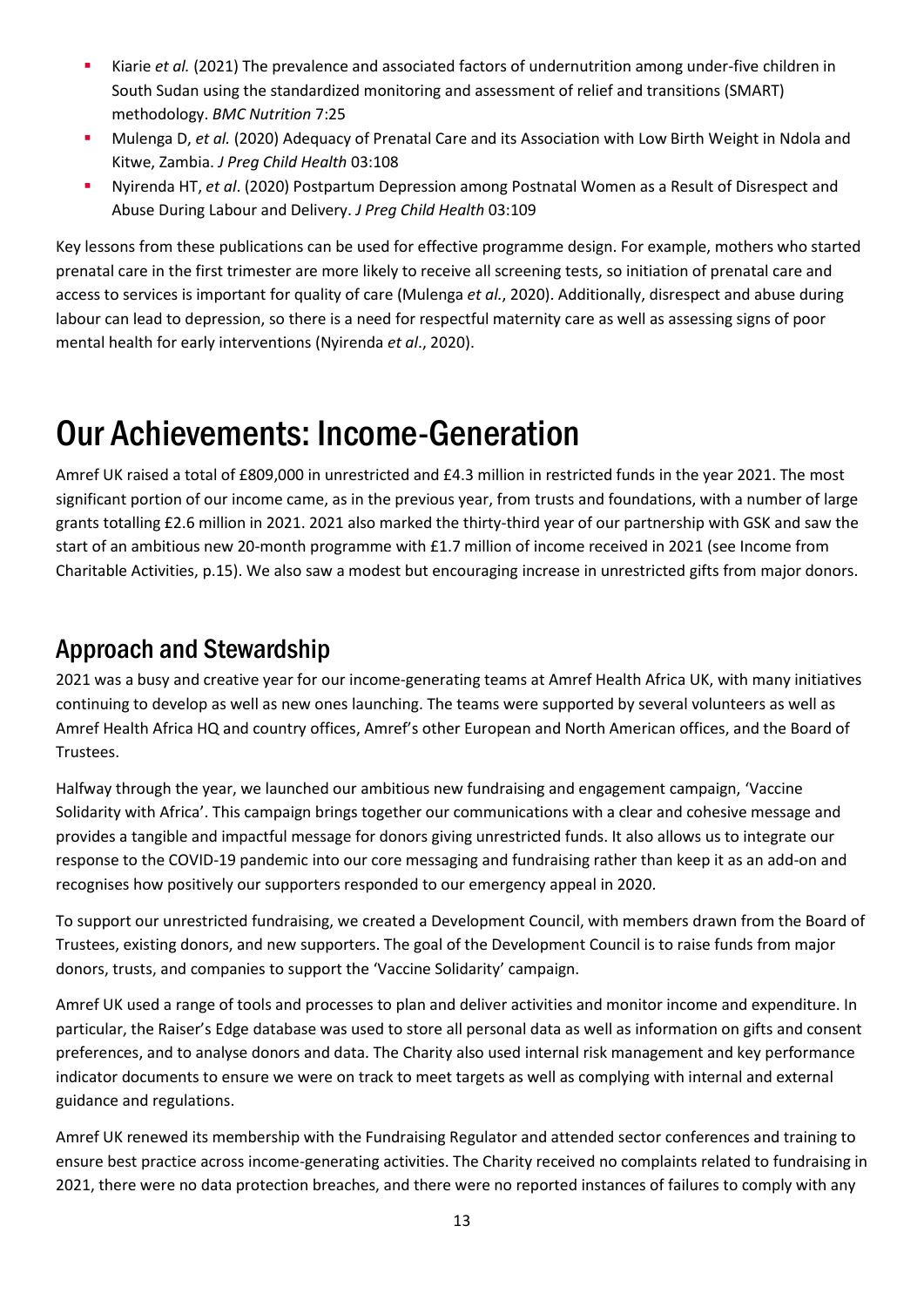- Kiarie *et al.* (2021) The prevalence and associated factors of undernutrition among under-five children in South Sudan using the standardized monitoring and assessment of relief and transitions (SMART) methodology. *BMC Nutrition* 7:25
- Mulenga D, *et al.* (2020) Adequacy of Prenatal Care and its Association with Low Birth Weight in Ndola and Kitwe, Zambia. *J Preg Child Health* 03:108
- Nyirenda HT, *et al*. (2020) Postpartum Depression among Postnatal Women as a Result of Disrespect and Abuse During Labour and Delivery. *J Preg Child Health* 03:109

Key lessons from these publications can be used for effective programme design. For example, mothers who started prenatal care in the first trimester are more likely to receive all screening tests, so initiation of prenatal care and access to services is important for quality of care (Mulenga *et al.*, 2020). Additionally, disrespect and abuse during labour can lead to depression, so there is a need for respectful maternity care as well as assessing signs of poor mental health for early interventions (Nyirenda *et al*., 2020).

# <span id="page-12-0"></span>Our Achievements: Income-Generation

Amref UK raised a total of £809,000 in unrestricted and £4.3 million in restricted funds in the year 2021. The most significant portion of our income came, as in the previous year, from trusts and foundations, with a number of large grants totalling £2.6 million in 2021. 2021 also marked the thirty-third year of our partnership with GSK and saw the start of an ambitious new 20-month programme with £1.7 million of income received in 2021 (see Income from Charitable Activities, p.15). We also saw a modest but encouraging increase in unrestricted gifts from major donors.

## Approach and Stewardship

2021 was a busy and creative year for our income-generating teams at Amref Health Africa UK, with many initiatives continuing to develop as well as new ones launching. The teams were supported by several volunteers as well as Amref Health Africa HQ and country offices, Amref's other European and North American offices, and the Board of Trustees.

Halfway through the year, we launched our ambitious new fundraising and engagement campaign, 'Vaccine Solidarity with Africa'. This campaign brings together our communications with a clear and cohesive message and provides a tangible and impactful message for donors giving unrestricted funds. It also allows us to integrate our response to the COVID-19 pandemic into our core messaging and fundraising rather than keep it as an add-on and recognises how positively our supporters responded to our emergency appeal in 2020.

To support our unrestricted fundraising, we created a Development Council, with members drawn from the Board of Trustees, existing donors, and new supporters. The goal of the Development Council is to raise funds from major donors, trusts, and companies to support the 'Vaccine Solidarity' campaign.

Amref UK used a range of tools and processes to plan and deliver activities and monitor income and expenditure. In particular, the Raiser's Edge database was used to store all personal data as well as information on gifts and consent preferences, and to analyse donors and data. The Charity also used internal risk management and key performance indicator documents to ensure we were on track to meet targets as well as complying with internal and external guidance and regulations.

Amref UK renewed its membership with the Fundraising Regulator and attended sector conferences and training to ensure best practice across income-generating activities. The Charity received no complaints related to fundraising in 2021, there were no data protection breaches, and there were no reported instances of failures to comply with any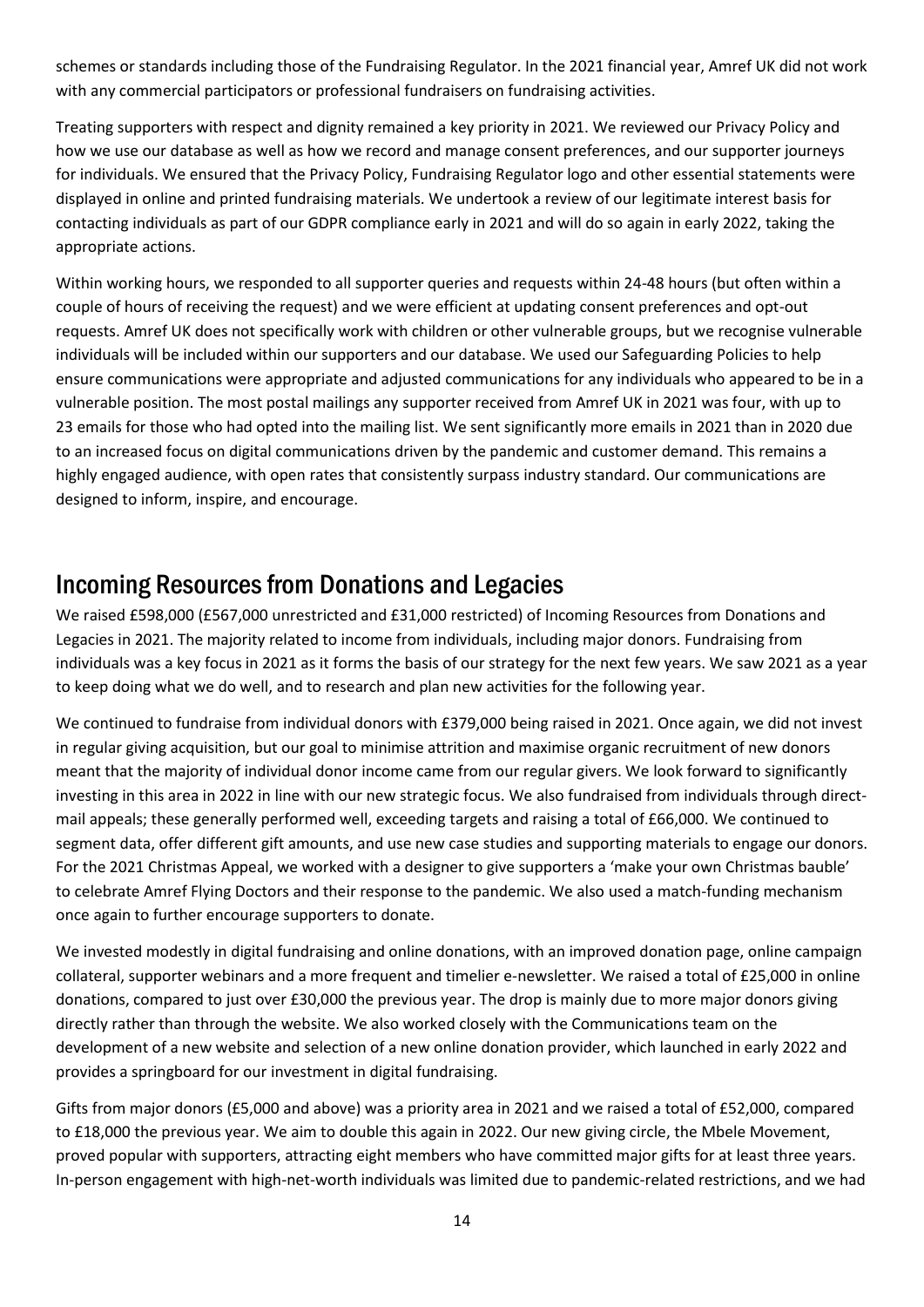schemes or standards including those of the Fundraising Regulator. In the 2021 financial year, Amref UK did not work with any commercial participators or professional fundraisers on fundraising activities.

Treating supporters with respect and dignity remained a key priority in 2021. We reviewed our Privacy Policy and how we use our database as well as how we record and manage consent preferences, and our supporter journeys for individuals. We ensured that the Privacy Policy, Fundraising Regulator logo and other essential statements were displayed in online and printed fundraising materials. We undertook a review of our legitimate interest basis for contacting individuals as part of our GDPR compliance early in 2021 and will do so again in early 2022, taking the appropriate actions.

Within working hours, we responded to all supporter queries and requests within 24-48 hours (but often within a couple of hours of receiving the request) and we were efficient at updating consent preferences and opt-out requests. Amref UK does not specifically work with children or other vulnerable groups, but we recognise vulnerable individuals will be included within our supporters and our database. We used our Safeguarding Policies to help ensure communications were appropriate and adjusted communications for any individuals who appeared to be in a vulnerable position. The most postal mailings any supporter received from Amref UK in 2021 was four, with up to 23 emails for those who had opted into the mailing list. We sent significantly more emails in 2021 than in 2020 due to an increased focus on digital communications driven by the pandemic and customer demand. This remains a highly engaged audience, with open rates that consistently surpass industry standard. Our communications are designed to inform, inspire, and encourage.

### Incoming Resources from Donations and Legacies

We raised £598,000 (£567,000 unrestricted and £31,000 restricted) of Incoming Resources from Donations and Legacies in 2021. The majority related to income from individuals, including major donors. Fundraising from individuals was a key focus in 2021 as it forms the basis of our strategy for the next few years. We saw 2021 as a year to keep doing what we do well, and to research and plan new activities for the following year.

We continued to fundraise from individual donors with £379,000 being raised in 2021. Once again, we did not invest in regular giving acquisition, but our goal to minimise attrition and maximise organic recruitment of new donors meant that the majority of individual donor income came from our regular givers. We look forward to significantly investing in this area in 2022 in line with our new strategic focus. We also fundraised from individuals through directmail appeals; these generally performed well, exceeding targets and raising a total of £66,000. We continued to segment data, offer different gift amounts, and use new case studies and supporting materials to engage our donors. For the 2021 Christmas Appeal, we worked with a designer to give supporters a 'make your own Christmas bauble' to celebrate Amref Flying Doctors and their response to the pandemic. We also used a match-funding mechanism once again to further encourage supporters to donate.

We invested modestly in digital fundraising and online donations, with an improved donation page, online campaign collateral, supporter webinars and a more frequent and timelier e-newsletter. We raised a total of £25,000 in online donations, compared to just over £30,000 the previous year. The drop is mainly due to more major donors giving directly rather than through the website. We also worked closely with the Communications team on the development of a new website and selection of a new online donation provider, which launched in early 2022 and provides a springboard for our investment in digital fundraising.

Gifts from major donors (£5,000 and above) was a priority area in 2021 and we raised a total of £52,000, compared to £18,000 the previous year. We aim to double this again in 2022. Our new giving circle, the Mbele Movement, proved popular with supporters, attracting eight members who have committed major gifts for at least three years. In-person engagement with high-net-worth individuals was limited due to pandemic-related restrictions, and we had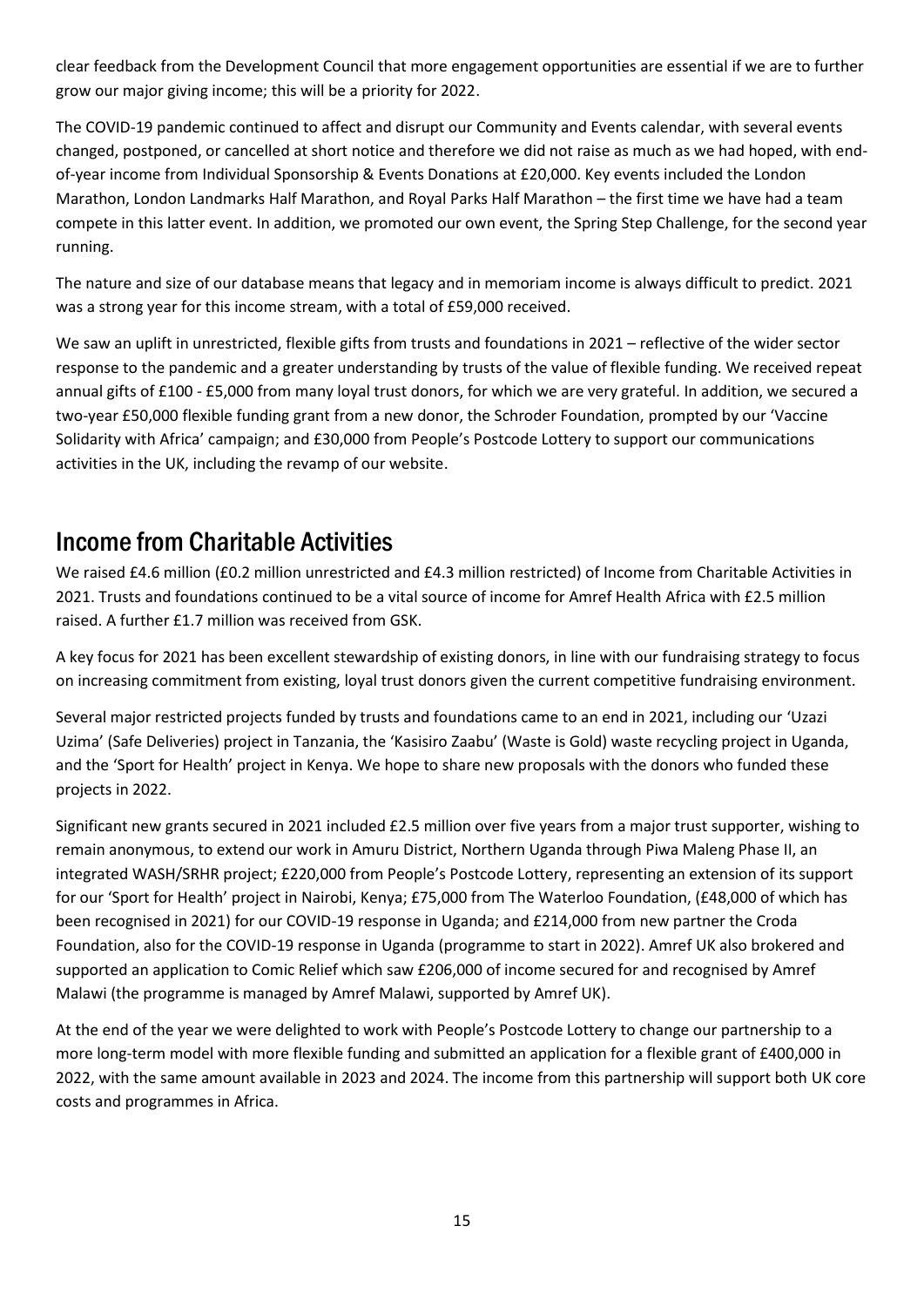clear feedback from the Development Council that more engagement opportunities are essential if we are to further grow our major giving income; this will be a priority for 2022.

The COVID-19 pandemic continued to affect and disrupt our Community and Events calendar, with several events changed, postponed, or cancelled at short notice and therefore we did not raise as much as we had hoped, with endof-year income from Individual Sponsorship & Events Donations at £20,000. Key events included the London Marathon, London Landmarks Half Marathon, and Royal Parks Half Marathon – the first time we have had a team compete in this latter event. In addition, we promoted our own event, the Spring Step Challenge, for the second year running.

The nature and size of our database means that legacy and in memoriam income is always difficult to predict. 2021 was a strong year for this income stream, with a total of £59,000 received.

We saw an uplift in unrestricted, flexible gifts from trusts and foundations in 2021 – reflective of the wider sector response to the pandemic and a greater understanding by trusts of the value of flexible funding. We received repeat annual gifts of £100 - £5,000 from many loyal trust donors, for which we are very grateful. In addition, we secured a two-year £50,000 flexible funding grant from a new donor, the Schroder Foundation, prompted by our 'Vaccine Solidarity with Africa' campaign; and £30,000 from People's Postcode Lottery to support our communications activities in the UK, including the revamp of our website.

### Income from Charitable Activities

We raised £4.6 million (£0.2 million unrestricted and £4.3 million restricted) of Income from Charitable Activities in 2021. Trusts and foundations continued to be a vital source of income for Amref Health Africa with £2.5 million raised. A further £1.7 million was received from GSK.

A key focus for 2021 has been excellent stewardship of existing donors, in line with our fundraising strategy to focus on increasing commitment from existing, loyal trust donors given the current competitive fundraising environment.

Several major restricted projects funded by trusts and foundations came to an end in 2021, including our 'Uzazi Uzima' (Safe Deliveries) project in Tanzania, the 'Kasisiro Zaabu' (Waste is Gold) waste recycling project in Uganda, and the 'Sport for Health' project in Kenya. We hope to share new proposals with the donors who funded these projects in 2022.

Significant new grants secured in 2021 included £2.5 million over five years from a major trust supporter, wishing to remain anonymous, to extend our work in Amuru District, Northern Uganda through Piwa Maleng Phase II, an integrated WASH/SRHR project; £220,000 from People's Postcode Lottery, representing an extension of its support for our 'Sport for Health' project in Nairobi, Kenya; £75,000 from The Waterloo Foundation, (£48,000 of which has been recognised in 2021) for our COVID-19 response in Uganda; and £214,000 from new partner the Croda Foundation, also for the COVID-19 response in Uganda (programme to start in 2022). Amref UK also brokered and supported an application to Comic Relief which saw £206,000 of income secured for and recognised by Amref Malawi (the programme is managed by Amref Malawi, supported by Amref UK).

At the end of the year we were delighted to work with People's Postcode Lottery to change our partnership to a more long-term model with more flexible funding and submitted an application for a flexible grant of £400,000 in 2022, with the same amount available in 2023 and 2024. The income from this partnership will support both UK core costs and programmes in Africa.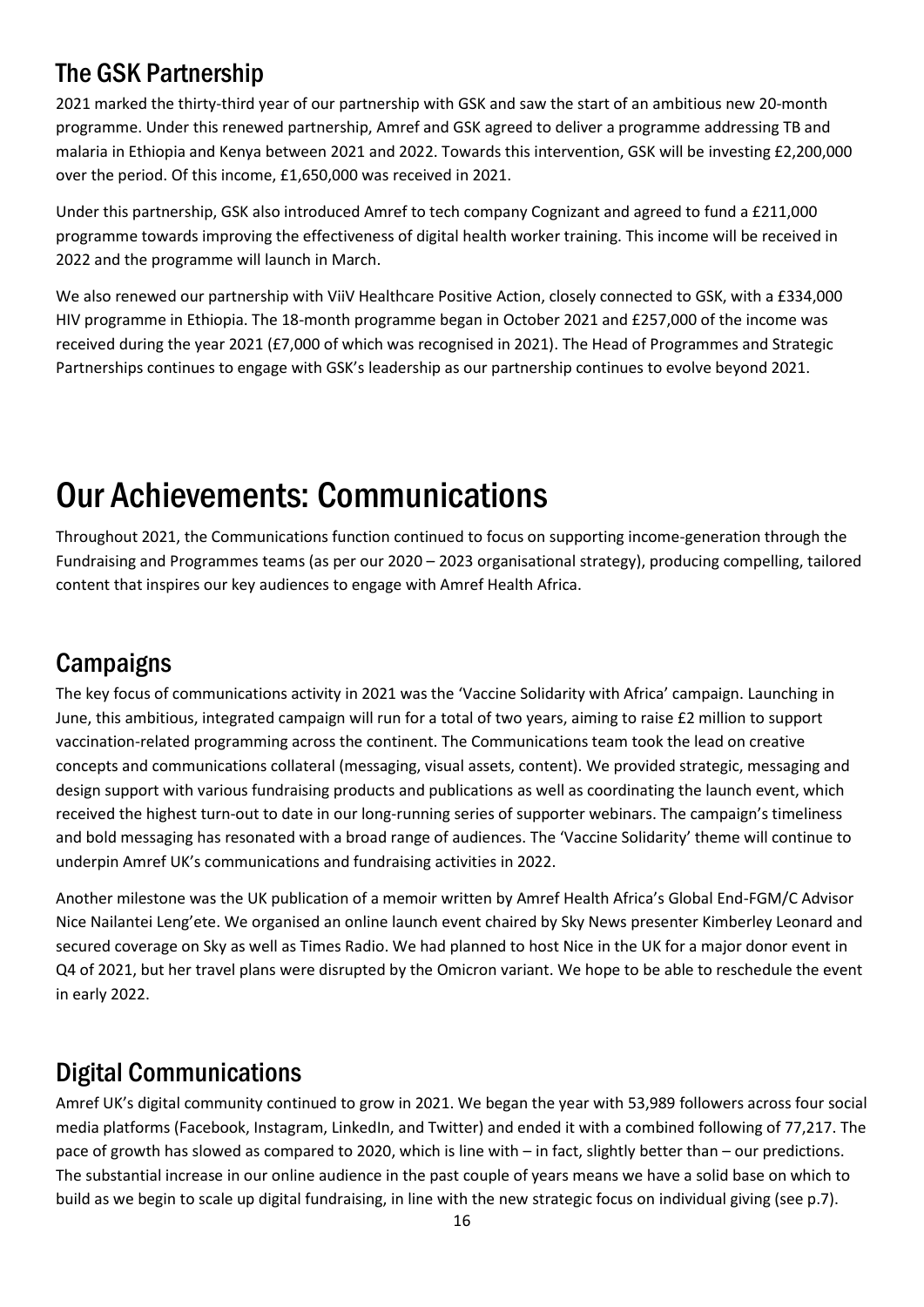# The GSK Partnership

2021 marked the thirty-third year of our partnership with GSK and saw the start of an ambitious new 20-month programme. Under this renewed partnership, Amref and GSK agreed to deliver a programme addressing TB and malaria in Ethiopia and Kenya between 2021 and 2022. Towards this intervention, GSK will be investing £2,200,000 over the period. Of this income, £1,650,000 was received in 2021.

Under this partnership, GSK also introduced Amref to tech company Cognizant and agreed to fund a £211,000 programme towards improving the effectiveness of digital health worker training. This income will be received in 2022 and the programme will launch in March.

We also renewed our partnership with ViiV Healthcare Positive Action, closely connected to GSK, with a £334,000 HIV programme in Ethiopia. The 18-month programme began in October 2021 and £257,000 of the income was received during the year 2021 (£7,000 of which was recognised in 2021). The Head of Programmes and Strategic Partnerships continues to engage with GSK's leadership as our partnership continues to evolve beyond 2021.

# <span id="page-15-0"></span>Our Achievements: Communications

Throughout 2021, the Communications function continued to focus on supporting income-generation through the Fundraising and Programmes teams (as per our 2020 – 2023 organisational strategy), producing compelling, tailored content that inspires our key audiences to engage with Amref Health Africa.

## **Campaigns**

The key focus of communications activity in 2021 was the 'Vaccine Solidarity with Africa' campaign. Launching in June, this ambitious, integrated campaign will run for a total of two years, aiming to raise £2 million to support vaccination-related programming across the continent. The Communications team took the lead on creative concepts and communications collateral (messaging, visual assets, content). We provided strategic, messaging and design support with various fundraising products and publications as well as coordinating the launch event, which received the highest turn-out to date in our long-running series of supporter webinars. The campaign's timeliness and bold messaging has resonated with a broad range of audiences. The 'Vaccine Solidarity' theme will continue to underpin Amref UK's communications and fundraising activities in 2022.

Another milestone was the UK publication of a memoir written by Amref Health Africa's Global End-FGM/C Advisor Nice Nailantei Leng'ete. We organised an online launch event chaired by Sky News presenter Kimberley Leonard and secured coverage on Sky as well as Times Radio. We had planned to host Nice in the UK for a major donor event in Q4 of 2021, but her travel plans were disrupted by the Omicron variant. We hope to be able to reschedule the event in early 2022.

## Digital Communications

Amref UK's digital community continued to grow in 2021. We began the year with 53,989 followers across four social media platforms (Facebook, Instagram, LinkedIn, and Twitter) and ended it with a combined following of 77,217. The pace of growth has slowed as compared to 2020, which is line with – in fact, slightly better than – our predictions. The substantial increase in our online audience in the past couple of years means we have a solid base on which to build as we begin to scale up digital fundraising, in line with the new strategic focus on individual giving (see p.7).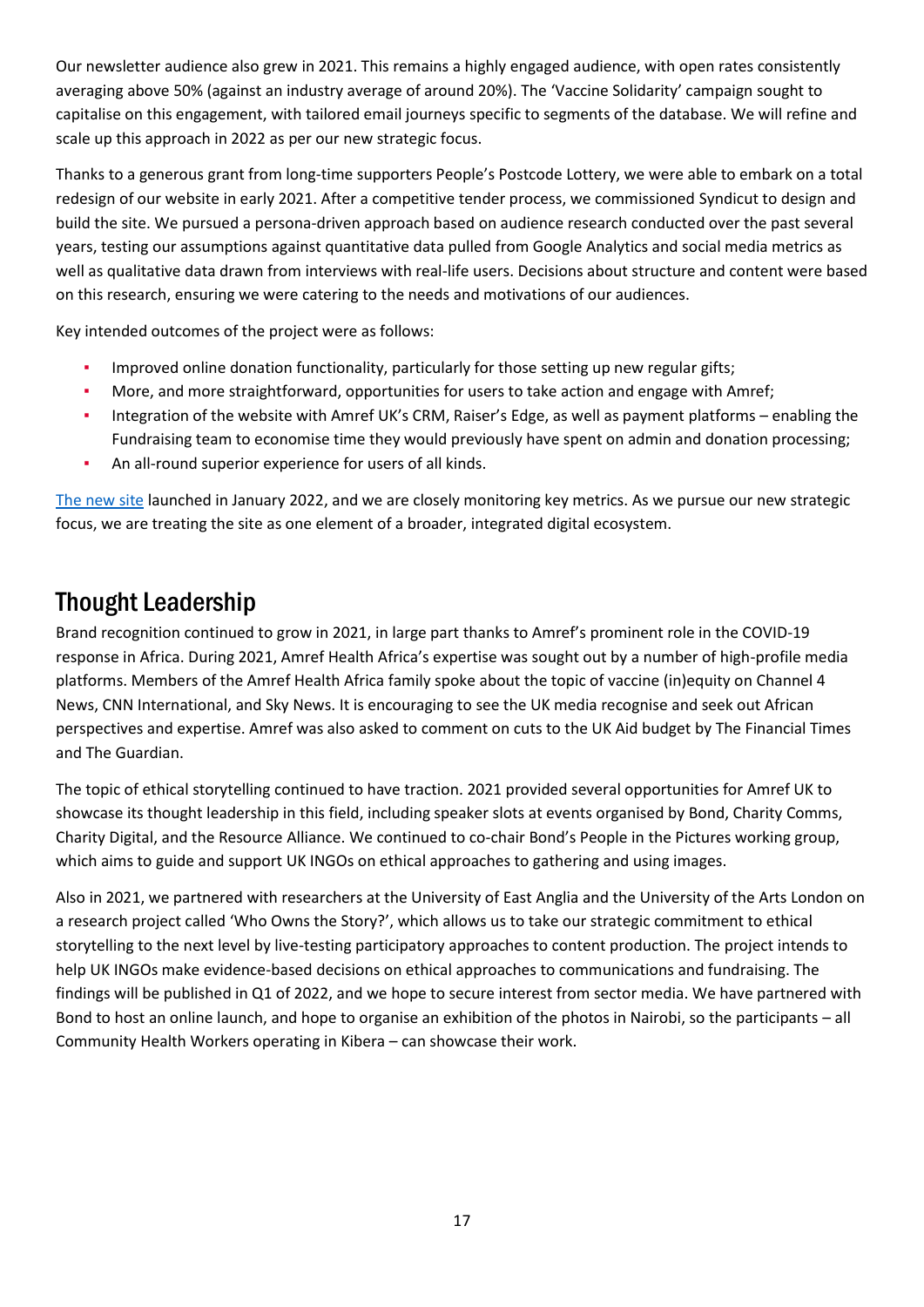Our newsletter audience also grew in 2021. This remains a highly engaged audience, with open rates consistently averaging above 50% (against an industry average of around 20%). The 'Vaccine Solidarity' campaign sought to capitalise on this engagement, with tailored email journeys specific to segments of the database. We will refine and scale up this approach in 2022 as per our new strategic focus.

Thanks to a generous grant from long-time supporters People's Postcode Lottery, we were able to embark on a total redesign of our website in early 2021. After a competitive tender process, we commissioned Syndicut to design and build the site. We pursued a persona-driven approach based on audience research conducted over the past several years, testing our assumptions against quantitative data pulled from Google Analytics and social media metrics as well as qualitative data drawn from interviews with real-life users. Decisions about structure and content were based on this research, ensuring we were catering to the needs and motivations of our audiences.

Key intended outcomes of the project were as follows:

- **•** Improved online donation functionality, particularly for those setting up new regular gifts;
- More, and more straightforward, opportunities for users to take action and engage with Amref;
- Integration of the website with Amref UK's CRM, Raiser's Edge, as well as payment platforms enabling the Fundraising team to economise time they would previously have spent on admin and donation processing;
- An all-round superior experience for users of all kinds.

The new site launched in January 2022, and we are closely monitoring key metrics. As we pursue our new strategic focus, we are treating the site as one element of a broader, integrated digital ecosystem.

### Thought Leadership

Brand recognition continued to grow in 2021, in large part thanks to Amref's prominent role in the COVID-19 response in Africa. During 2021, Amref Health Africa's expertise was sought out by a number of high-profile media platforms. Members of the Amref Health Africa family spoke about the topic of vaccine (in)equity on Channel 4 News, CNN International, and Sky News. It is encouraging to see the UK media recognise and seek out African perspectives and expertise. Amref was also asked to comment on cuts to the UK Aid budget by The Financial Times and The Guardian.

The topic of ethical storytelling continued to have traction. 2021 provided several opportunities for Amref UK to showcase its thought leadership in this field, including speaker slots at events organised by Bond, Charity Comms, Charity Digital, and the Resource Alliance. We continued to co-chair Bond's People in the Pictures working group, which aims to guide and support UK INGOs on ethical approaches to gathering and using images.

Also in 2021, we partnered with researchers at the University of East Anglia and the University of the Arts London on a research project called 'Who Owns the Story?', which allows us to take our strategic commitment to ethical storytelling to the next level by live-testing participatory approaches to content production. The project intends to help UK INGOs make evidence-based decisions on ethical approaches to communications and fundraising. The findings will be published in Q1 of 2022, and we hope to secure interest from sector media. We have partnered with Bond to host an online launch, and hope to organise an exhibition of the photos in Nairobi, so the participants – all Community Health Workers operating in Kibera – can showcase their work.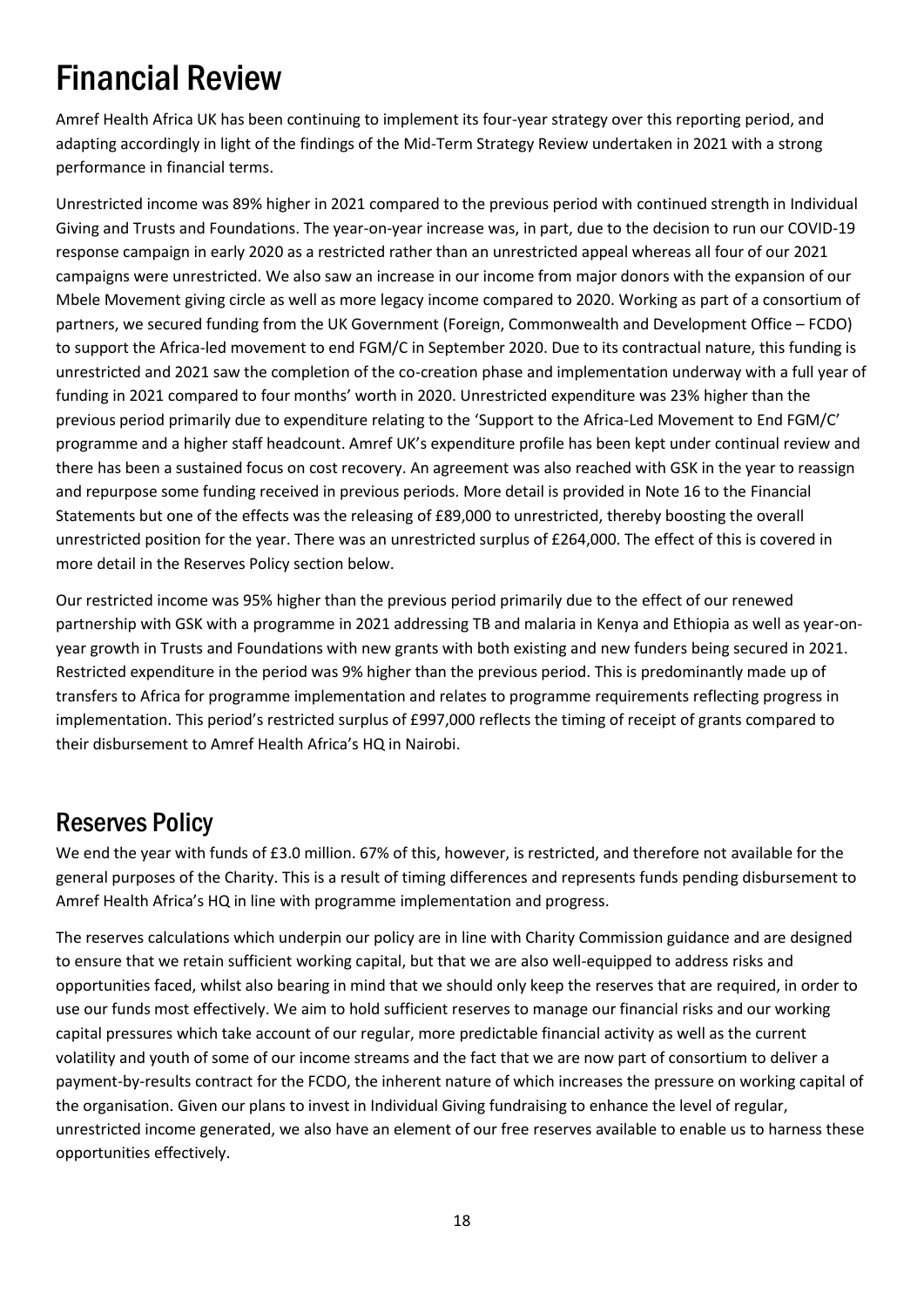# <span id="page-17-0"></span>Financial Review

Amref Health Africa UK has been continuing to implement its four-year strategy over this reporting period, and adapting accordingly in light of the findings of the Mid-Term Strategy Review undertaken in 2021 with a strong performance in financial terms.

Unrestricted income was 89% higher in 2021 compared to the previous period with continued strength in Individual Giving and Trusts and Foundations. The year-on-year increase was, in part, due to the decision to run our COVID-19 response campaign in early 2020 as a restricted rather than an unrestricted appeal whereas all four of our 2021 campaigns were unrestricted. We also saw an increase in our income from major donors with the expansion of our Mbele Movement giving circle as well as more legacy income compared to 2020. Working as part of a consortium of partners, we secured funding from the UK Government (Foreign, Commonwealth and Development Office – FCDO) to support the Africa-led movement to end FGM/C in September 2020. Due to its contractual nature, this funding is unrestricted and 2021 saw the completion of the co-creation phase and implementation underway with a full year of funding in 2021 compared to four months' worth in 2020. Unrestricted expenditure was 23% higher than the previous period primarily due to expenditure relating to the 'Support to the Africa-Led Movement to End FGM/C' programme and a higher staff headcount. Amref UK's expenditure profile has been kept under continual review and there has been a sustained focus on cost recovery. An agreement was also reached with GSK in the year to reassign and repurpose some funding received in previous periods. More detail is provided in Note 16 to the Financial Statements but one of the effects was the releasing of £89,000 to unrestricted, thereby boosting the overall unrestricted position for the year. There was an unrestricted surplus of £264,000. The effect of this is covered in more detail in the Reserves Policy section below.

Our restricted income was 95% higher than the previous period primarily due to the effect of our renewed partnership with GSK with a programme in 2021 addressing TB and malaria in Kenya and Ethiopia as well as year-onyear growth in Trusts and Foundations with new grants with both existing and new funders being secured in 2021. Restricted expenditure in the period was 9% higher than the previous period. This is predominantly made up of transfers to Africa for programme implementation and relates to programme requirements reflecting progress in implementation. This period's restricted surplus of £997,000 reflects the timing of receipt of grants compared to their disbursement to Amref Health Africa's HQ in Nairobi.

### Reserves Policy

We end the year with funds of £3.0 million. 67% of this, however, is restricted, and therefore not available for the general purposes of the Charity. This is a result of timing differences and represents funds pending disbursement to Amref Health Africa's HQ in line with programme implementation and progress.

The reserves calculations which underpin our policy are in line with Charity Commission guidance and are designed to ensure that we retain sufficient working capital, but that we are also well-equipped to address risks and opportunities faced, whilst also bearing in mind that we should only keep the reserves that are required, in order to use our funds most effectively. We aim to hold sufficient reserves to manage our financial risks and our working capital pressures which take account of our regular, more predictable financial activity as well as the current volatility and youth of some of our income streams and the fact that we are now part of consortium to deliver a payment-by-results contract for the FCDO, the inherent nature of which increases the pressure on working capital of the organisation. Given our plans to invest in Individual Giving fundraising to enhance the level of regular, unrestricted income generated, we also have an element of our free reserves available to enable us to harness these opportunities effectively.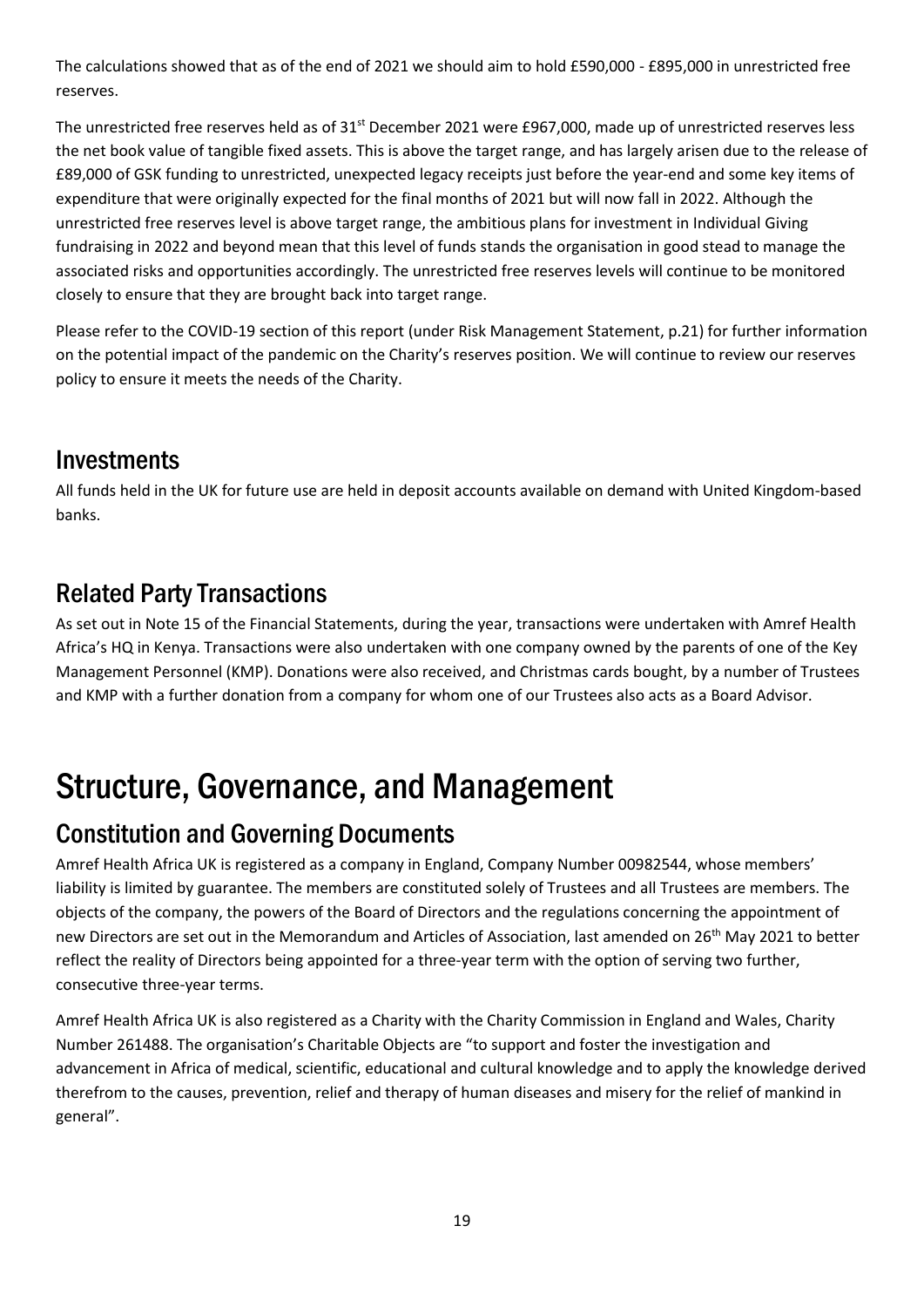The calculations showed that as of the end of 2021 we should aim to hold £590,000 - £895,000 in unrestricted free reserves.

The unrestricted free reserves held as of 31<sup>st</sup> December 2021 were £967,000, made up of unrestricted reserves less the net book value of tangible fixed assets. This is above the target range, and has largely arisen due to the release of £89,000 of GSK funding to unrestricted, unexpected legacy receipts just before the year-end and some key items of expenditure that were originally expected for the final months of 2021 but will now fall in 2022. Although the unrestricted free reserves level is above target range, the ambitious plans for investment in Individual Giving fundraising in 2022 and beyond mean that this level of funds stands the organisation in good stead to manage the associated risks and opportunities accordingly. The unrestricted free reserves levels will continue to be monitored closely to ensure that they are brought back into target range.

Please refer to the COVID-19 section of this report (under Risk Management Statement, p.21) for further information on the potential impact of the pandemic on the Charity's reserves position. We will continue to review our reserves policy to ensure it meets the needs of the Charity.

### **Investments**

All funds held in the UK for future use are held in deposit accounts available on demand with United Kingdom-based banks.

## Related Party Transactions

As set out in Note 15 of the Financial Statements, during the year, transactions were undertaken with Amref Health Africa's HQ in Kenya. Transactions were also undertaken with one company owned by the parents of one of the Key Management Personnel (KMP). Donations were also received, and Christmas cards bought, by a number of Trustees and KMP with a further donation from a company for whom one of our Trustees also acts as a Board Advisor.

# <span id="page-18-0"></span>Structure, Governance, and Management

### Constitution and Governing Documents

Amref Health Africa UK is registered as a company in England, Company Number 00982544, whose members' liability is limited by guarantee. The members are constituted solely of Trustees and all Trustees are members. The objects of the company, the powers of the Board of Directors and the regulations concerning the appointment of new Directors are set out in the Memorandum and Articles of Association, last amended on 26<sup>th</sup> May 2021 to better reflect the reality of Directors being appointed for a three-year term with the option of serving two further, consecutive three-year terms.

Amref Health Africa UK is also registered as a Charity with the Charity Commission in England and Wales, Charity Number 261488. The organisation's Charitable Objects are "to support and foster the investigation and advancement in Africa of medical, scientific, educational and cultural knowledge and to apply the knowledge derived therefrom to the causes, prevention, relief and therapy of human diseases and misery for the relief of mankind in general".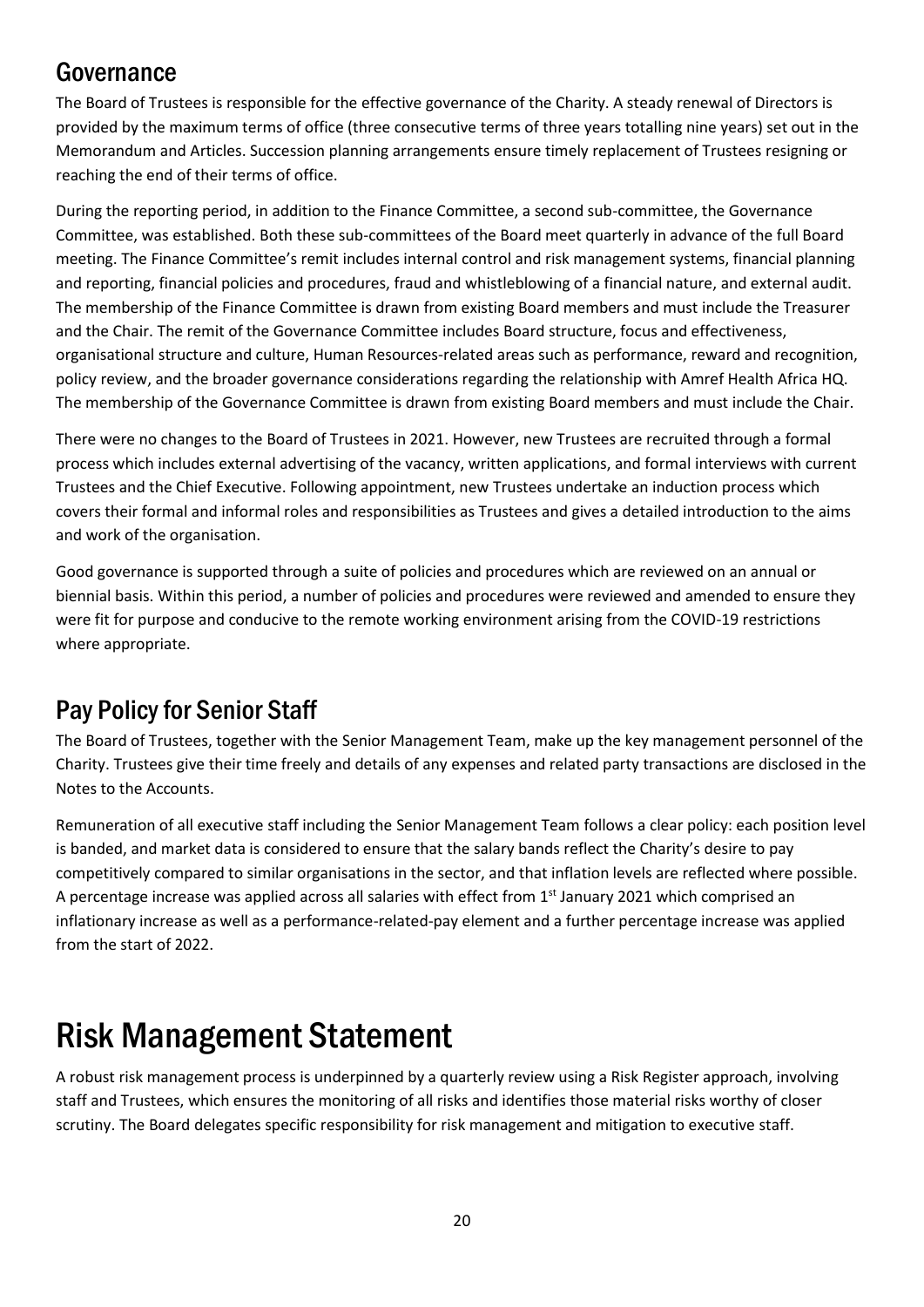## Governance

The Board of Trustees is responsible for the effective governance of the Charity. A steady renewal of Directors is provided by the maximum terms of office (three consecutive terms of three years totalling nine years) set out in the Memorandum and Articles. Succession planning arrangements ensure timely replacement of Trustees resigning or reaching the end of their terms of office.

During the reporting period, in addition to the Finance Committee, a second sub-committee, the Governance Committee, was established. Both these sub-committees of the Board meet quarterly in advance of the full Board meeting. The Finance Committee's remit includes internal control and risk management systems, financial planning and reporting, financial policies and procedures, fraud and whistleblowing of a financial nature, and external audit. The membership of the Finance Committee is drawn from existing Board members and must include the Treasurer and the Chair. The remit of the Governance Committee includes Board structure, focus and effectiveness, organisational structure and culture, Human Resources-related areas such as performance, reward and recognition, policy review, and the broader governance considerations regarding the relationship with Amref Health Africa HQ. The membership of the Governance Committee is drawn from existing Board members and must include the Chair.

There were no changes to the Board of Trustees in 2021. However, new Trustees are recruited through a formal process which includes external advertising of the vacancy, written applications, and formal interviews with current Trustees and the Chief Executive. Following appointment, new Trustees undertake an induction process which covers their formal and informal roles and responsibilities as Trustees and gives a detailed introduction to the aims and work of the organisation.

Good governance is supported through a suite of policies and procedures which are reviewed on an annual or biennial basis. Within this period, a number of policies and procedures were reviewed and amended to ensure they were fit for purpose and conducive to the remote working environment arising from the COVID-19 restrictions where appropriate.

## Pay Policy for Senior Staff

The Board of Trustees, together with the Senior Management Team, make up the key management personnel of the Charity. Trustees give their time freely and details of any expenses and related party transactions are disclosed in the Notes to the Accounts.

Remuneration of all executive staff including the Senior Management Team follows a clear policy: each position level is banded, and market data is considered to ensure that the salary bands reflect the Charity's desire to pay competitively compared to similar organisations in the sector, and that inflation levels are reflected where possible. A percentage increase was applied across all salaries with effect from  $1<sup>st</sup>$  January 2021 which comprised an inflationary increase as well as a performance-related-pay element and a further percentage increase was applied from the start of 2022.

# <span id="page-19-0"></span>Risk Management Statement

A robust risk management process is underpinned by a quarterly review using a Risk Register approach, involving staff and Trustees, which ensures the monitoring of all risks and identifies those material risks worthy of closer scrutiny. The Board delegates specific responsibility for risk management and mitigation to executive staff.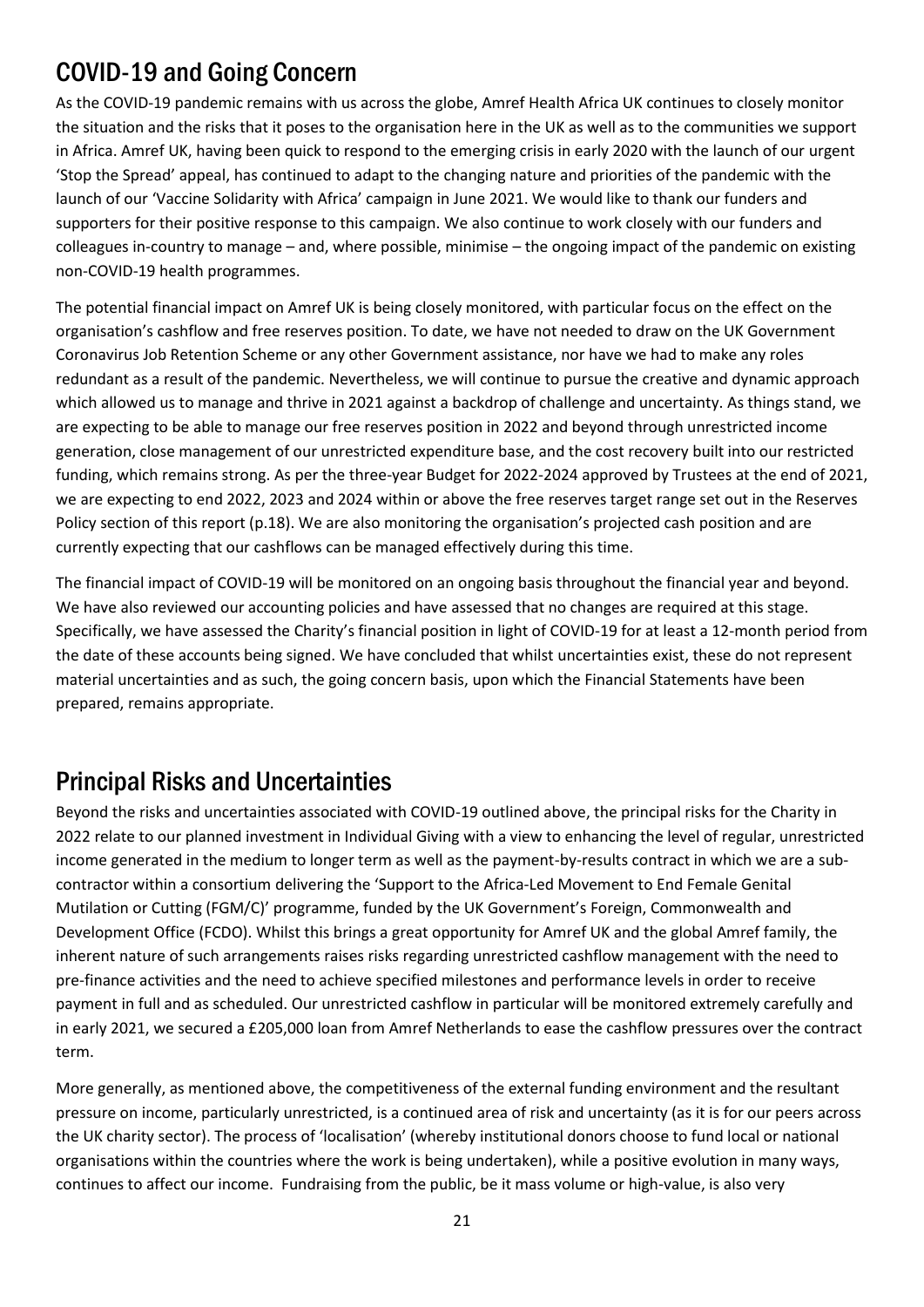## COVID-19 and Going Concern

As the COVID-19 pandemic remains with us across the globe, Amref Health Africa UK continues to closely monitor the situation and the risks that it poses to the organisation here in the UK as well as to the communities we support in Africa. Amref UK, having been quick to respond to the emerging crisis in early 2020 with the launch of our urgent 'Stop the Spread' appeal, has continued to adapt to the changing nature and priorities of the pandemic with the launch of our 'Vaccine Solidarity with Africa' campaign in June 2021. We would like to thank our funders and supporters for their positive response to this campaign. We also continue to work closely with our funders and colleagues in-country to manage – and, where possible, minimise – the ongoing impact of the pandemic on existing non-COVID-19 health programmes.

The potential financial impact on Amref UK is being closely monitored, with particular focus on the effect on the organisation's cashflow and free reserves position. To date, we have not needed to draw on the UK Government Coronavirus Job Retention Scheme or any other Government assistance, nor have we had to make any roles redundant as a result of the pandemic. Nevertheless, we will continue to pursue the creative and dynamic approach which allowed us to manage and thrive in 2021 against a backdrop of challenge and uncertainty. As things stand, we are expecting to be able to manage our free reserves position in 2022 and beyond through unrestricted income generation, close management of our unrestricted expenditure base, and the cost recovery built into our restricted funding, which remains strong. As per the three-year Budget for 2022-2024 approved by Trustees at the end of 2021, we are expecting to end 2022, 2023 and 2024 within or above the free reserves target range set out in the Reserves Policy section of this report (p.18). We are also monitoring the organisation's projected cash position and are currently expecting that our cashflows can be managed effectively during this time.

The financial impact of COVID-19 will be monitored on an ongoing basis throughout the financial year and beyond. We have also reviewed our accounting policies and have assessed that no changes are required at this stage. Specifically, we have assessed the Charity's financial position in light of COVID-19 for at least a 12-month period from the date of these accounts being signed. We have concluded that whilst uncertainties exist, these do not represent material uncertainties and as such, the going concern basis, upon which the Financial Statements have been prepared, remains appropriate.

### Principal Risks and Uncertainties

Beyond the risks and uncertainties associated with COVID-19 outlined above, the principal risks for the Charity in 2022 relate to our planned investment in Individual Giving with a view to enhancing the level of regular, unrestricted income generated in the medium to longer term as well as the payment-by-results contract in which we are a subcontractor within a consortium delivering the 'Support to the Africa-Led Movement to End Female Genital Mutilation or Cutting (FGM/C)' programme, funded by the UK Government's Foreign, Commonwealth and Development Office (FCDO). Whilst this brings a great opportunity for Amref UK and the global Amref family, the inherent nature of such arrangements raises risks regarding unrestricted cashflow management with the need to pre-finance activities and the need to achieve specified milestones and performance levels in order to receive payment in full and as scheduled. Our unrestricted cashflow in particular will be monitored extremely carefully and in early 2021, we secured a £205,000 loan from Amref Netherlands to ease the cashflow pressures over the contract term.

More generally, as mentioned above, the competitiveness of the external funding environment and the resultant pressure on income, particularly unrestricted, is a continued area of risk and uncertainty (as it is for our peers across the UK charity sector). The process of 'localisation' (whereby institutional donors choose to fund local or national organisations within the countries where the work is being undertaken), while a positive evolution in many ways, continues to affect our income. Fundraising from the public, be it mass volume or high-value, is also very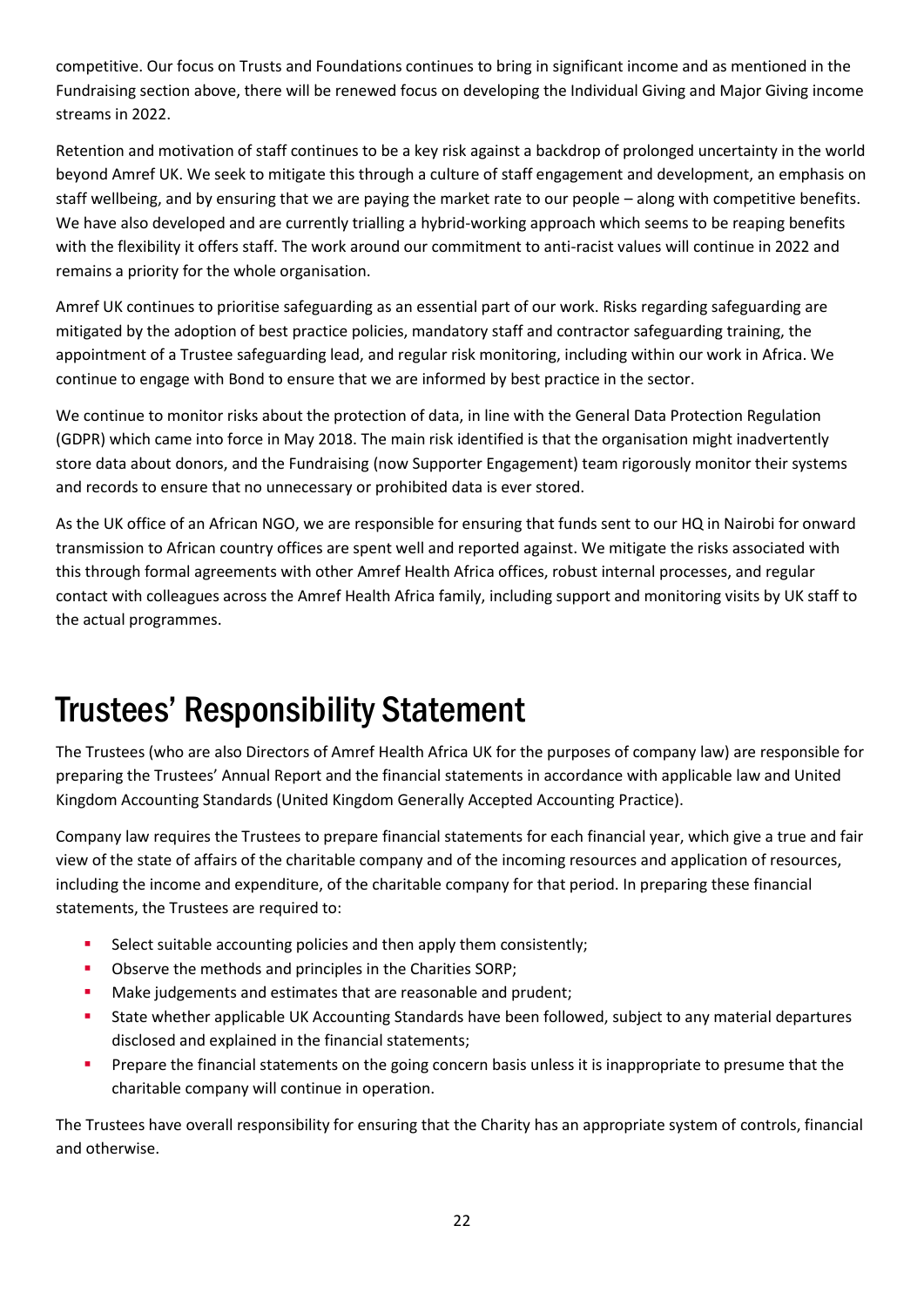competitive. Our focus on Trusts and Foundations continues to bring in significant income and as mentioned in the Fundraising section above, there will be renewed focus on developing the Individual Giving and Major Giving income streams in 2022.

Retention and motivation of staff continues to be a key risk against a backdrop of prolonged uncertainty in the world beyond Amref UK. We seek to mitigate this through a culture of staff engagement and development, an emphasis on staff wellbeing, and by ensuring that we are paying the market rate to our people – along with competitive benefits. We have also developed and are currently trialling a hybrid-working approach which seems to be reaping benefits with the flexibility it offers staff. The work around our commitment to anti-racist values will continue in 2022 and remains a priority for the whole organisation.

Amref UK continues to prioritise safeguarding as an essential part of our work. Risks regarding safeguarding are mitigated by the adoption of best practice policies, mandatory staff and contractor safeguarding training, the appointment of a Trustee safeguarding lead, and regular risk monitoring, including within our work in Africa. We continue to engage with Bond to ensure that we are informed by best practice in the sector.

We continue to monitor risks about the protection of data, in line with the General Data Protection Regulation (GDPR) which came into force in May 2018. The main risk identified is that the organisation might inadvertently store data about donors, and the Fundraising (now Supporter Engagement) team rigorously monitor their systems and records to ensure that no unnecessary or prohibited data is ever stored.

As the UK office of an African NGO, we are responsible for ensuring that funds sent to our HQ in Nairobi for onward transmission to African country offices are spent well and reported against. We mitigate the risks associated with this through formal agreements with other Amref Health Africa offices, robust internal processes, and regular contact with colleagues across the Amref Health Africa family, including support and monitoring visits by UK staff to the actual programmes.

# <span id="page-21-0"></span>Trustees' Responsibility Statement

The Trustees (who are also Directors of Amref Health Africa UK for the purposes of company law) are responsible for preparing the Trustees' Annual Report and the financial statements in accordance with applicable law and United Kingdom Accounting Standards (United Kingdom Generally Accepted Accounting Practice).

Company law requires the Trustees to prepare financial statements for each financial year, which give a true and fair view of the state of affairs of the charitable company and of the incoming resources and application of resources, including the income and expenditure, of the charitable company for that period. In preparing these financial statements, the Trustees are required to:

- Select suitable accounting policies and then apply them consistently:
- Observe the methods and principles in the Charities SORP;
- Make judgements and estimates that are reasonable and prudent;
- State whether applicable UK Accounting Standards have been followed, subject to any material departures disclosed and explained in the financial statements;
- **•** Prepare the financial statements on the going concern basis unless it is inappropriate to presume that the charitable company will continue in operation.

The Trustees have overall responsibility for ensuring that the Charity has an appropriate system of controls, financial and otherwise.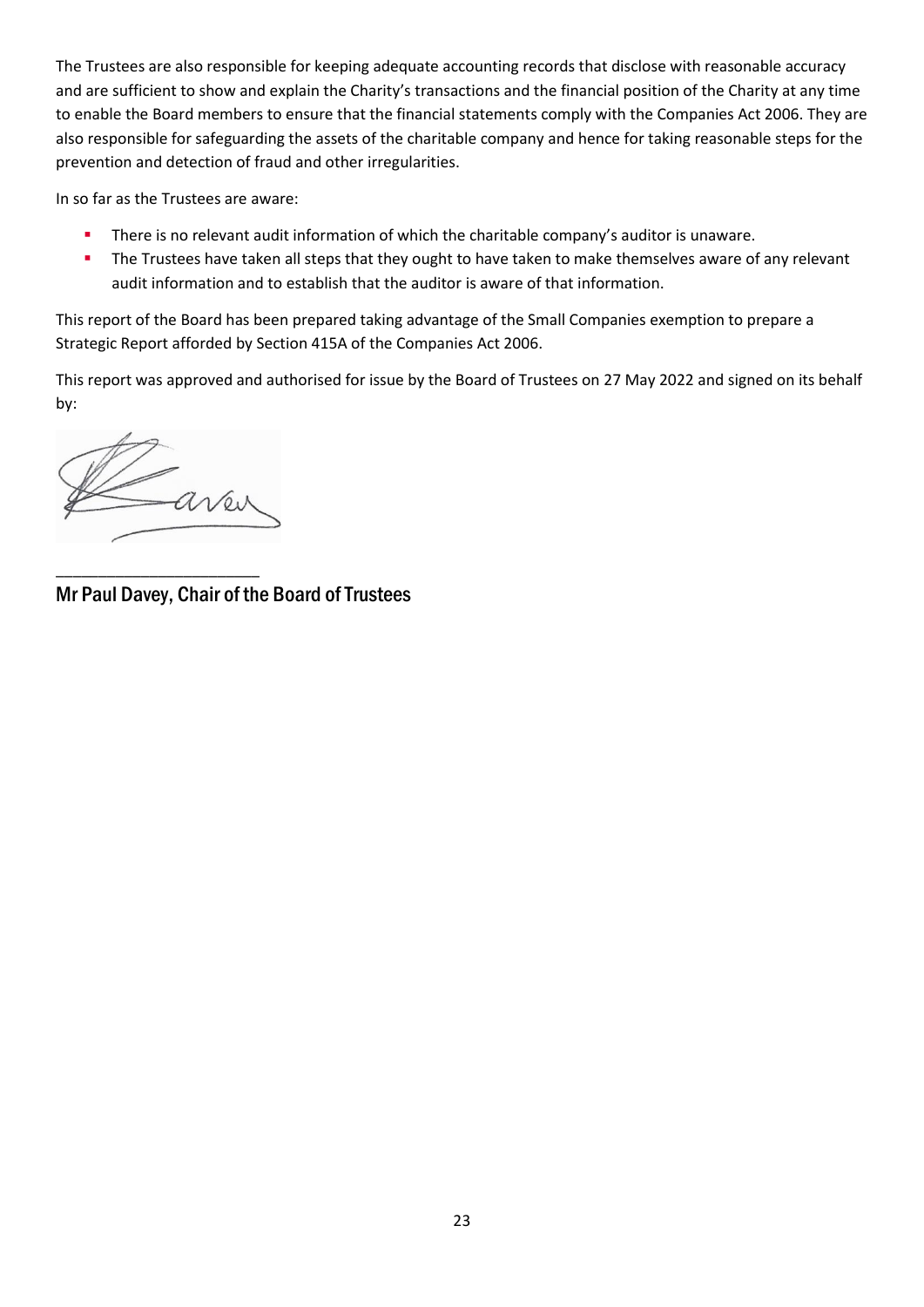The Trustees are also responsible for keeping adequate accounting records that disclose with reasonable accuracy and are sufficient to show and explain the Charity's transactions and the financial position of the Charity at any time to enable the Board members to ensure that the financial statements comply with the Companies Act 2006. They are also responsible for safeguarding the assets of the charitable company and hence for taking reasonable steps for the prevention and detection of fraud and other irregularities.

In so far as the Trustees are aware:

- There is no relevant audit information of which the charitable company's auditor is unaware.
- **·** The Trustees have taken all steps that they ought to have taken to make themselves aware of any relevant audit information and to establish that the auditor is aware of that information.

This report of the Board has been prepared taking advantage of the Small Companies exemption to prepare a Strategic Report afforded by Section 415A of the Companies Act 2006.

This report was approved and authorised for issue by the Board of Trustees on 27 May 2022 and signed on its behalf by:

aver

\_\_\_\_\_\_\_\_\_\_\_\_\_\_\_\_\_\_\_\_\_\_\_\_

<span id="page-22-0"></span>Mr Paul Davey, Chair of the Board of Trustees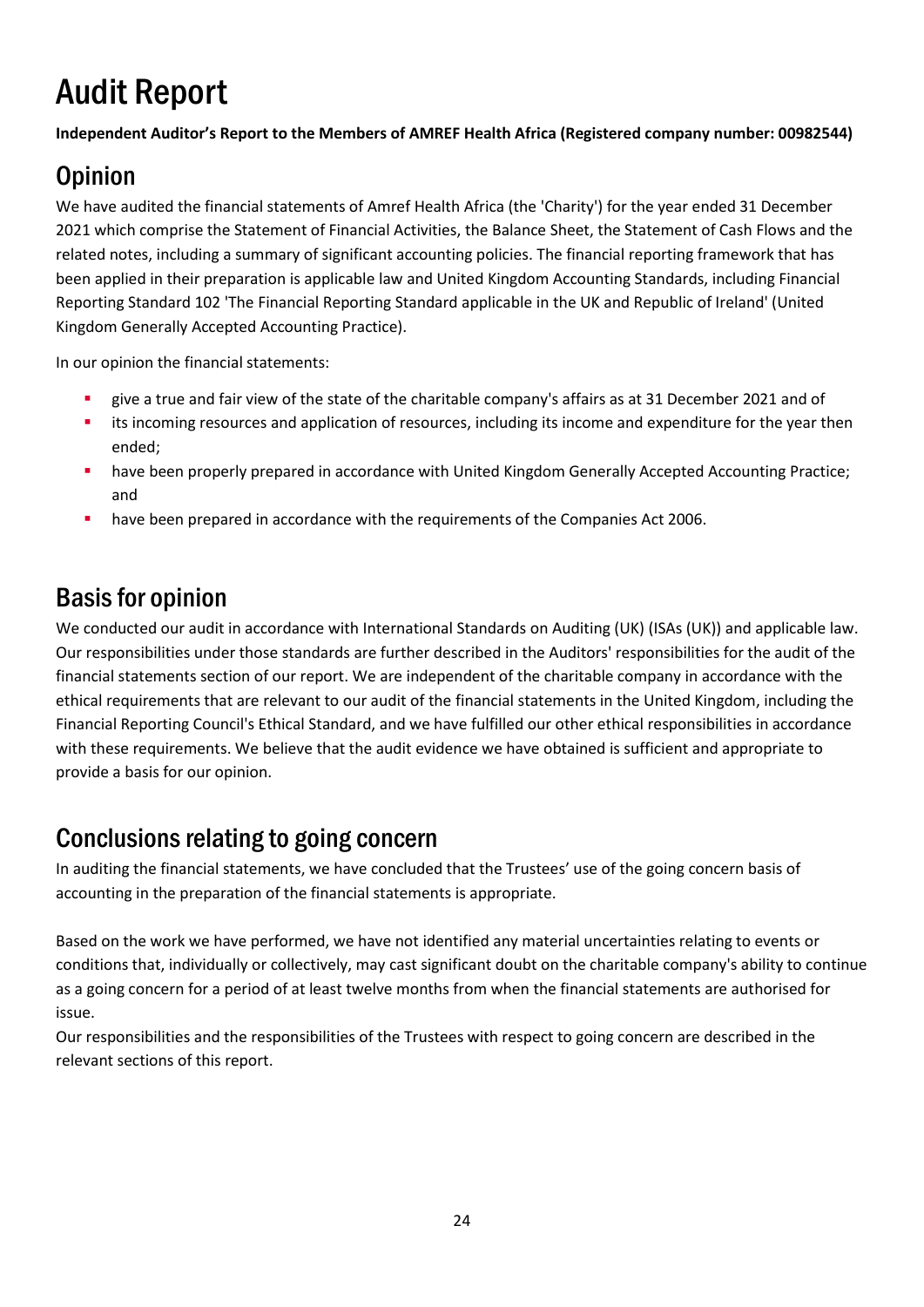# Audit Report

**Independent Auditor's Report to the Members of AMREF Health Africa (Registered company number: 00982544)**

# **Opinion**

We have audited the financial statements of Amref Health Africa (the 'Charity') for the year ended 31 December 2021 which comprise the Statement of Financial Activities, the Balance Sheet, the Statement of Cash Flows and the related notes, including a summary of significant accounting policies. The financial reporting framework that has been applied in their preparation is applicable law and United Kingdom Accounting Standards, including Financial Reporting Standard 102 'The Financial Reporting Standard applicable in the UK and Republic of Ireland' (United Kingdom Generally Accepted Accounting Practice).

In our opinion the financial statements:

- give a true and fair view of the state of the charitable company's affairs as at 31 December 2021 and of
- its incoming resources and application of resources, including its income and expenditure for the year then ended;
- have been properly prepared in accordance with United Kingdom Generally Accepted Accounting Practice; and
- have been prepared in accordance with the requirements of the Companies Act 2006.

## Basis for opinion

We conducted our audit in accordance with International Standards on Auditing (UK) (ISAs (UK)) and applicable law. Our responsibilities under those standards are further described in the Auditors' responsibilities for the audit of the financial statements section of our report. We are independent of the charitable company in accordance with the ethical requirements that are relevant to our audit of the financial statements in the United Kingdom, including the Financial Reporting Council's Ethical Standard, and we have fulfilled our other ethical responsibilities in accordance with these requirements. We believe that the audit evidence we have obtained is sufficient and appropriate to provide a basis for our opinion.

### Conclusions relating to going concern

In auditing the financial statements, we have concluded that the Trustees' use of the going concern basis of accounting in the preparation of the financial statements is appropriate.

Based on the work we have performed, we have not identified any material uncertainties relating to events or conditions that, individually or collectively, may cast significant doubt on the charitable company's ability to continue as a going concern for a period of at least twelve months from when the financial statements are authorised for issue.

Our responsibilities and the responsibilities of the Trustees with respect to going concern are described in the relevant sections of this report.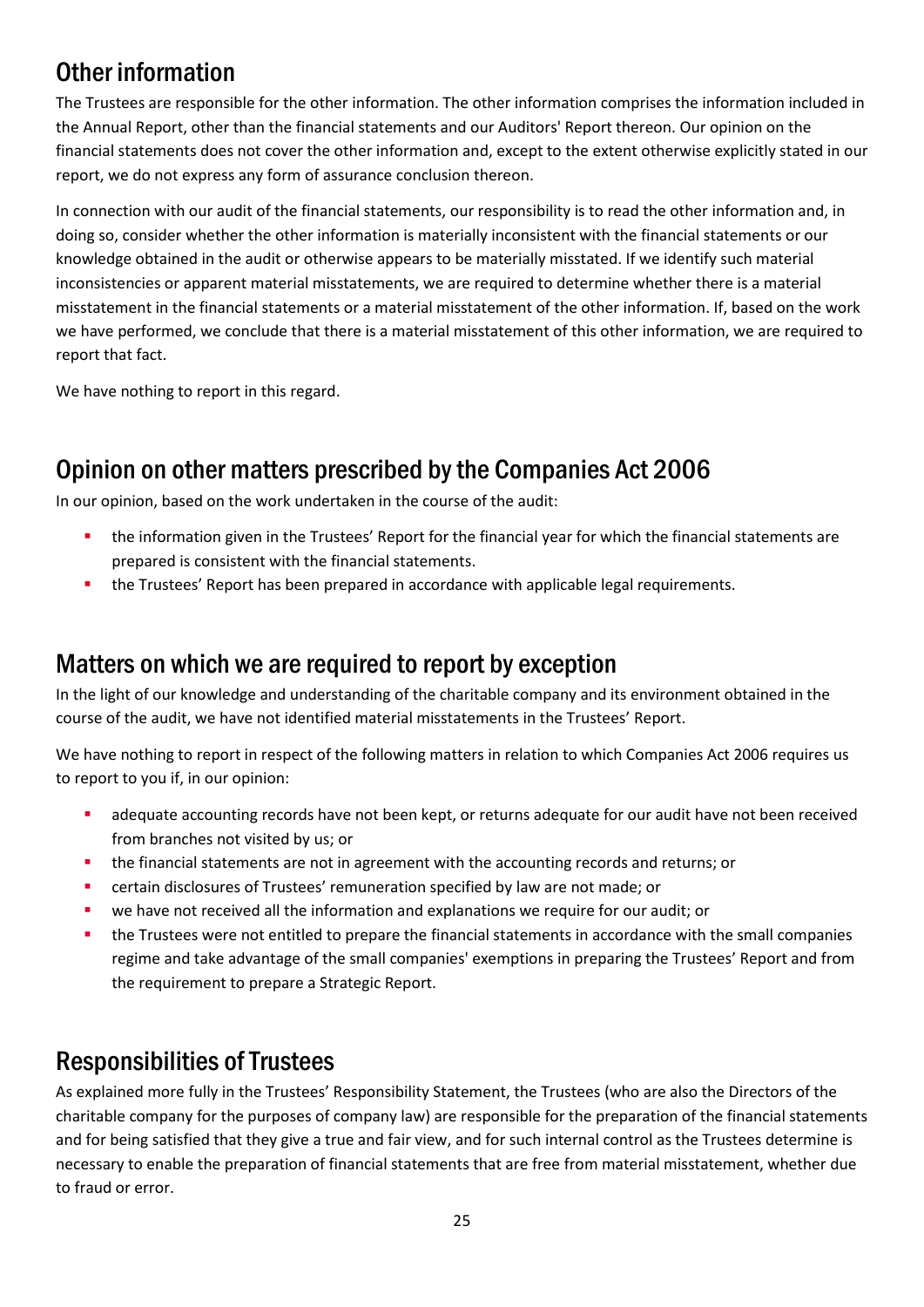## Other information

The Trustees are responsible for the other information. The other information comprises the information included in the Annual Report, other than the financial statements and our Auditors' Report thereon. Our opinion on the financial statements does not cover the other information and, except to the extent otherwise explicitly stated in our report, we do not express any form of assurance conclusion thereon.

In connection with our audit of the financial statements, our responsibility is to read the other information and, in doing so, consider whether the other information is materially inconsistent with the financial statements or our knowledge obtained in the audit or otherwise appears to be materially misstated. If we identify such material inconsistencies or apparent material misstatements, we are required to determine whether there is a material misstatement in the financial statements or a material misstatement of the other information. If, based on the work we have performed, we conclude that there is a material misstatement of this other information, we are required to report that fact.

We have nothing to report in this regard.

## Opinion on other matters prescribed by the Companies Act 2006

In our opinion, based on the work undertaken in the course of the audit:

- the information given in the Trustees' Report for the financial year for which the financial statements are prepared is consistent with the financial statements.
- the Trustees' Report has been prepared in accordance with applicable legal requirements.

### Matters on which we are required to report by exception

In the light of our knowledge and understanding of the charitable company and its environment obtained in the course of the audit, we have not identified material misstatements in the Trustees' Report.

We have nothing to report in respect of the following matters in relation to which Companies Act 2006 requires us to report to you if, in our opinion:

- adequate accounting records have not been kept, or returns adequate for our audit have not been received from branches not visited by us; or
- the financial statements are not in agreement with the accounting records and returns; or
- **•** certain disclosures of Trustees' remuneration specified by law are not made; or
- we have not received all the information and explanations we require for our audit; or
- **•** the Trustees were not entitled to prepare the financial statements in accordance with the small companies regime and take advantage of the small companies' exemptions in preparing the Trustees' Report and from the requirement to prepare a Strategic Report.

### Responsibilities of Trustees

As explained more fully in the Trustees' Responsibility Statement, the Trustees (who are also the Directors of the charitable company for the purposes of company law) are responsible for the preparation of the financial statements and for being satisfied that they give a true and fair view, and for such internal control as the Trustees determine is necessary to enable the preparation of financial statements that are free from material misstatement, whether due to fraud or error.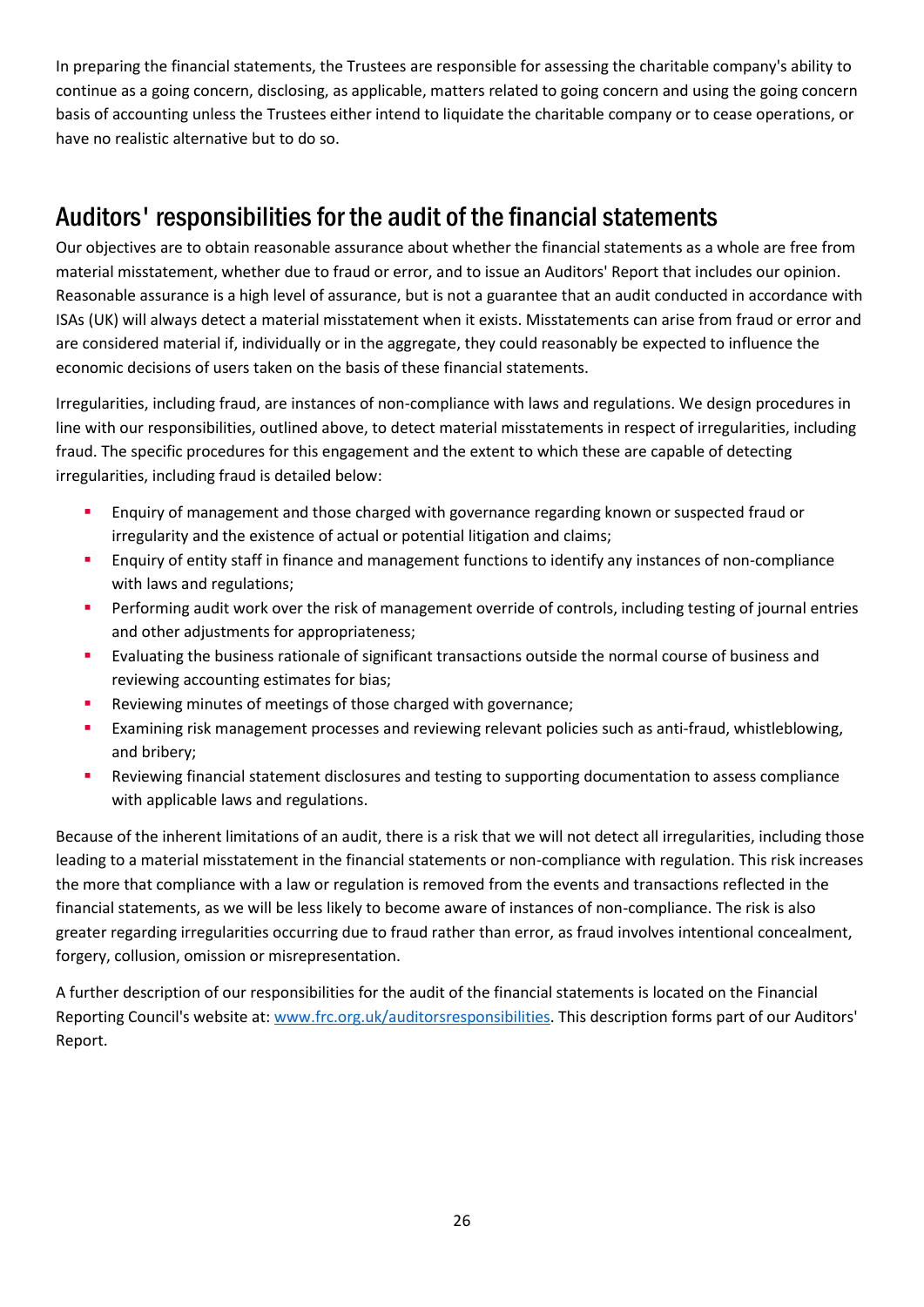In preparing the financial statements, the Trustees are responsible for assessing the charitable company's ability to continue as a going concern, disclosing, as applicable, matters related to going concern and using the going concern basis of accounting unless the Trustees either intend to liquidate the charitable company or to cease operations, or have no realistic alternative but to do so.

## Auditors' responsibilities for the audit of the financial statements

Our objectives are to obtain reasonable assurance about whether the financial statements as a whole are free from material misstatement, whether due to fraud or error, and to issue an Auditors' Report that includes our opinion. Reasonable assurance is a high level of assurance, but is not a guarantee that an audit conducted in accordance with ISAs (UK) will always detect a material misstatement when it exists. Misstatements can arise from fraud or error and are considered material if, individually or in the aggregate, they could reasonably be expected to influence the economic decisions of users taken on the basis of these financial statements.

Irregularities, including fraud, are instances of non-compliance with laws and regulations. We design procedures in line with our responsibilities, outlined above, to detect material misstatements in respect of irregularities, including fraud. The specific procedures for this engagement and the extent to which these are capable of detecting irregularities, including fraud is detailed below:

- Enquiry of management and those charged with governance regarding known or suspected fraud or irregularity and the existence of actual or potential litigation and claims;
- Enquiry of entity staff in finance and management functions to identify any instances of non-compliance with laws and regulations;
- **•** Performing audit work over the risk of management override of controls, including testing of journal entries and other adjustments for appropriateness;
- **Exaluating the business rationale of significant transactions outside the normal course of business and** reviewing accounting estimates for bias;
- Reviewing minutes of meetings of those charged with governance;
- **Examining risk management processes and reviewing relevant policies such as anti-fraud, whistleblowing,** and bribery;
- Reviewing financial statement disclosures and testing to supporting documentation to assess compliance with applicable laws and regulations.

Because of the inherent limitations of an audit, there is a risk that we will not detect all irregularities, including those leading to a material misstatement in the financial statements or non-compliance with regulation. This risk increases the more that compliance with a law or regulation is removed from the events and transactions reflected in the financial statements, as we will be less likely to become aware of instances of non-compliance. The risk is also greater regarding irregularities occurring due to fraud rather than error, as fraud involves intentional concealment, forgery, collusion, omission or misrepresentation.

A further description of our responsibilities for the audit of the financial statements is located on the Financial Reporting Council's website at: www.frc.org.uk/auditorsresponsibilities. This description forms part of our Auditors' Report.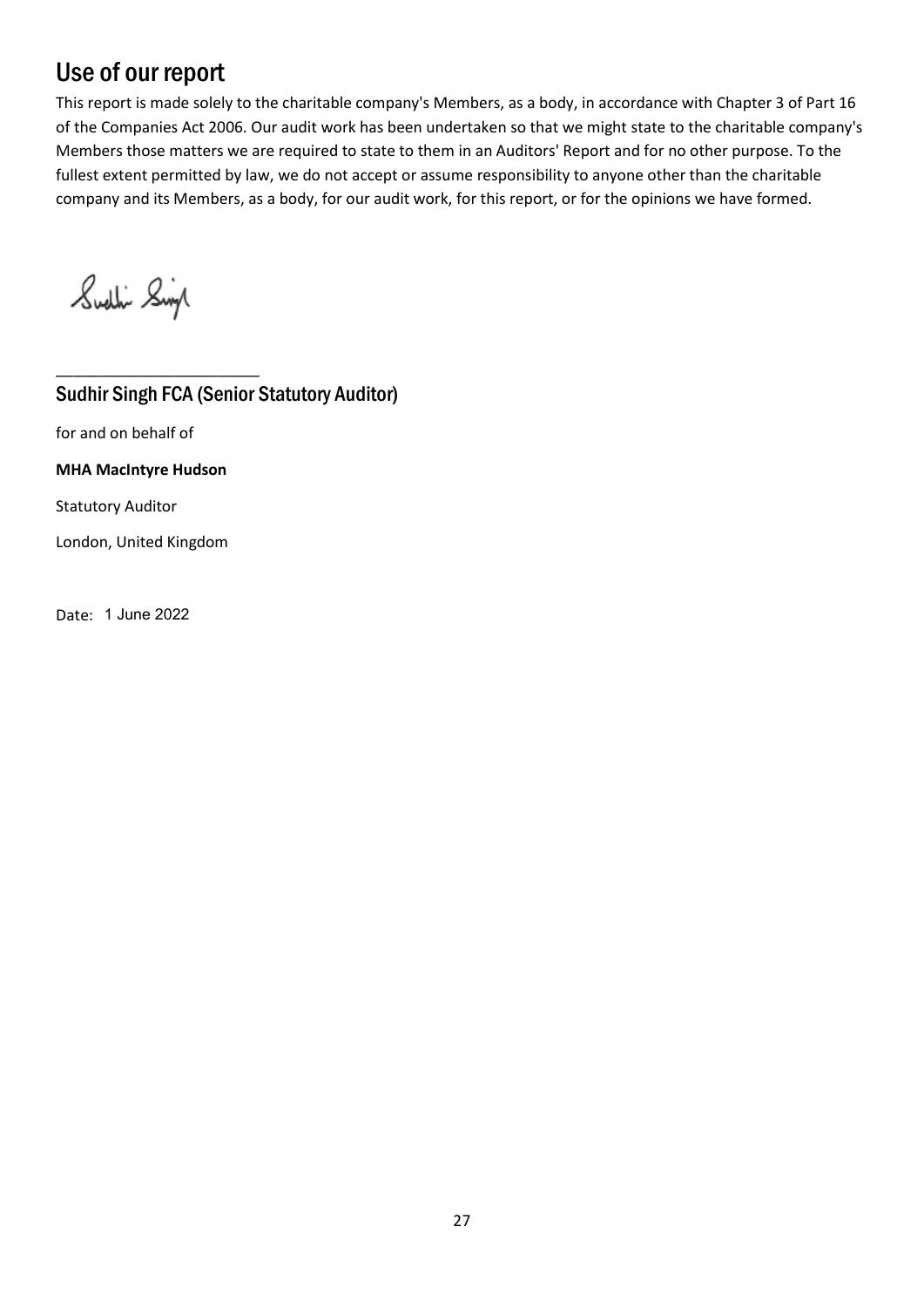## Use of our report

This report is made solely to the charitable company's Members, as a body, in accordance with Chapter 3 of Part 16 of the Companies Act 2006. Our audit work has been undertaken so that we might state to the charitable company's Members those matters we are required to state to them in an Auditors' Report and for no other purpose. To the fullest extent permitted by law, we do not accept or assume responsibility to anyone other than the charitable company and its Members, as a body, for our audit work, for this report, or for the opinions we have formed.

Sudlin Singl

Sudhir Singh FCA (Senior Statutory Auditor)

for and on behalf of

**MHA MacIntyre Hudson**

\_\_\_\_\_\_\_\_\_\_\_\_\_\_\_\_\_\_\_\_\_\_\_\_

Statutory Auditor

London, United Kingdom

Date: 1 June 2022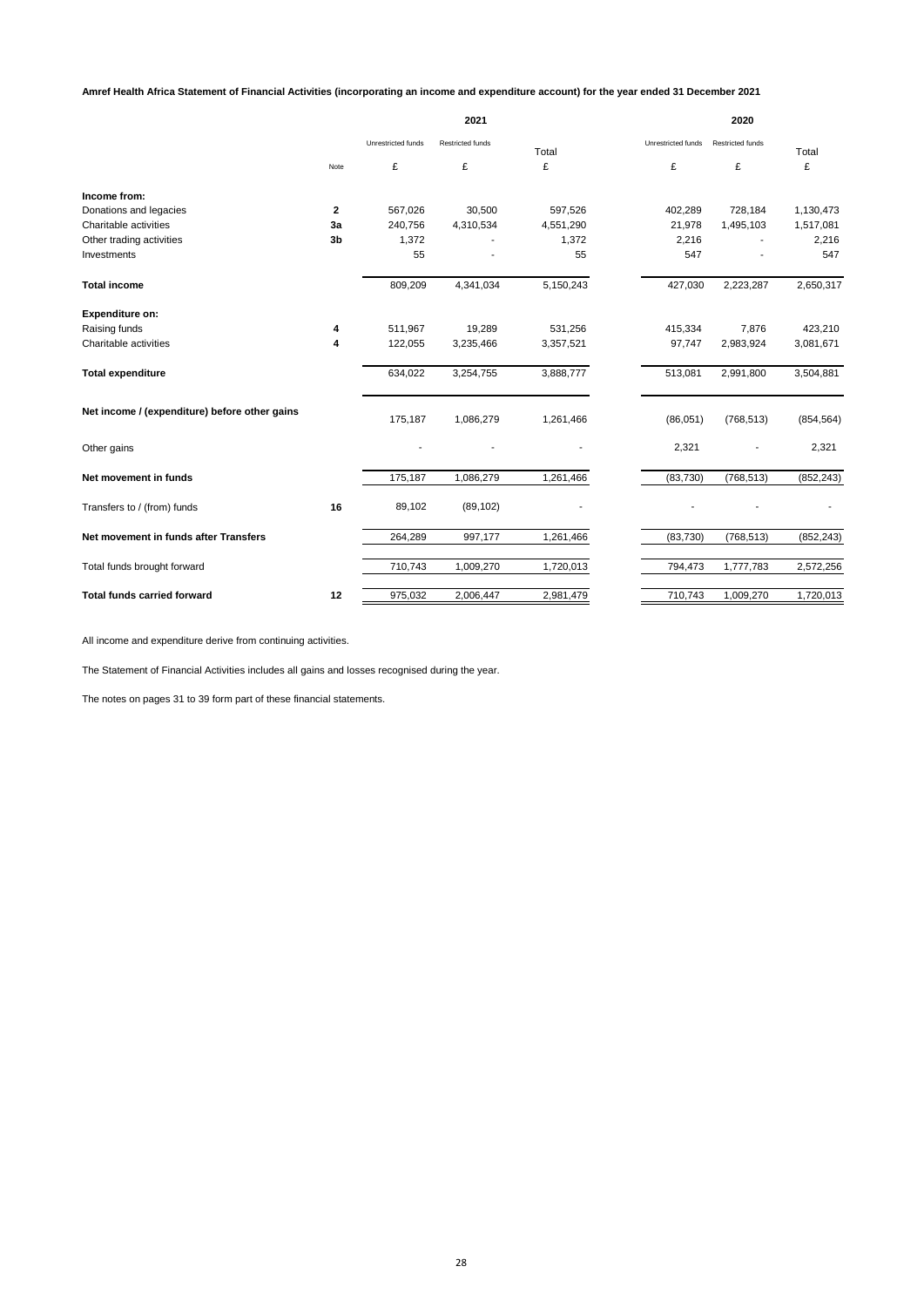**Amref Health Africa Statement of Financial Activities (incorporating an income and expenditure account) for the year ended 31 December 2021**

|                                               |                | 2021               |                         |           |                    | 2020                    |            |  |
|-----------------------------------------------|----------------|--------------------|-------------------------|-----------|--------------------|-------------------------|------------|--|
|                                               |                | Unrestricted funds | <b>Restricted funds</b> | Total     | Unrestricted funds | <b>Restricted funds</b> | Total      |  |
|                                               | Note           | £                  | £                       | £         | £                  | £                       | £          |  |
| Income from:                                  |                |                    |                         |           |                    |                         |            |  |
| Donations and legacies                        | $\mathbf{2}$   | 567,026            | 30,500                  | 597,526   | 402,289            | 728,184                 | 1,130,473  |  |
| Charitable activities                         | За             | 240,756            | 4,310,534               | 4,551,290 | 21,978             | 1,495,103               | 1,517,081  |  |
| Other trading activities                      | 3 <sub>b</sub> | 1,372              |                         | 1,372     | 2,216              |                         | 2,216      |  |
| Investments                                   |                | 55                 |                         | 55        | 547                |                         | 547        |  |
| <b>Total income</b>                           |                | 809,209            | 4,341,034               | 5,150,243 | 427,030            | 2,223,287               | 2,650,317  |  |
| <b>Expenditure on:</b>                        |                |                    |                         |           |                    |                         |            |  |
| Raising funds                                 | 4              | 511,967            | 19,289                  | 531,256   | 415,334            | 7,876                   | 423,210    |  |
| Charitable activities                         | 4              | 122,055            | 3,235,466               | 3,357,521 | 97,747             | 2,983,924               | 3,081,671  |  |
| <b>Total expenditure</b>                      |                | 634,022            | 3,254,755               | 3,888,777 | 513,081            | 2,991,800               | 3,504,881  |  |
| Net income / (expenditure) before other gains |                | 175,187            | 1,086,279               | 1,261,466 | (86,051)           | (768, 513)              | (854, 564) |  |
| Other gains                                   |                |                    |                         |           | 2,321              |                         | 2,321      |  |
| Net movement in funds                         |                | 175,187            | 1,086,279               | 1,261,466 | (83, 730)          | (768, 513)              | (852, 243) |  |
| Transfers to / (from) funds                   | 16             | 89,102             | (89, 102)               |           |                    |                         |            |  |
| Net movement in funds after Transfers         |                | 264,289            | 997,177                 | 1,261,466 | (83, 730)          | (768, 513)              | (852, 243) |  |
| Total funds brought forward                   |                | 710,743            | 1,009,270               | 1,720,013 | 794,473            | 1,777,783               | 2,572,256  |  |
| <b>Total funds carried forward</b>            | 12             | 975,032            | 2,006,447               | 2,981,479 | 710,743            | 1,009,270               | 1,720,013  |  |

All income and expenditure derive from continuing activities.

The Statement of Financial Activities includes all gains and losses recognised during the year.

The notes on pages 31 to 39 form part of these financial statements.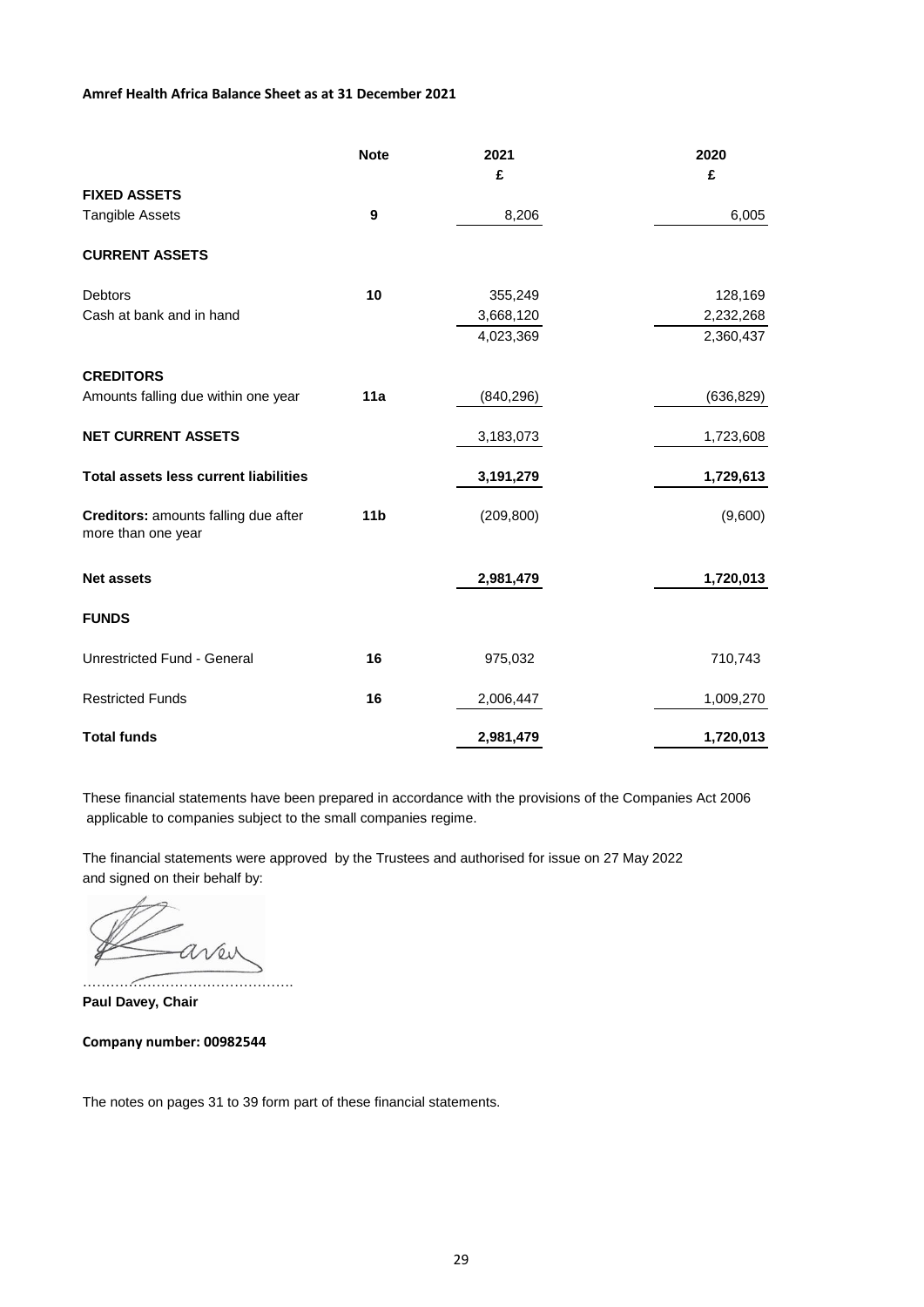### **Amref Health Africa Balance Sheet as at 31 December 2021**

|                                                                   | <b>Note</b>     | 2021       | 2020       |
|-------------------------------------------------------------------|-----------------|------------|------------|
|                                                                   |                 | £          | £          |
| <b>FIXED ASSETS</b>                                               |                 |            |            |
| <b>Tangible Assets</b>                                            | 9               | 8,206      | 6,005      |
| <b>CURRENT ASSETS</b>                                             |                 |            |            |
| <b>Debtors</b>                                                    | 10              | 355,249    | 128,169    |
| Cash at bank and in hand                                          |                 | 3,668,120  | 2,232,268  |
|                                                                   |                 | 4,023,369  | 2,360,437  |
| <b>CREDITORS</b>                                                  |                 |            |            |
| Amounts falling due within one year                               | 11a             | (840, 296) | (636, 829) |
| <b>NET CURRENT ASSETS</b>                                         |                 | 3,183,073  | 1,723,608  |
| <b>Total assets less current liabilities</b>                      |                 | 3,191,279  | 1,729,613  |
| <b>Creditors:</b> amounts falling due after<br>more than one year | 11 <sub>b</sub> | (209, 800) | (9,600)    |
| <b>Net assets</b>                                                 |                 | 2,981,479  | 1,720,013  |
| <b>FUNDS</b>                                                      |                 |            |            |
| Unrestricted Fund - General                                       | 16              | 975,032    | 710,743    |
| <b>Restricted Funds</b>                                           | 16              | 2,006,447  | 1,009,270  |
| <b>Total funds</b>                                                |                 | 2,981,479  | 1,720,013  |

These financial statements have been prepared in accordance with the provisions of the Companies Act 2006 applicable to companies subject to the small companies regime.

The financial statements were approved by the Trustees and authorised for issue on 27 May 2022 and signed on their behalf by:

aven ……………………………………….

**Paul Davey, Chair**

**Company number: 00982544**

The notes on pages 31 to 39 form part of these financial statements.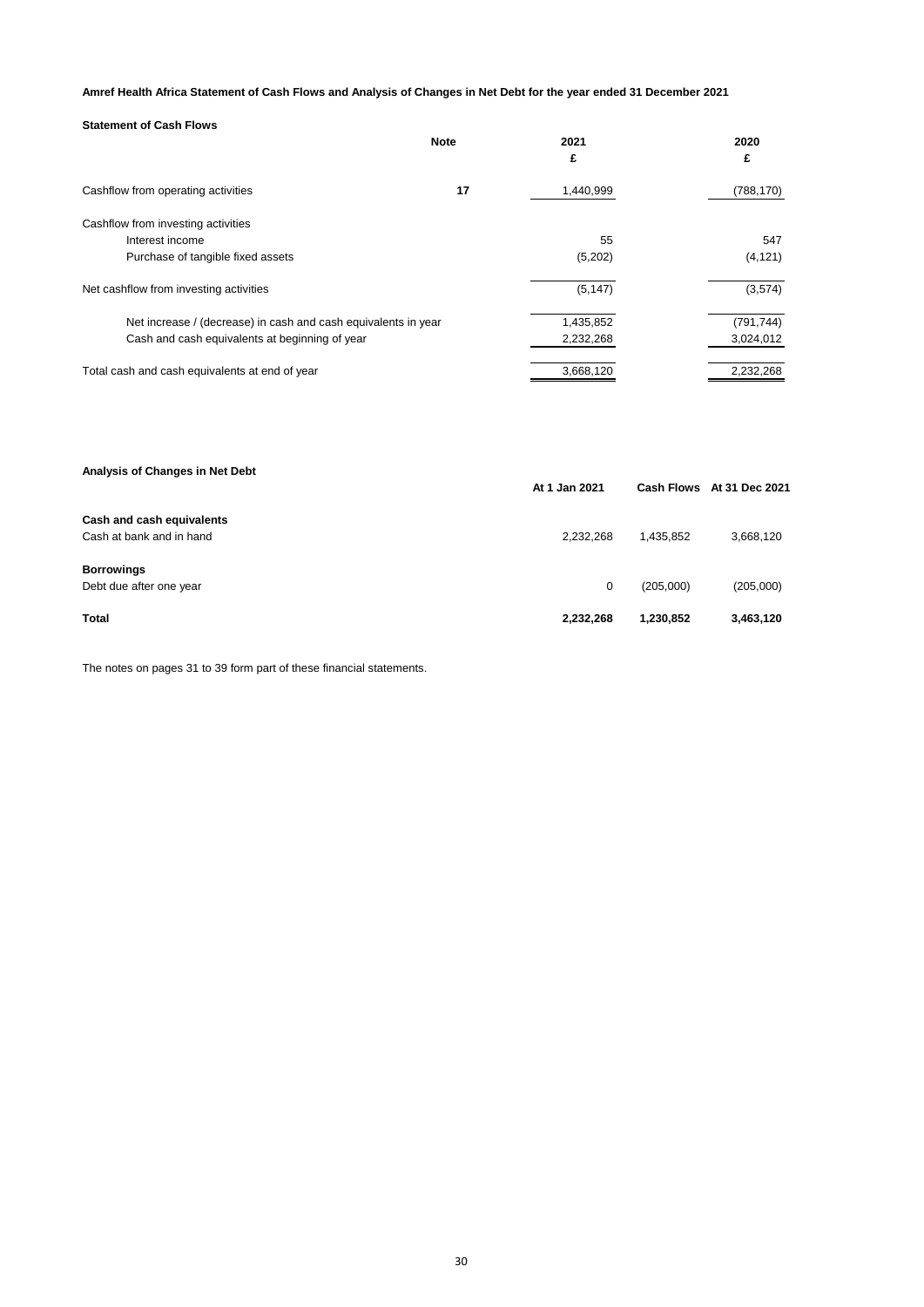### **Amref Health Africa Statement of Cash Flows and Analysis of Changes in Net Debt for the year ended 31 December 2021**

| <b>Statement of Cash Flows</b>                                 |             |           |            |
|----------------------------------------------------------------|-------------|-----------|------------|
|                                                                | <b>Note</b> | 2021      | 2020       |
|                                                                |             | £         | £          |
| Cashflow from operating activities                             | 17          | 1,440,999 | (788, 170) |
| Cashflow from investing activities                             |             |           |            |
| Interest income                                                |             | 55        | 547        |
| Purchase of tangible fixed assets                              |             | (5,202)   | (4, 121)   |
| Net cashflow from investing activities                         |             | (5, 147)  | (3,574)    |
| Net increase / (decrease) in cash and cash equivalents in year |             | 1,435,852 | (791, 744) |
| Cash and cash equivalents at beginning of year                 |             | 2,232,268 | 3,024,012  |
| Total cash and cash equivalents at end of year                 |             | 3,668,120 | 2,232,268  |
|                                                                |             |           |            |

| Analysis of Changes in Net Debt | At 1 Jan 2021 |           | Cash Flows At 31 Dec 2021 |  |
|---------------------------------|---------------|-----------|---------------------------|--|
| Cash and cash equivalents       |               |           |                           |  |
| Cash at bank and in hand        | 2.232.268     | 1.435.852 | 3,668,120                 |  |
| <b>Borrowings</b>               |               |           |                           |  |
| Debt due after one year         | 0             | (205,000) | (205,000)                 |  |
| Total                           | 2,232,268     | 1,230,852 | 3,463,120                 |  |

The notes on pages 31 to 39 form part of these financial statements.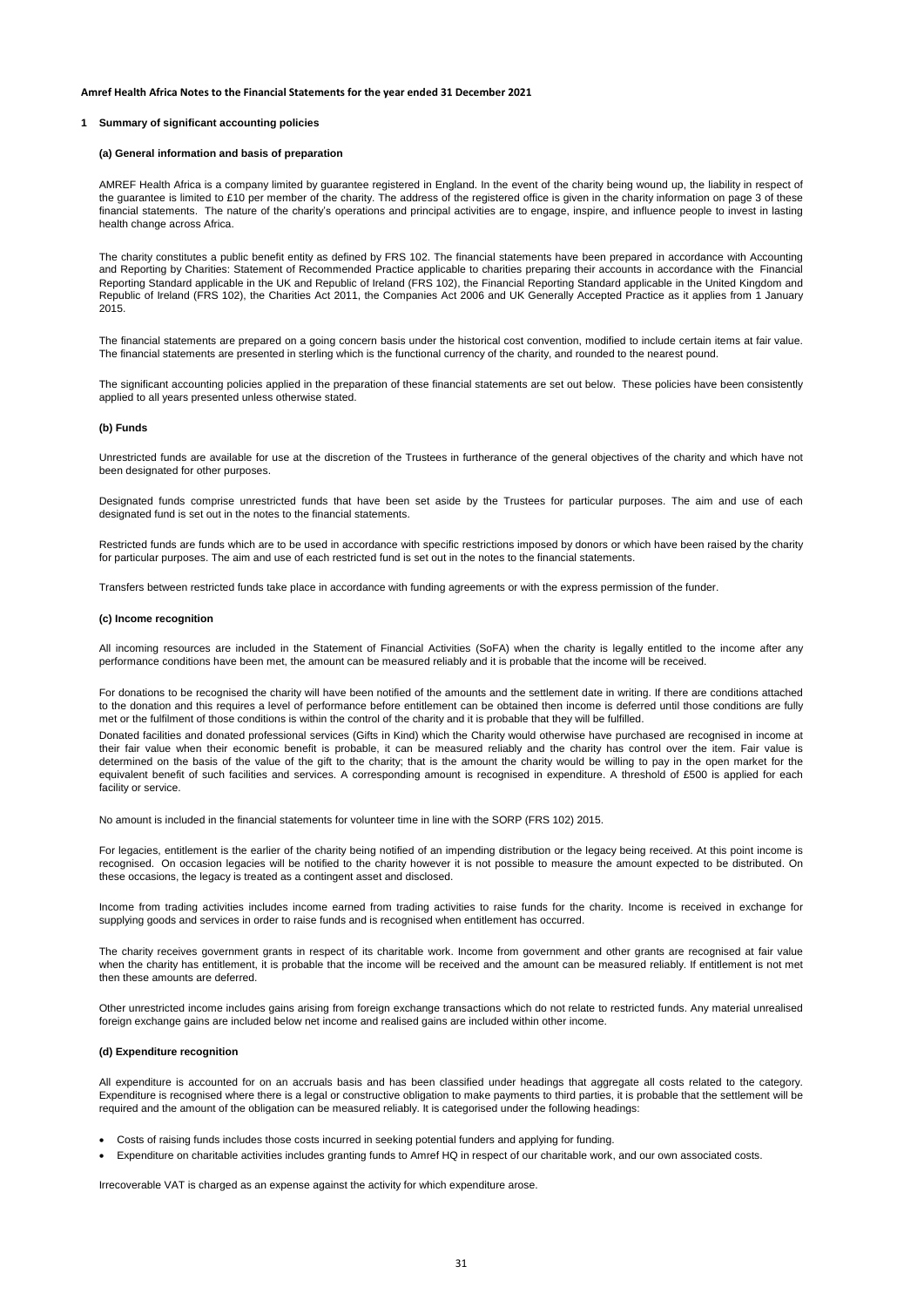#### **1 Summary of significant accounting policies**

#### **(a) General information and basis of preparation**

AMREF Health Africa is a company limited by guarantee registered in England. In the event of the charity being wound up, the liability in respect of the guarantee is limited to £10 per member of the charity. The address of the registered office is given in the charity information on page 3 of these financial statements. The nature of the charity's operations and principal activities are to engage, inspire, and influence people to invest in lasting health change across Africa.

The charity constitutes a public benefit entity as defined by FRS 102. The financial statements have been prepared in accordance with Accounting and Reporting by Charities: Statement of Recommended Practice applicable to charities preparing their accounts in accordance with the Financial Reporting Standard applicable in the UK and Republic of Ireland (FRS 102), the Financial Reporting Standard applicable in the United Kingdom and Republic of Ireland (FRS 102), the Charities Act 2011, the Companies Act 2006 and UK Generally Accepted Practice as it applies from 1 January 2015.

The financial statements are prepared on a going concern basis under the historical cost convention, modified to include certain items at fair value. The financial statements are presented in sterling which is the functional currency of the charity, and rounded to the nearest pound.

The significant accounting policies applied in the preparation of these financial statements are set out below. These policies have been consistently applied to all years presented unless otherwise stated.

#### **(b) Funds**

Unrestricted funds are available for use at the discretion of the Trustees in furtherance of the general objectives of the charity and which have not been designated for other purposes.

Designated funds comprise unrestricted funds that have been set aside by the Trustees for particular purposes. The aim and use of each designated fund is set out in the notes to the financial statements.

Restricted funds are funds which are to be used in accordance with specific restrictions imposed by donors or which have been raised by the charity for particular purposes. The aim and use of each restricted fund is set out in the notes to the financial statements.

Transfers between restricted funds take place in accordance with funding agreements or with the express permission of the funder.

#### **(c) Income recognition**

All incoming resources are included in the Statement of Financial Activities (SoFA) when the charity is legally entitled to the income after any performance conditions have been met, the amount can be measured reliably and it is probable that the income will be received.

For donations to be recognised the charity will have been notified of the amounts and the settlement date in writing. If there are conditions attached to the donation and this requires a level of performance before entitlement can be obtained then income is deferred until those conditions are fully met or the fulfilment of those conditions is within the control of the charity and it is probable that they will be fulfilled.

Donated facilities and donated professional services (Gifts in Kind) which the Charity would otherwise have purchased are recognised in income at their fair value when their economic benefit is probable, it can be measured reliably and the charity has control over the item. Fair value is determined on the basis of the value of the gift to the charity; that is the amount the charity would be willing to pay in the open market for the equivalent benefit of such facilities and services. A corresponding amount is recognised in expenditure. A threshold of £500 is applied for each facility or service.

No amount is included in the financial statements for volunteer time in line with the SORP (FRS 102) 2015.

For legacies, entitlement is the earlier of the charity being notified of an impending distribution or the legacy being received. At this point income is recognised. On occasion legacies will be notified to the charity however it is not possible to measure the amount expected to be distributed. On these occasions, the legacy is treated as a contingent asset and disclosed.

Income from trading activities includes income earned from trading activities to raise funds for the charity. Income is received in exchange for supplying goods and services in order to raise funds and is recognised when entitlement has occurred.

The charity receives government grants in respect of its charitable work. Income from government and other grants are recognised at fair value when the charity has entitlement, it is probable that the income will be received and the amount can be measured reliably. If entitlement is not met then these amounts are deferred.

Other unrestricted income includes gains arising from foreign exchange transactions which do not relate to restricted funds. Any material unrealised foreign exchange gains are included below net income and realised gains are included within other income.

#### **(d) Expenditure recognition**

All expenditure is accounted for on an accruals basis and has been classified under headings that aggregate all costs related to the category. Expenditure is recognised where there is a legal or constructive obligation to make payments to third parties, it is probable that the settlement will be required and the amount of the obligation can be measured reliably. It is categorised under the following headings:

- Costs of raising funds includes those costs incurred in seeking potential funders and applying for funding.
- Expenditure on charitable activities includes granting funds to Amref HQ in respect of our charitable work, and our own associated costs.

Irrecoverable VAT is charged as an expense against the activity for which expenditure arose.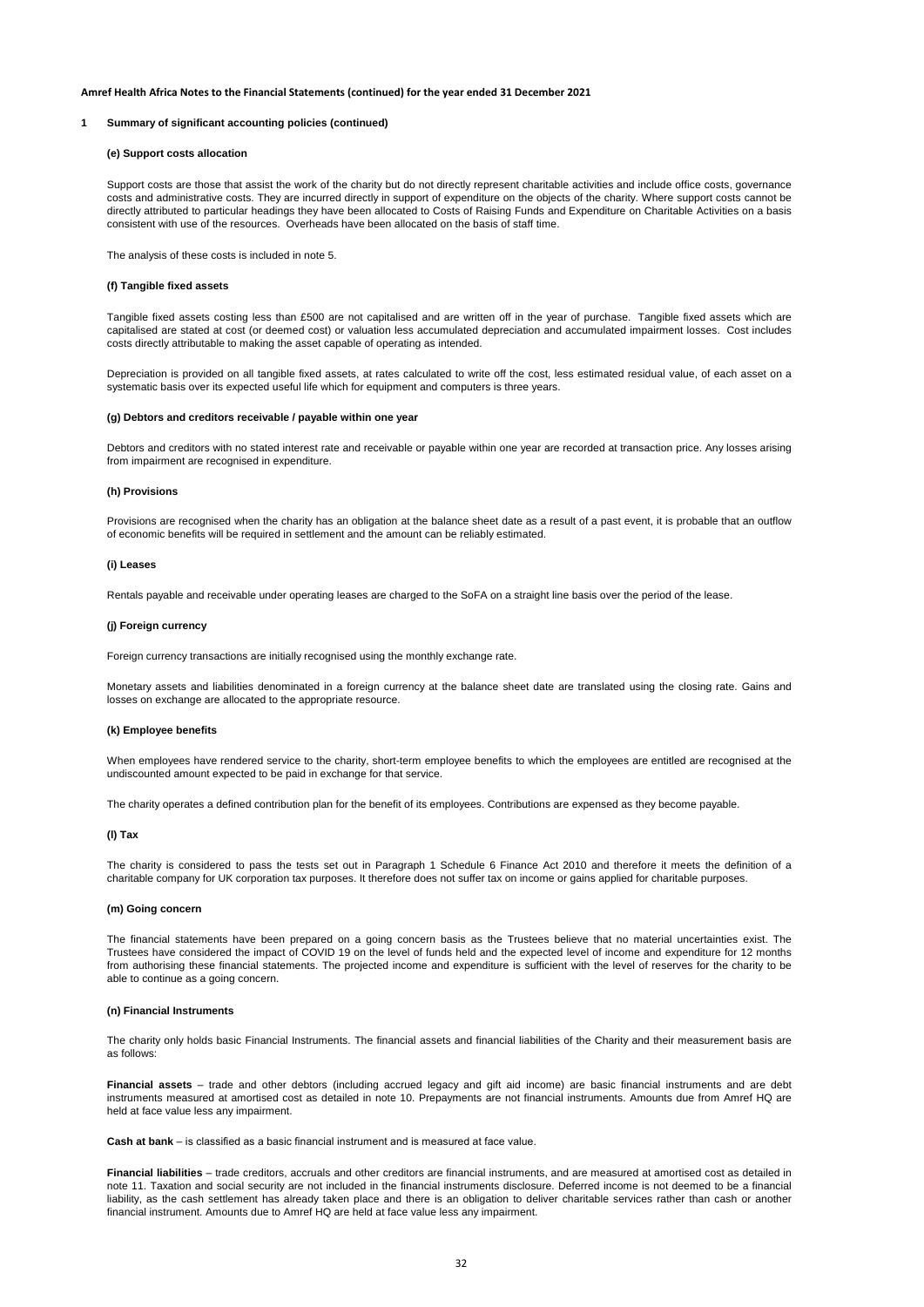#### **1 Summary of significant accounting policies (continued)**

#### **(e) Support costs allocation**

Support costs are those that assist the work of the charity but do not directly represent charitable activities and include office costs, governance costs and administrative costs. They are incurred directly in support of expenditure on the objects of the charity. Where support costs cannot be directly attributed to particular headings they have been allocated to Costs of Raising Funds and Expenditure on Charitable Activities on a basis consistent with use of the resources. Overheads have been allocated on the basis of staff time.

The analysis of these costs is included in note 5.

#### **(f) Tangible fixed assets**

Tangible fixed assets costing less than £500 are not capitalised and are written off in the year of purchase. Tangible fixed assets which are capitalised are stated at cost (or deemed cost) or valuation less accumulated depreciation and accumulated impairment losses. Cost includes costs directly attributable to making the asset capable of operating as intended.

Depreciation is provided on all tangible fixed assets, at rates calculated to write off the cost, less estimated residual value, of each asset on a systematic basis over its expected useful life which for equipment and computers is three years.

#### **(g) Debtors and creditors receivable / payable within one year**

Debtors and creditors with no stated interest rate and receivable or payable within one year are recorded at transaction price. Any losses arising from impairment are recognised in expenditure.

#### **(h) Provisions**

Provisions are recognised when the charity has an obligation at the balance sheet date as a result of a past event, it is probable that an outflow of economic benefits will be required in settlement and the amount can be reliably estimated.

#### **(i) Leases**

Rentals payable and receivable under operating leases are charged to the SoFA on a straight line basis over the period of the lease.

#### **(j) Foreign currency**

Foreign currency transactions are initially recognised using the monthly exchange rate.

Monetary assets and liabilities denominated in a foreign currency at the balance sheet date are translated using the closing rate. Gains and losses on exchange are allocated to the appropriate resource.

#### **(k) Employee benefits**

When employees have rendered service to the charity, short-term employee benefits to which the employees are entitled are recognised at the undiscounted amount expected to be paid in exchange for that service.

The charity operates a defined contribution plan for the benefit of its employees. Contributions are expensed as they become payable.

#### **(l) Tax**

The charity is considered to pass the tests set out in Paragraph 1 Schedule 6 Finance Act 2010 and therefore it meets the definition of a charitable company for UK corporation tax purposes. It therefore does not suffer tax on income or gains applied for charitable purposes.

#### **(m) Going concern**

The financial statements have been prepared on a going concern basis as the Trustees believe that no material uncertainties exist. The Trustees have considered the impact of COVID 19 on the level of funds held and the expected level of income and expenditure for 12 months from authorising these financial statements. The projected income and expenditure is sufficient with the level of reserves for the charity to be able to continue as a going concern.

#### **(n) Financial Instruments**

The charity only holds basic Financial Instruments. The financial assets and financial liabilities of the Charity and their measurement basis are as follows:

**Financial assets** – trade and other debtors (including accrued legacy and gift aid income) are basic financial instruments and are debt instruments measured at amortised cost as detailed in note 10. Prepayments are not financial instruments. Amounts due from Amref HQ are held at face value less any impairment.

**Cash at bank** – is classified as a basic financial instrument and is measured at face value.

**Financial liabilities** – trade creditors, accruals and other creditors are financial instruments, and are measured at amortised cost as detailed in note 11. Taxation and social security are not included in the financial instruments disclosure. Deferred income is not deemed to be a financial liability, as the cash settlement has already taken place and there is an obligation to deliver charitable services rather than cash or another financial instrument. Amounts due to Amref HQ are held at face value less any impairment.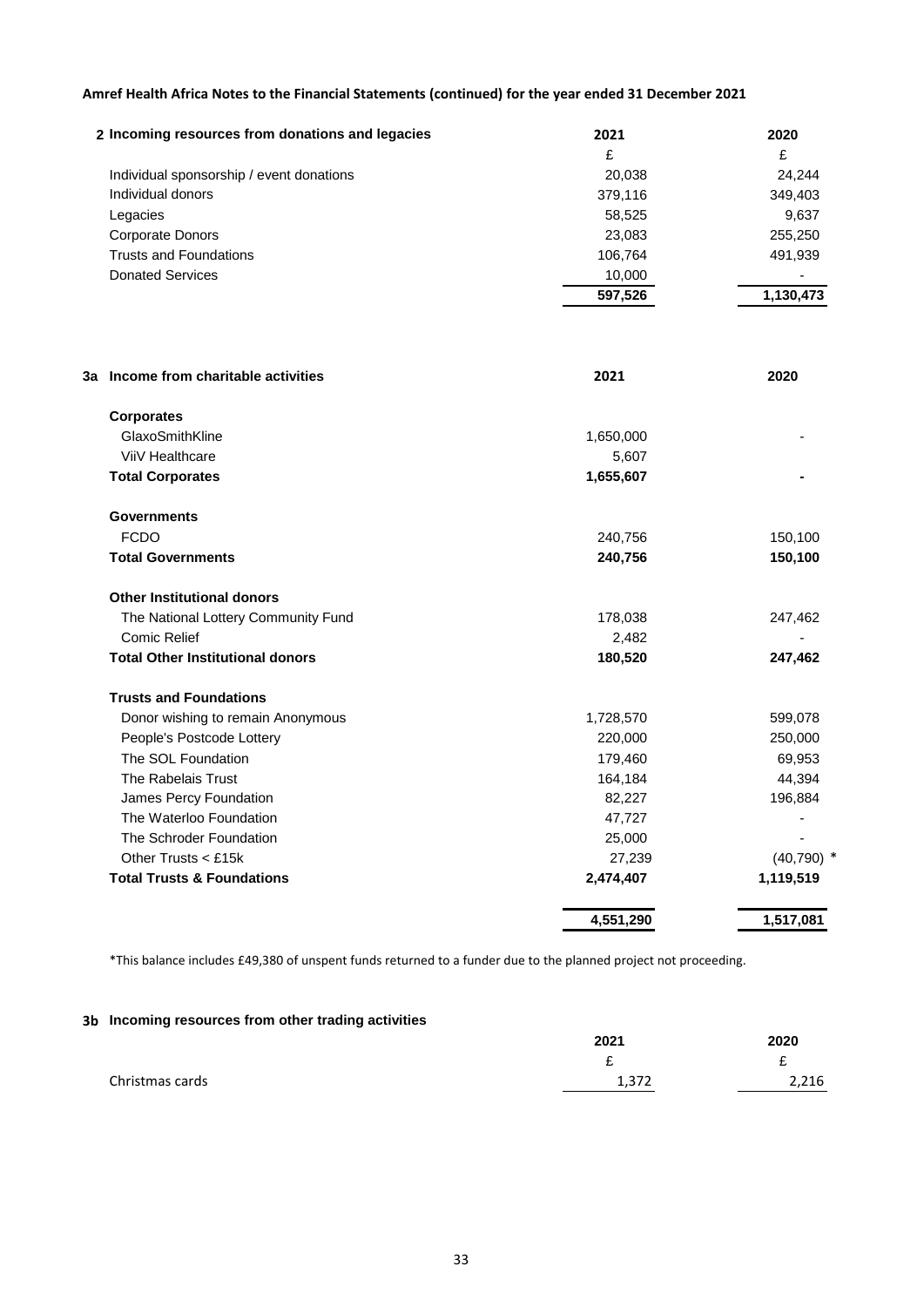| 2 Incoming resources from donations and legacies | 2021    | 2020      |
|--------------------------------------------------|---------|-----------|
|                                                  | £       | £         |
| Individual sponsorship / event donations         | 20,038  | 24.244    |
| Individual donors                                | 379,116 | 349,403   |
| Legacies                                         | 58,525  | 9,637     |
| Corporate Donors                                 | 23,083  | 255,250   |
| <b>Trusts and Foundations</b>                    | 106.764 | 491,939   |
| <b>Donated Services</b>                          | 10,000  |           |
|                                                  | 597,526 | 1,130,473 |

| 3a Income from charitable activities<br>2021 |           | 2020         |
|----------------------------------------------|-----------|--------------|
| <b>Corporates</b>                            |           |              |
| GlaxoSmithKline                              | 1,650,000 |              |
| ViiV Healthcare                              | 5,607     |              |
| <b>Total Corporates</b>                      | 1,655,607 |              |
| <b>Governments</b>                           |           |              |
| <b>FCDO</b>                                  | 240,756   | 150,100      |
| <b>Total Governments</b>                     | 240,756   | 150,100      |
| <b>Other Institutional donors</b>            |           |              |
| The National Lottery Community Fund          | 178,038   | 247,462      |
| Comic Relief                                 | 2,482     |              |
| <b>Total Other Institutional donors</b>      | 180,520   | 247,462      |
| <b>Trusts and Foundations</b>                |           |              |
| Donor wishing to remain Anonymous            | 1,728,570 | 599,078      |
| People's Postcode Lottery                    | 220,000   | 250,000      |
| The SOL Foundation                           | 179,460   | 69,953       |
| The Rabelais Trust                           | 164,184   | 44,394       |
| James Percy Foundation                       | 82,227    | 196,884      |
| The Waterloo Foundation                      | 47,727    |              |
| The Schroder Foundation                      | 25,000    |              |
| Other Trusts < £15k                          | 27,239    | $(40,790)$ * |
| <b>Total Trusts &amp; Foundations</b>        | 2,474,407 | 1,119,519    |
|                                              | 4,551,290 | 1,517,081    |

\*This balance includes £49,380 of unspent funds returned to a funder due to the planned project not proceeding.

### **3b Incoming resources from other trading activities**

| 2021             | 2020  |
|------------------|-------|
| ~                | ~     |
| 1 277<br>ے رہے ہ | 2,216 |
|                  |       |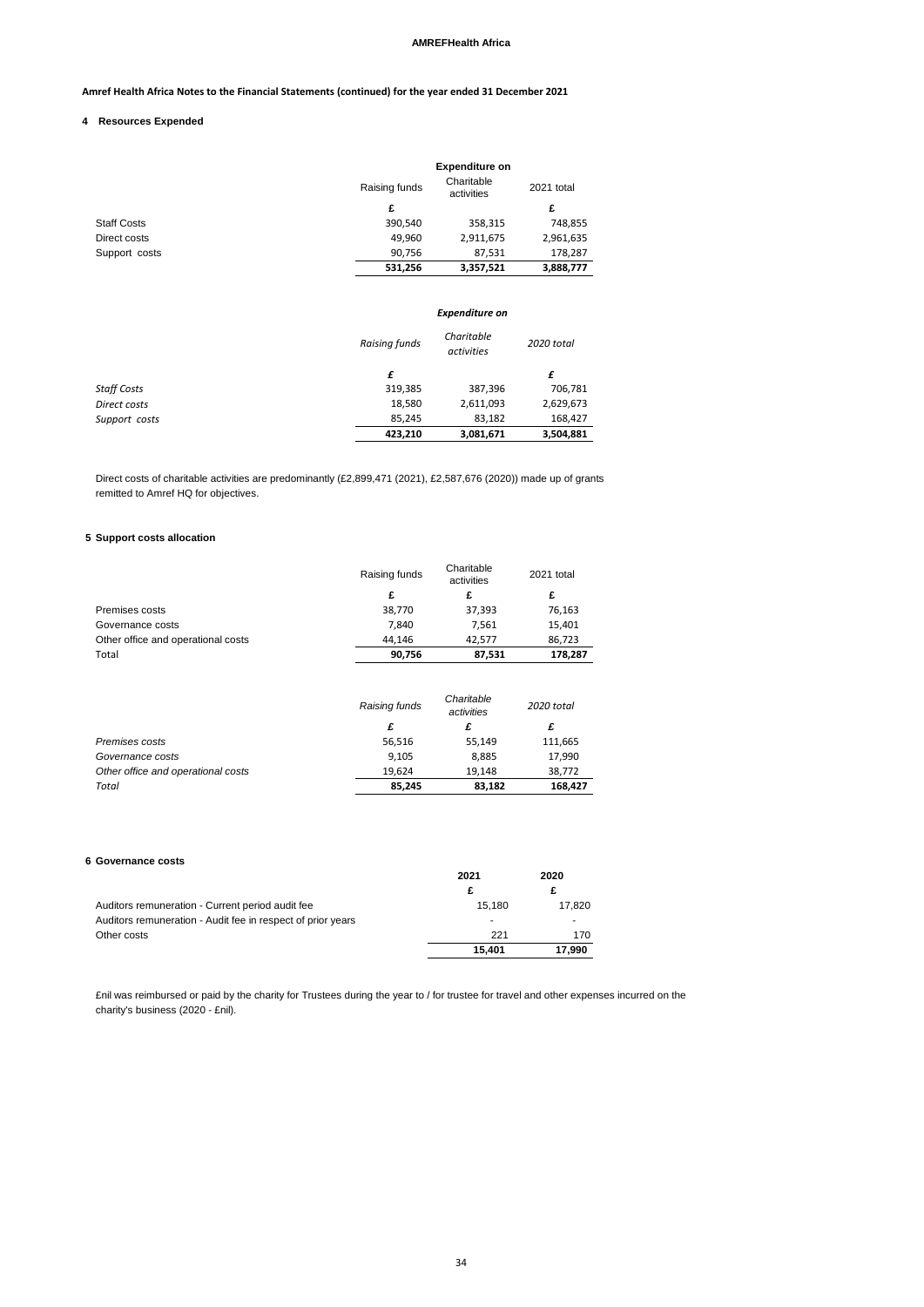### **AMREFHealth Africa**

### **Amref Health Africa Notes to the Financial Statements (continued) for the year ended 31 December 2021**

#### **4 Resources Expended**

|                    |               | <b>Expenditure on</b>    |            |
|--------------------|---------------|--------------------------|------------|
|                    | Raising funds | Charitable<br>activities | 2021 total |
|                    | £             |                          | £          |
| <b>Staff Costs</b> | 390,540       | 358,315                  | 748,855    |
| Direct costs       | 49,960        | 2,911,675                | 2,961,635  |
| Support costs      | 90,756        | 87,531                   | 178,287    |
|                    | 531,256       | 3,357,521                | 3,888,777  |

### *Expenditure on*

|                    | Raising funds | Charitable<br>activities | 2020 total |
|--------------------|---------------|--------------------------|------------|
|                    | £             |                          | £          |
| <b>Staff Costs</b> | 319,385       | 387,396                  | 706,781    |
| Direct costs       | 18,580        | 2,611,093                | 2,629,673  |
| Support costs      | 85.245        | 83,182                   | 168,427    |
|                    | 423,210       | 3,081,671                | 3,504,881  |

Direct costs of charitable activities are predominantly (£2,899,471 (2021), £2,587,676 (2020)) made up of grants remitted to Amref HQ for objectives.

### **5 Support costs allocation**

|                                    | Raising funds | Charitable<br>activities | 2021 total |
|------------------------------------|---------------|--------------------------|------------|
|                                    | £             | £                        | £          |
| Premises costs                     | 38,770        | 37,393                   | 76,163     |
| Governance costs                   | 7,840         | 7,561                    | 15,401     |
| Other office and operational costs | 44,146        | 42,577                   | 86,723     |
| Total                              | 90,756        | 87,531                   | 178,287    |
|                                    | Raising funds | Charitable<br>activities | 2020 total |
|                                    | £             | £                        | £          |
| Premises costs                     | 56,516        | 55,149                   | 111,665    |
| Governance costs                   | 9,105         | 8,885                    | 17,990     |
| Other office and operational costs | 19,624        | 19,148                   | 38,772     |
| Total                              | 85,245        | 83,182                   | 168,427    |

#### **6 Governance costs**

| oovernamee eosts                                            |        |        |
|-------------------------------------------------------------|--------|--------|
|                                                             | 2021   | 2020   |
|                                                             | £      |        |
| Auditors remuneration - Current period audit fee            | 15.180 | 17.820 |
| Auditors remuneration - Audit fee in respect of prior years |        |        |
| Other costs                                                 | 221    | 170    |
|                                                             | 15.401 | 17.990 |
|                                                             |        |        |

£nil was reimbursed or paid by the charity for Trustees during the year to / for trustee for travel and other expenses incurred on the charity's business (2020 - £nil).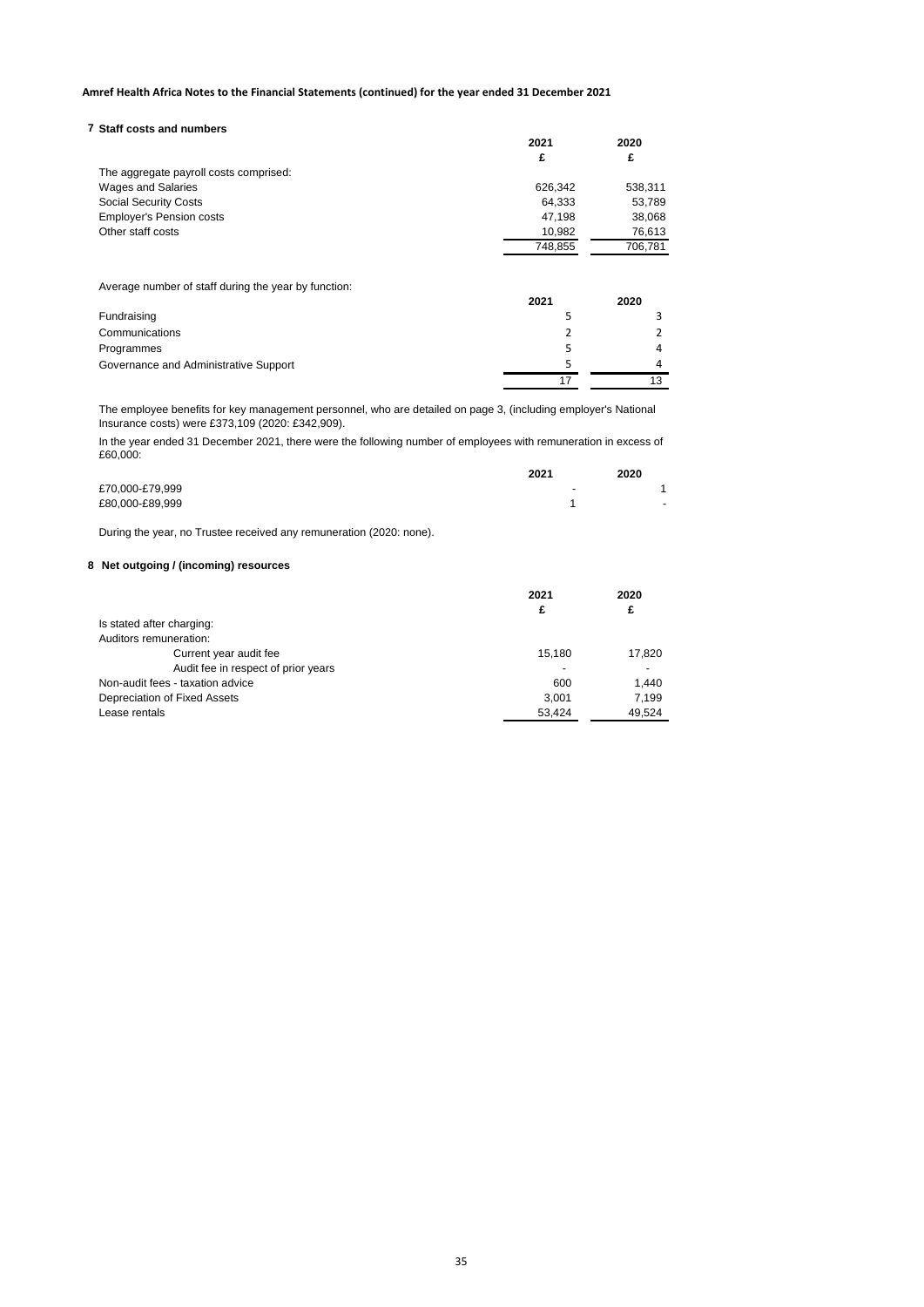### **7 Staff costs and numbers**

|                                        | 2021    | 2020    |
|----------------------------------------|---------|---------|
|                                        | £       | £       |
| The aggregate payroll costs comprised: |         |         |
| <b>Wages and Salaries</b>              | 626.342 | 538,311 |
| <b>Social Security Costs</b>           | 64,333  | 53,789  |
| <b>Employer's Pension costs</b>        | 47.198  | 38,068  |
| Other staff costs                      | 10,982  | 76,613  |
|                                        | 748,855 | 706,781 |
|                                        |         |         |

Average number of staff during the year by function:

|                                       | 2021 | 2020 |
|---------------------------------------|------|------|
| Fundraising                           |      |      |
| Communications                        |      |      |
| Programmes                            |      |      |
| Governance and Administrative Support |      |      |
|                                       |      |      |

The employee benefits for key management personnel, who are detailed on page 3, (including employer's National Insurance costs) were £373,109 (2020: £342,909).

In the year ended 31 December 2021, there were the following number of employees with remuneration in excess of £60,000:

|                 | 2021                     | 2020                     |
|-----------------|--------------------------|--------------------------|
| £70,000-£79,999 | $\overline{\phantom{a}}$ |                          |
| £80,000-£89,999 |                          | $\overline{\phantom{a}}$ |

During the year, no Trustee received any remuneration (2020: none).

### **8 Net outgoing / (incoming) resources**

|                                     | 2021<br>£ | 2020<br>£ |
|-------------------------------------|-----------|-----------|
| Is stated after charging:           |           |           |
| Auditors remuneration:              |           |           |
| Current year audit fee              | 15.180    | 17,820    |
| Audit fee in respect of prior years |           |           |
| Non-audit fees - taxation advice    | 600       | 1.440     |
| Depreciation of Fixed Assets        | 3.001     | 7.199     |
| Lease rentals                       | 53,424    | 49,524    |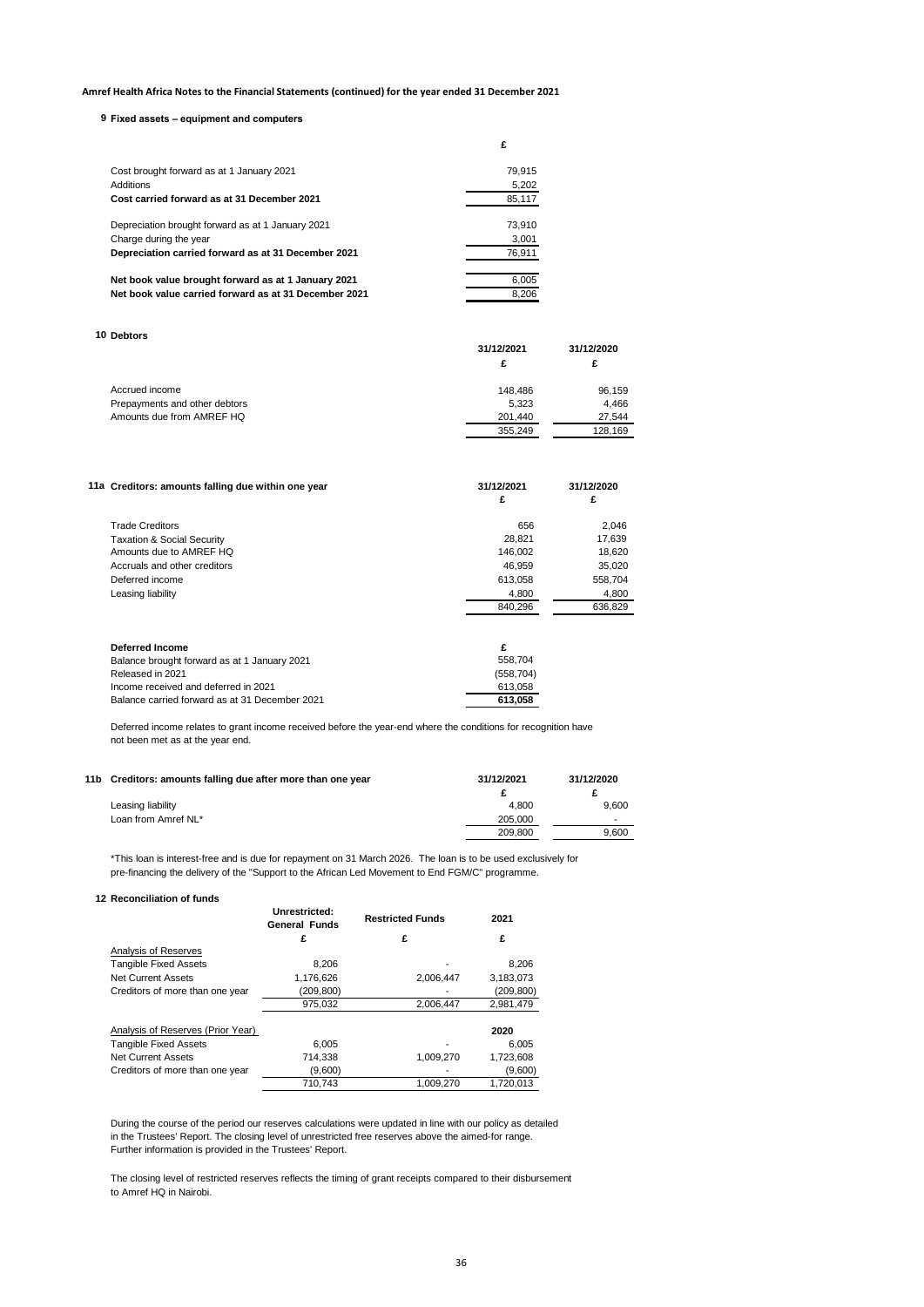### **9 Fixed assets – equipment and computers**

|                                                       | £      |  |
|-------------------------------------------------------|--------|--|
| Cost brought forward as at 1 January 2021             | 79.915 |  |
| Additions                                             | 5,202  |  |
| Cost carried forward as at 31 December 2021           | 85,117 |  |
| Depreciation brought forward as at 1 January 2021     | 73.910 |  |
| Charge during the year                                | 3,001  |  |
| Depreciation carried forward as at 31 December 2021   | 76.911 |  |
| Net book value brought forward as at 1 January 2021   | 6,005  |  |
| Net book value carried forward as at 31 December 2021 | 8.206  |  |

#### **10 Debtors**

| ------                        | 31/12/2021<br>£ | 31/12/2020<br>£ |
|-------------------------------|-----------------|-----------------|
| Accrued income                | 148.486         | 96,159          |
| Prepayments and other debtors | 5.323           | 4.466           |
| Amounts due from AMREF HQ     | 201.440         | 27.544          |
|                               | 355.249         | 128.169         |

| 11a Creditors: amounts falling due within one year | 31/12/2021 | 31/12/2020 |
|----------------------------------------------------|------------|------------|
|                                                    | £          | £          |
| <b>Trade Creditors</b>                             | 656        | 2,046      |
| <b>Taxation &amp; Social Security</b>              | 28,821     | 17,639     |
| Amounts due to AMREF HO                            | 146.002    | 18,620     |
| Accruals and other creditors                       | 46.959     | 35,020     |
| Deferred income                                    | 613.058    | 558.704    |
| Leasing liability                                  | 4,800      | 4,800      |
|                                                    | 840.296    | 636.829    |
| <b>Deferred Income</b>                             | £          |            |
| Balance brought forward as at 1 January 2021       | 558,704    |            |
| Released in 2021                                   | (558, 704) |            |
| Income received and deferred in 2021               | 613,058    |            |
| Balance carried forward as at 31 December 2021     | 613.058    |            |

Deferred income relates to grant income received before the year-end where the conditions for recognition have not been met as at the year end.

| 11b Creditors: amounts falling due after more than one year | 31/12/2021 | 31/12/2020 |
|-------------------------------------------------------------|------------|------------|
|                                                             |            |            |
| Leasing liability                                           | 4.800      | 9.600      |
| Loan from Amref NL*                                         | 205.000    |            |
|                                                             | 209.800    | 9.600      |

\*This loan is interest-free and is due for repayment on 31 March 2026. The loan is to be used exclusively for pre-financing the delivery of the "Support to the African Led Movement to End FGM/C" programme.

#### **12 Reconciliation of funds**

|                                   | Unrestricted:<br><b>General Funds</b> | <b>Restricted Funds</b> | 2021       |
|-----------------------------------|---------------------------------------|-------------------------|------------|
|                                   | £                                     | £                       | £          |
| Analysis of Reserves              |                                       |                         |            |
| <b>Tangible Fixed Assets</b>      | 8.206                                 |                         | 8,206      |
| <b>Net Current Assets</b>         | 1,176,626                             | 2,006,447               | 3,183,073  |
| Creditors of more than one year   | (209, 800)                            |                         | (209, 800) |
|                                   | 975,032                               | 2,006,447               | 2,981,479  |
| Analysis of Reserves (Prior Year) |                                       |                         | 2020       |
| <b>Tangible Fixed Assets</b>      | 6.005                                 |                         | 6,005      |
| <b>Net Current Assets</b>         | 714.338                               | 1.009.270               | 1.723.608  |
| Creditors of more than one year   | (9,600)                               |                         | (9,600)    |
|                                   | 710.743                               | 1.009.270               | 1.720.013  |

During the course of the period our reserves calculations were updated in line with our policy as detailed in the Trustees' Report. The closing level of unrestricted free reserves above the aimed-for range. Further information is provided in the Trustees' Report.

The closing level of restricted reserves reflects the timing of grant receipts compared to their disbursement to Amref HQ in Nairobi.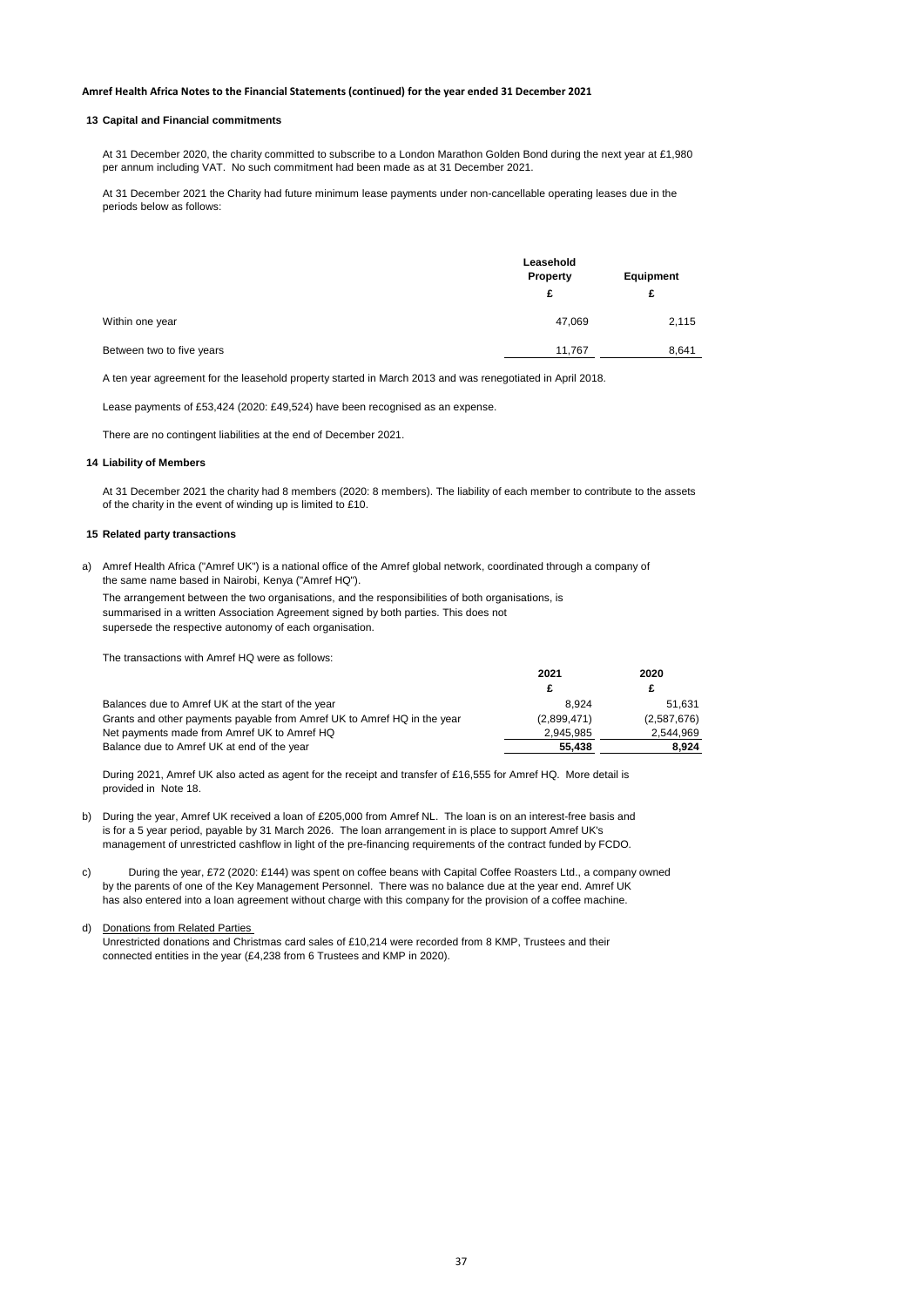#### **13 Capital and Financial commitments**

At 31 December 2020, the charity committed to subscribe to a London Marathon Golden Bond during the next year at £1,980 per annum including VAT. No such commitment had been made as at 31 December 2021.

At 31 December 2021 the Charity had future minimum lease payments under non-cancellable operating leases due in the periods below as follows:

|                           | Leasehold<br>Property |       |
|---------------------------|-----------------------|-------|
|                           | £                     | £     |
| Within one year           | 47,069                | 2,115 |
| Between two to five years | 11,767                | 8,641 |

A ten year agreement for the leasehold property started in March 2013 and was renegotiated in April 2018.

Lease payments of £53,424 (2020: £49,524) have been recognised as an expense.

There are no contingent liabilities at the end of December 2021.

#### **14 Liability of Members**

At 31 December 2021 the charity had 8 members (2020: 8 members). The liability of each member to contribute to the assets of the charity in the event of winding up is limited to £10.

### **15 Related party transactions**

a) Amref Health Africa ("Amref UK") is a national office of the Amref global network, coordinated through a company of the same name based in Nairobi, Kenya ("Amref HQ").

The arrangement between the two organisations, and the responsibilities of both organisations, is summarised in a written Association Agreement signed by both parties. This does not supersede the respective autonomy of each organisation.

The transactions with Amref HQ were as follows:

|                                                                         | 2021        | 2020        |
|-------------------------------------------------------------------------|-------------|-------------|
|                                                                         |             |             |
| Balances due to Amref UK at the start of the year                       | 8.924       | 51.631      |
| Grants and other payments payable from Amref UK to Amref HQ in the year | (2.899.471) | (2,587,676) |
| Net payments made from Amref UK to Amref HQ                             | 2.945.985   | 2.544.969   |
| Balance due to Amref UK at end of the year                              | 55.438      | 8.924       |

During 2021, Amref UK also acted as agent for the receipt and transfer of £16,555 for Amref HQ. More detail is provided in Note 18.

- b) During the year, Amref UK received a loan of £205,000 from Amref NL. The loan is on an interest-free basis and is for a 5 year period, payable by 31 March 2026. The loan arrangement in is place to support Amref UK's management of unrestricted cashflow in light of the pre-financing requirements of the contract funded by FCDO.
- c) by the parents of one of the Key Management Personnel. There was no balance due at the year end. Amref UK has also entered into a loan agreement without charge with this company for the provision of a coffee machine. During the year, £72 (2020: £144) was spent on coffee beans with Capital Coffee Roasters Ltd., a company owned

#### d) Donations from Related Parties

Unrestricted donations and Christmas card sales of £10,214 were recorded from 8 KMP, Trustees and their connected entities in the year (£4,238 from 6 Trustees and KMP in 2020).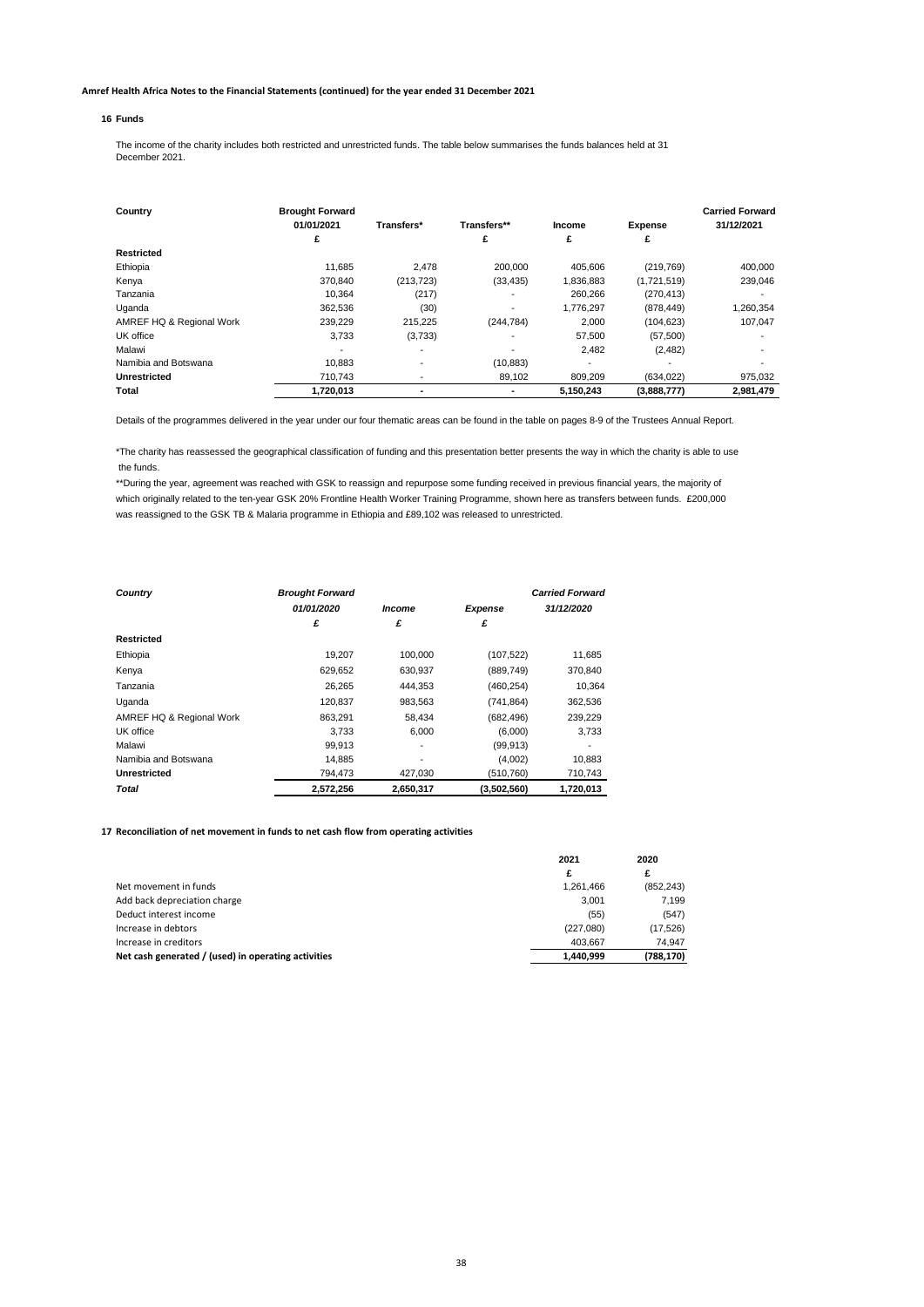#### **16 Funds** #########

The income of the charity includes both restricted and unrestricted funds. The table below summarises the funds balances held at 31 December 2021.

| Country                  | <b>Brought Forward</b>   |                          |             |                          |                | <b>Carried Forward</b> |
|--------------------------|--------------------------|--------------------------|-------------|--------------------------|----------------|------------------------|
|                          | 01/01/2021               | Transfers*               | Transfers** | Income                   | <b>Expense</b> | 31/12/2021             |
|                          | £                        |                          | £           | £                        | £              |                        |
| Restricted               |                          |                          |             |                          |                |                        |
| Ethiopia                 | 11.685                   | 2.478                    | 200,000     | 405.606                  | (219, 769)     | 400,000                |
| Kenya                    | 370.840                  | (213, 723)               | (33, 435)   | 1.836.883                | (1,721,519)    | 239,046                |
| Tanzania                 | 10.364                   | (217)                    |             | 260.266                  | (270, 413)     |                        |
| Uganda                   | 362.536                  | (30)                     |             | 1.776.297                | (878, 449)     | 1,260,354              |
| AMREF HQ & Regional Work | 239.229                  | 215.225                  | (244, 784)  | 2.000                    | (104, 623)     | 107.047                |
| UK office                | 3.733                    | (3,733)                  |             | 57,500                   | (57, 500)      |                        |
| Malawi                   | $\overline{\phantom{0}}$ | $\overline{\phantom{a}}$ |             | 2.482                    | (2,482)        |                        |
| Namibia and Botswana     | 10.883                   | $\blacksquare$           | (10, 883)   | $\overline{\phantom{0}}$ |                |                        |
| Unrestricted             | 710.743                  |                          | 89,102      | 809,209                  | (634, 022)     | 975,032                |
| Total                    | 1,720,013                |                          |             | 5,150,243                | (3,888,777)    | 2,981,479              |

Details of the programmes delivered in the year under our four thematic areas can be found in the table on pages 8-9 of the Trustees Annual Report.

\*The charity has reassessed the geographical classification of funding and this presentation better presents the way in which the charity is able to use the funds.

\*\*During the year, agreement was reached with GSK to reassign and repurpose some funding received in previous financial years, the majority of which originally related to the ten-year GSK 20% Frontline Health Worker Training Programme, shown here as transfers between funds. £200,000 was reassigned to the GSK TB & Malaria programme in Ethiopia and £89,102 was released to unrestricted.

| Country                  | <b>Brought Forward</b> |           |                | <b>Carried Forward</b> |
|--------------------------|------------------------|-----------|----------------|------------------------|
|                          | 01/01/2020             | Income    | <b>Expense</b> | 31/12/2020             |
|                          | £                      | £         | £              |                        |
| <b>Restricted</b>        |                        |           |                |                        |
| Ethiopia                 | 19.207                 | 100,000   | (107, 522)     | 11,685                 |
| Kenya                    | 629.652                | 630.937   | (889, 749)     | 370.840                |
| Tanzania                 | 26.265                 | 444.353   | (460, 254)     | 10.364                 |
| Uganda                   | 120.837                | 983.563   | (741, 864)     | 362,536                |
| AMREF HQ & Regional Work | 863.291                | 58.434    | (682, 496)     | 239,229                |
| UK office                | 3.733                  | 6.000     | (6,000)        | 3,733                  |
| Malawi                   | 99.913                 |           | (99, 913)      |                        |
| Namibia and Botswana     | 14.885                 |           | (4,002)        | 10.883                 |
| Unrestricted             | 794.473                | 427.030   | (510, 760)     | 710,743                |
| Total                    | 2.572.256              | 2.650.317 | (3.502.560)    | 1.720.013              |

#### **17 Reconciliation of net movement in funds to net cash flow from operating activities**

|                                                     | 2021      | 2020       |
|-----------------------------------------------------|-----------|------------|
|                                                     | £         | £          |
| Net movement in funds                               | 1.261.466 | (852, 243) |
| Add back depreciation charge                        | 3.001     | 7.199      |
| Deduct interest income                              | (55)      | (547)      |
| Increase in debtors                                 | (227.080) | (17, 526)  |
| Increase in creditors                               | 403.667   | 74.947     |
| Net cash generated / (used) in operating activities | 1.440.999 | (788, 170) |